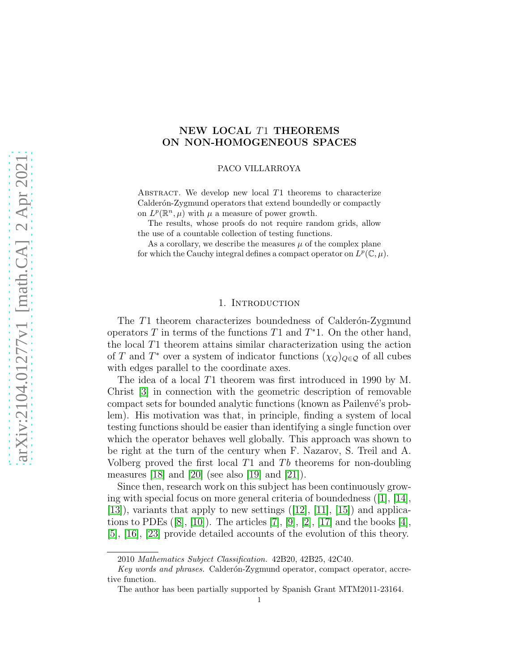## NEW LOCAL T1 THEOREMS ON NON-HOMOGENEOUS SPACES

PACO VILLARROYA

ABSTRACT. We develop new local  $T1$  theorems to characterize Calderón-Zygmund operators that extend boundedly or compactly on  $L^p(\mathbb{R}^n, \mu)$  with  $\mu$  a measure of power growth.

The results, whose proofs do not require random grids, allow the use of a countable collection of testing functions.

As a corollary, we describe the measures  $\mu$  of the complex plane for which the Cauchy integral defines a compact operator on  $L^p(\mathbb{C}, \mu)$ .

## 1. INTRODUCTION

The T1 theorem characterizes boundedness of Calderon-Zygmund operators  $T$  in terms of the functions  $T1$  and  $T^*1$ . On the other hand, the local T1 theorem attains similar characterization using the action of T and  $T^*$  over a system of indicator functions  $(\chi_Q)_{Q \in \mathcal{Q}}$  of all cubes with edges parallel to the coordinate axes.

The idea of a local T1 theorem was first introduced in 1990 by M. Christ [\[3\]](#page-68-0) in connection with the geometric description of removable compact sets for bounded analytic functions (known as Pailenvé's problem). His motivation was that, in principle, finding a system of local testing functions should be easier than identifying a single function over which the operator behaves well globally. This approach was shown to be right at the turn of the century when F. Nazarov, S. Treil and A. Volberg proved the first local  $T1$  and  $Tb$  theorems for non-doubling measures [\[18\]](#page-69-0) and [\[20\]](#page-69-1) (see also [\[19\]](#page-69-2) and [\[21\]](#page-69-3)).

Since then, research work on this subject has been continuously growing with special focus on more general criteria of boundedness ([\[1\]](#page-68-1), [\[14\]](#page-69-4),  $[13]$ , variants that apply to new settings  $([12], [11], [15])$  $([12], [11], [15])$  $([12], [11], [15])$  $([12], [11], [15])$  $([12], [11], [15])$  $([12], [11], [15])$  $([12], [11], [15])$  and applications to PDEs  $([8], [10])$  $([8], [10])$  $([8], [10])$  $([8], [10])$  $([8], [10])$ . The articles [\[7\]](#page-68-7), [\[9\]](#page-68-8), [\[2\]](#page-68-9), [\[17\]](#page-69-6) and the books [\[4\]](#page-68-10), [\[5\]](#page-68-11), [\[16\]](#page-69-7), [\[23\]](#page-69-8) provide detailed accounts of the evolution of this theory.

<sup>2010</sup> Mathematics Subject Classification. 42B20, 42B25, 42C40.

Key words and phrases. Calderón-Zygmund operator, compact operator, accretive function.

The author has been partially supported by Spanish Grant MTM2011-23164.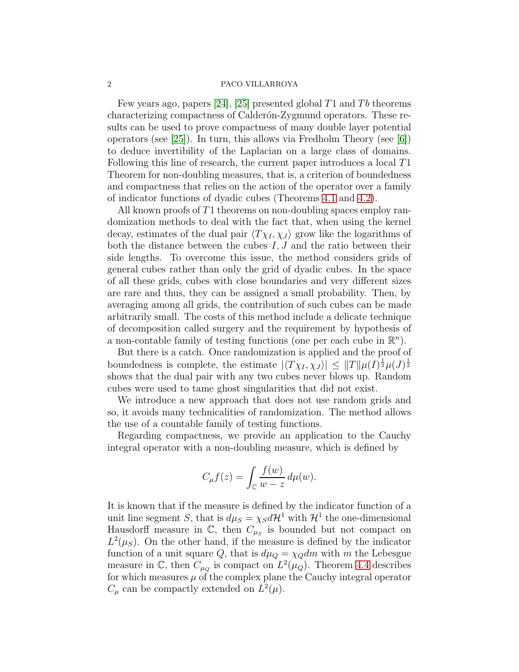Few years ago, papers [\[24\]](#page-69-9), [\[25\]](#page-69-10) presented global T1 and Tb theorems characterizing compactness of Calderón-Zygmund operators. These results can be used to prove compactness of many double layer potential operators (see [\[25\]](#page-69-10)). In turn, this allows via Fredholm Theory (see [\[6\]](#page-68-12)) to deduce invertibility of the Laplacian on a large class of domains. Following this line of research, the current paper introduces a local T1 Theorem for non-doubling measures, that is, a criterion of boundedness and compactness that relies on the action of the operator over a family of indicator functions of dyadic cubes (Theorems [4.1](#page-6-0) and [4.2\)](#page-6-1).

All known proofs of T1 theorems on non-doubling spaces employ randomization methods to deal with the fact that, when using the kernel decay, estimates of the dual pair  $\langle T \chi_I, \chi_J \rangle$  grow like the logarithms of both the distance between the cubes  $I, J$  and the ratio between their side lengths. To overcome this issue, the method considers grids of general cubes rather than only the grid of dyadic cubes. In the space of all these grids, cubes with close boundaries and very different sizes are rare and thus, they can be assigned a small probability. Then, by averaging among all grids, the contribution of such cubes can be made arbitrarily small. The costs of this method include a delicate technique of decomposition called surgery and the requirement by hypothesis of a non-contable family of testing functions (one per each cube in  $\mathbb{R}^n$ ).

But there is a catch. Once randomization is applied and the proof of boundedness is complete, the estimate  $|\langle T\chi_I,\chi_J\rangle| \leq ||T|| \mu(I)^{\frac{1}{2}} \mu(J)^{\frac{1}{2}}$ shows that the dual pair with any two cubes never blows up. Random cubes were used to tame ghost singularities that did not exist.

We introduce a new approach that does not use random grids and so, it avoids many technicalities of randomization. The method allows the use of a countable family of testing functions.

Regarding compactness, we provide an application to the Cauchy integral operator with a non-doubling measure, which is defined by

$$
C_{\mu}f(z) = \int_{\mathbb{C}} \frac{f(w)}{w - z} d\mu(w).
$$

It is known that if the measure is defined by the indicator function of a unit line segment S, that is  $d\mu_S = \chi_S d\mathcal{H}^1$  with  $\mathcal{H}^1$  the one-dimensional Hausdorff measure in  $\mathbb{C}$ , then  $C_{\mu_S}$  is bounded but not compact on  $L^2(\mu_S)$ . On the other hand, if the measure is defined by the indicator function of a unit square Q, that is  $d\mu_Q = \chi_Q dm$  with m the Lebesgue measure in  $\mathbb{C}$ , then  $C_{\mu_Q}$  is compact on  $L^2(\mu_Q)$ . Theorem [4.4](#page-7-0) describes for which measures  $\mu$  of the complex plane the Cauchy integral operator  $C_{\mu}$  can be compactly extended on  $L^2(\mu)$ .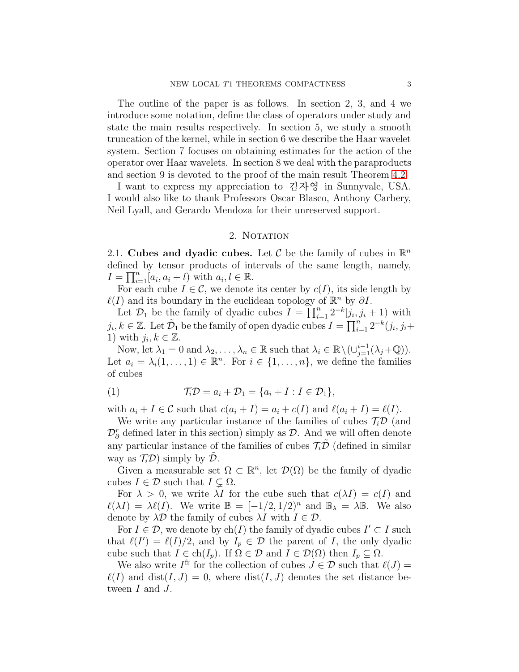The outline of the paper is as follows. In section 2, 3, and 4 we introduce some notation, define the class of operators under study and state the main results respectively. In section 5, we study a smooth truncation of the kernel, while in section 6 we describe the Haar wavelet system. Section 7 focuses on obtaining estimates for the action of the operator over Haar wavelets. In section 8 we deal with the paraproducts and section 9 is devoted to the proof of the main result Theorem [4.2.](#page-6-1)

I want to express my appreciation to 김자영 in Sunnyvale, USA. I would also like to thank Professors Oscar Blasco, Anthony Carbery, Neil Lyall, and Gerardo Mendoza for their unreserved support.

### 2. NOTATION

2.1. Cubes and dyadic cubes. Let  $\mathcal C$  be the family of cubes in  $\mathbb R^n$ defined by tensor products of intervals of the same length, namely,  $I = \prod_{i=1}^{n} [a_i, a_i + l]$  with  $a_i, l \in \mathbb{R}$ .

For each cube  $I \in \mathcal{C}$ , we denote its center by  $c(I)$ , its side length by  $\ell(I)$  and its boundary in the euclidean topology of  $\mathbb{R}^n$  by  $\partial I$ .

Let  $\mathcal{D}_1$  be the family of dyadic cubes  $I = \prod_{i=1}^n 2^{-k} [j_i, j_i + 1]$  with  $j_i, k \in \mathbb{Z}$ . Let  $\tilde{\mathcal{D}}_1$  be the family of open dyadic cubes  $I = \prod_{i=1}^n 2^{-k}(j_i, j_i +$ 1) with  $j_i, k \in \mathbb{Z}$ .

Now, let  $\lambda_1 = 0$  and  $\lambda_2, \ldots, \lambda_n \in \mathbb{R}$  such that  $\lambda_i \in \mathbb{R} \setminus (\cup_{j=1}^{i-1} (\lambda_j + \mathbb{Q}))$ . Let  $a_i = \lambda_i (1, \ldots, 1) \in \mathbb{R}^n$ . For  $i \in \{1, \ldots, n\}$ , we define the families of cubes

<span id="page-2-0"></span>(1) TiD = a<sup>i</sup> + D<sup>1</sup> = {a<sup>i</sup> + I : I ∈ D1},

with  $a_i + I \in \mathcal{C}$  such that  $c(a_i + I) = a_i + c(I)$  and  $\ell(a_i + I) = \ell(I)$ .

We write any particular instance of the families of cubes  $\mathcal{T}_{i}\mathcal{D}$  (and  $\mathcal{D}_{\partial}^r$  defined later in this section) simply as  $\mathcal{D}$ . And we will often denote any particular instance of the families of cubes  $\mathcal{T}_i\mathcal{D}$  (defined in similar way as  $\mathcal{T}_{i}\mathcal{D}$  simply by  $\mathcal{D}$ .

Given a measurable set  $\Omega \subset \mathbb{R}^n$ , let  $\mathcal{D}(\Omega)$  be the family of dyadic cubes  $I \in \mathcal{D}$  such that  $I \subsetneq \Omega$ .

For  $\lambda > 0$ , we write  $\lambda I$  for the cube such that  $c(\lambda I) = c(I)$  and  $\ell(\lambda I) = \lambda \ell(I)$ . We write  $\mathbb{B} = [-1/2, 1/2)^n$  and  $\mathbb{B}_{\lambda} = \lambda \mathbb{B}$ . We also denote by  $\lambda \mathcal{D}$  the family of cubes  $\lambda I$  with  $I \in \mathcal{D}$ .

For  $I \in \mathcal{D}$ , we denote by ch(I) the family of dyadic cubes  $I' \subset I$  such that  $\ell(I') = \ell(I)/2$ , and by  $I_p \in \mathcal{D}$  the parent of I, the only dyadic cube such that  $I \in ch(I_p)$ . If  $\Omega \in \mathcal{D}$  and  $I \in \mathcal{D}(\Omega)$  then  $I_p \subseteq \Omega$ .

We also write  $I^{\text{fr}}$  for the collection of cubes  $J \in \mathcal{D}$  such that  $\ell(J) =$  $\ell(I)$  and dist $(I, J) = 0$ , where dist $(I, J)$  denotes the set distance between  $I$  and  $J$ .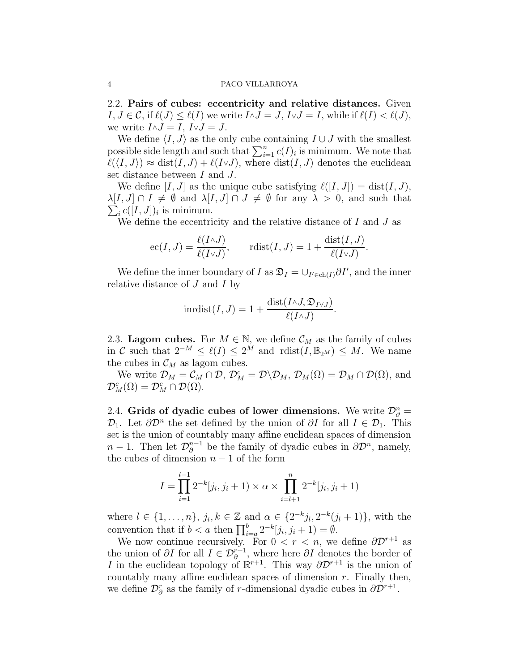2.2. Pairs of cubes: eccentricity and relative distances. Given  $I, J \in \mathcal{C}$ , if  $\ell(J) \leq \ell(I)$  we write  $I \wedge J = J$ ,  $I \vee J = I$ , while if  $\ell(I) < \ell(J)$ , we write  $I \wedge J = I$ ,  $I \vee J = J$ .

We define  $\langle I, J \rangle$  as the only cube containing  $I \cup J$  with the smallest possible side length and such that  $\sum_{i=1}^{n} c(I)_i$  is minimum. We note that  $\ell(\langle I, J \rangle) \approx \text{dist}(I, J) + \ell(I \vee J)$ , where  $\text{dist}(I, J)$  denotes the euclidean set distance between I and J.

We define  $[I, J]$  as the unique cube satisfying  $\ell([I, J]) = \text{dist}(I, J)$ ,  $\lambda[I, J] \cap I \neq \emptyset$  and  $\lambda[I, J] \cap J \neq \emptyset$  for any  $\lambda > 0$ , and such that  $\sum_i c([I, J])_i$  is mininum.

We define the eccentricity and the relative distance of  $I$  and  $J$  as

$$
ec(I, J) = \frac{\ell(I \wedge J)}{\ell(I \vee J)}, \quad \text{rdist}(I, J) = 1 + \frac{\text{dist}(I, J)}{\ell(I \vee J)}.
$$

We define the inner boundary of I as  $\mathfrak{D}_I = \bigcup_{I' \in \text{ch}(I)} \partial I'$ , and the inner relative distance of  $J$  and  $I$  by

$$
inrdist(I, J) = 1 + \frac{dist(I \wedge J, \mathfrak{D}_{IVJ})}{\ell(I \wedge J)}.
$$

2.3. Lagom cubes. For  $M \in \mathbb{N}$ , we define  $\mathcal{C}_M$  as the family of cubes in C such that  $2^{-M} \leq \ell(I) \leq 2^{M}$  and  $\text{rdist}(I, \mathbb{B}_{2^{M}}) \leq M$ . We name the cubes in  $\mathcal{C}_M$  as lagom cubes.

We write  $\mathcal{D}_M = \mathcal{C}_M \cap \mathcal{D}, \ \mathcal{D}_M^c = \mathcal{D} \backslash \mathcal{D}_M, \ \mathcal{D}_M(\Omega) = \mathcal{D}_M \cap \mathcal{D}(\Omega)$ , and  $\mathcal{D}_M^c(\Omega) = \mathcal{D}_M^c \cap \mathcal{D}(\Omega).$ 

<span id="page-3-0"></span>2.4. Grids of dyadic cubes of lower dimensions. We write  $\mathcal{D}_{\partial}^n =$  $\mathcal{D}_1$ . Let  $\partial \mathcal{D}^n$  the set defined by the union of  $\partial I$  for all  $I \in \mathcal{D}_1$ . This set is the union of countably many affine euclidean spaces of dimension  $n-1$ . Then let  $\mathcal{D}_{\partial}^{n-1}$  $\partial_{\partial}^{n-1}$  be the family of dyadic cubes in  $\partial \mathcal{D}^n$ , namely, the cubes of dimension  $n-1$  of the form

$$
I = \prod_{i=1}^{l-1} 2^{-k}[j_i, j_i + 1) \times \alpha \times \prod_{i=l+1}^{n} 2^{-k}[j_i, j_i + 1)
$$

where  $l \in \{1, ..., n\}$ ,  $j_i, k \in \mathbb{Z}$  and  $\alpha \in \{2^{-k}j_l, 2^{-k}(j_l + 1)\}$ , with the convention that if  $b < a$  then  $\prod_{i=a}^{b} 2^{-k} [j_i, j_i + 1] = \emptyset$ .

We now continue recursively. For  $0 < r < n$ , we define  $\partial \mathcal{D}^{r+1}$  as the union of  $\partial I$  for all  $I \in \mathcal{D}_{\partial}^{r+1}$ , where here  $\partial I$  denotes the border of I in the euclidean topology of  $\mathbb{R}^{r+1}$ . This way  $\partial \mathcal{D}^{r+1}$  is the union of countably many affine euclidean spaces of dimension  $r$ . Finally then, we define  $\mathcal{D}_{\partial}^r$  as the family of r-dimensional dyadic cubes in  $\partial \mathcal{D}^{r+1}$ .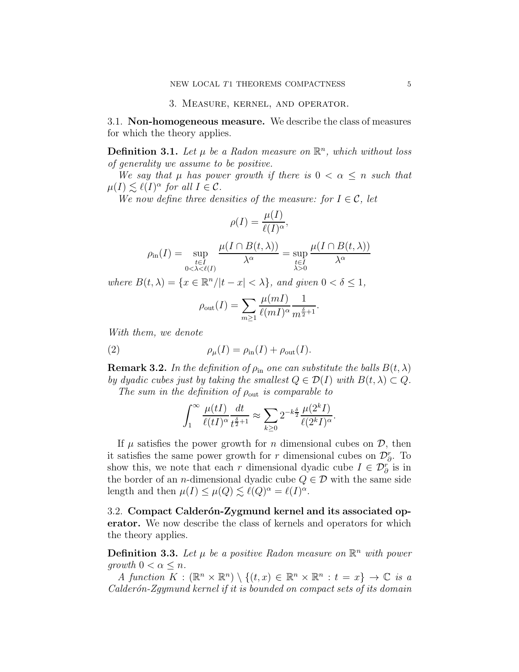3.1. Non-homogeneous measure. We describe the class of measures for which the theory applies.

**Definition 3.1.** Let  $\mu$  be a Radon measure on  $\mathbb{R}^n$ , which without loss of generality we assume to be positive.

We say that  $\mu$  has power growth if there is  $0 < \alpha \leq n$  such that  $\mu(I) \lesssim \ell(I)^{\alpha}$  for all  $I \in \mathcal{C}$ .

We now define three densities of the measure: for  $I \in \mathcal{C}$ , let

$$
\rho(I) = \frac{\mu(I)}{\ell(I)^{\alpha}},
$$

$$
\rho_{\text{in}}(I) = \sup_{\substack{t \in I \\ 0 < \lambda < \ell(I)}} \frac{\mu(I \cap B(t, \lambda))}{\lambda^{\alpha}} = \sup_{\substack{t \in I \\ \lambda > 0}} \frac{\mu(I \cap B(t, \lambda))}{\lambda^{\alpha}}
$$

where  $B(t, \lambda) = \{x \in \mathbb{R}^n / |t - x| < \lambda\}$ , and given  $0 < \delta \leq 1$ ,

<span id="page-4-0"></span>
$$
\rho_{\text{out}}(I) = \sum_{m \ge 1} \frac{\mu(mI)}{\ell(mI)^{\alpha}} \frac{1}{m^{\frac{\delta}{2}+1}}.
$$

With them, we denote

(2) 
$$
\rho_{\mu}(I) = \rho_{\text{in}}(I) + \rho_{\text{out}}(I).
$$

**Remark 3.2.** In the definition of  $\rho_{\text{in}}$  one can substitute the balls  $B(t, \lambda)$ by dyadic cubes just by taking the smallest  $Q \in \mathcal{D}(I)$  with  $B(t, \lambda) \subset Q$ .

The sum in the definition of  $\rho_{\text{out}}$  is comparable to

$$
\int_1^\infty \frac{\mu(tI)}{\ell(tI)^\alpha}\frac{dt}{t^{\frac{\delta}{2}+1}}\approx \sum_{k\geq 0} 2^{-k\frac{\delta}{2}}\frac{\mu(2^kI)}{\ell(2^kI)^\alpha}.
$$

If  $\mu$  satisfies the power growth for *n* dimensional cubes on  $\mathcal{D}$ , then it satisfies the same power growth for r dimensional cubes on  $\mathcal{D}_{\partial}^r$ . To show this, we note that each r dimensional dyadic cube  $I \in \mathcal{D}_{\partial}^r$  is in the border of an *n*-dimensional dyadic cube  $Q \in \mathcal{D}$  with the same side length and then  $\mu(I) \leq \mu(Q) \lesssim \ell(Q)^{\alpha} = \ell(I)^{\alpha}$ .

3.2. Compact Calderón-Zygmund kernel and its associated operator. We now describe the class of kernels and operators for which the theory applies.

<span id="page-4-1"></span>**Definition 3.3.** Let  $\mu$  be a positive Radon measure on  $\mathbb{R}^n$  with power qrowth  $0 < \alpha \leq n$ .

A function  $K : (\mathbb{R}^n \times \mathbb{R}^n) \setminus \{(t,x) \in \mathbb{R}^n \times \mathbb{R}^n : t = x\} \to \mathbb{C}$  is a Calderón-Zgymund kernel if it is bounded on compact sets of its domain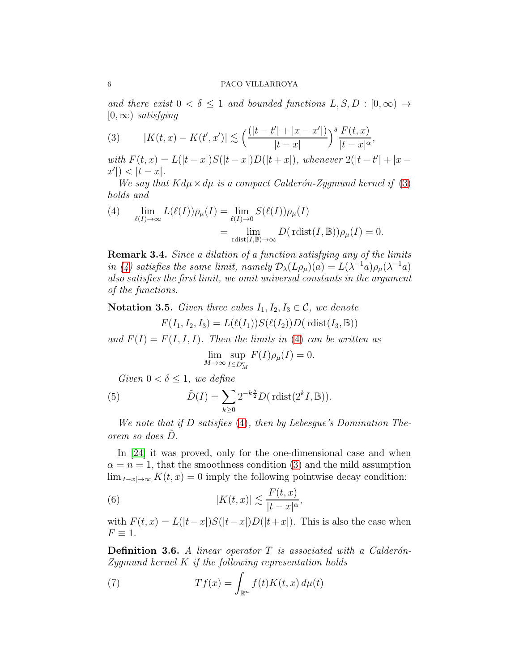and there exist  $0 < \delta \leq 1$  and bounded functions  $L, S, D : [0, \infty) \rightarrow$  $[0, \infty)$  satisfying

<span id="page-5-0"></span>(3) 
$$
|K(t,x) - K(t',x')| \lesssim \left(\frac{(|t-t'| + |x-x'|)}{|t-x|}\right)^{\delta} \frac{F(t,x)}{|t-x|^{\alpha}},
$$

with  $F(t, x) = L(|t - x|)S(|t - x|)D(|t + x|)$ , whenever  $2(|t - t'| + |x |x'|$ ) <  $|t - x|$ .

We say that  $Kd\mu \times d\mu$  is a compact Calderón-Zygmund kernel if [\(3\)](#page-5-0) holds and

<span id="page-5-1"></span>(4) 
$$
\lim_{\ell(I) \to \infty} L(\ell(I)) \rho_{\mu}(I) = \lim_{\ell(I) \to 0} S(\ell(I)) \rho_{\mu}(I)
$$

$$
= \lim_{\text{rdist}(I,\mathbb{B}) \to \infty} D(\text{rdist}(I,\mathbb{B})) \rho_{\mu}(I) = 0.
$$

Remark 3.4. Since a dilation of a function satisfying any of the limits in [\(4\)](#page-5-1) satisfies the same limit, namely  $\mathcal{D}_{\lambda}(L\rho_{\mu})(a) = L(\lambda^{-1}a)\rho_{\mu}(\lambda^{-1}a)$ also satisfies the first limit, we omit universal constants in the argument of the functions.

<span id="page-5-4"></span>Notation 3.5. Given three cubes  $I_1, I_2, I_3 \in \mathcal{C}$ , we denote

$$
F(I_1, I_2, I_3) = L(\ell(I_1))S(\ell(I_2))D(\text{rdist}(I_3, \mathbb{B}))
$$

and  $F(I) = F(I, I, I)$ . Then the limits in [\(4\)](#page-5-1) can be written as

<span id="page-5-5"></span> $\lim_{M\to\infty} \sup_{I\in D_2^c}$  $I\in D^c_M$  $F(I)\rho_{\mu}(I)=0.$ 

Given  $0 < \delta \leq 1$ , we define

(5) 
$$
\tilde{D}(I) = \sum_{k \ge 0} 2^{-k\frac{\delta}{2}} D(\text{rdist}(2^k I, \mathbb{B})).
$$

We note that if D satisfies [\(4\)](#page-5-1), then by Lebesgue's Domination Theorem so does  $\tilde{D}$ .

In [\[24\]](#page-69-9) it was proved, only for the one-dimensional case and when  $\alpha = n = 1$ , that the smoothness condition [\(3\)](#page-5-0) and the mild assumption  $\lim_{|t-x|\to\infty} K(t,x) = 0$  imply the following pointwise decay condition:

<span id="page-5-2"></span>(6) 
$$
|K(t,x)| \lesssim \frac{F(t,x)}{|t-x|^{\alpha}},
$$

with  $F(t, x) = L(|t-x|)S(|t-x|)D(|t+x|)$ . This is also the case when  $F \equiv 1.$ 

<span id="page-5-6"></span>**Definition 3.6.** A linear operator  $T$  is associated with a Calderón- $Zygmund\, Kernel\,K\,if\,the\,following\,representation\,holds$ 

<span id="page-5-3"></span>(7) 
$$
Tf(x) = \int_{\mathbb{R}^n} f(t)K(t, x) d\mu(t)
$$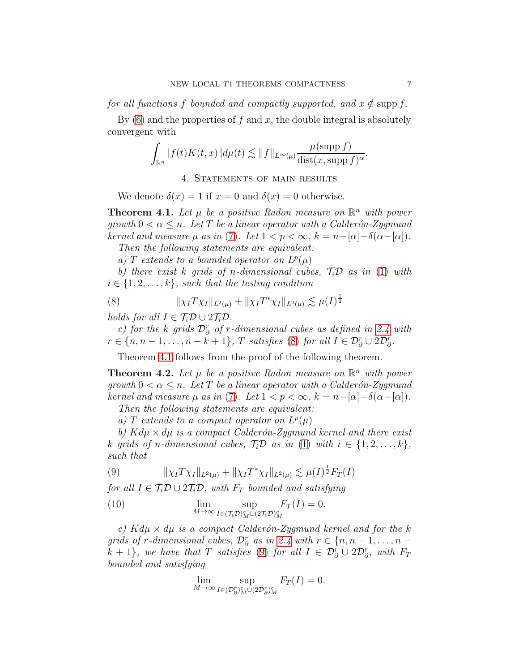for all functions f bounded and compactly supported, and  $x \notin \text{supp } f$ .

By  $(6)$  and the properties of f and x, the double integral is absolutely convergent with

$$
\int_{\mathbb{R}^n} |f(t)K(t,x)| d\mu(t) \lesssim \|f\|_{L^{\infty}(\mu)} \frac{\mu(\mathrm{supp}\, f)}{\mathrm{dist}(x, \mathrm{supp}\, f)^{\alpha}}.
$$

### 4. STATEMENTS OF MAIN RESULTS

We denote  $\delta(x) = 1$  if  $x = 0$  and  $\delta(x) = 0$  otherwise.

<span id="page-6-0"></span>**Theorem 4.1.** Let  $\mu$  be a positive Radon measure on  $\mathbb{R}^n$  with power qrowth  $0 < \alpha \leq n$ . Let T be a linear operator with a Calderón-Zygmund kernel and measure  $\mu$  as in [\(7\)](#page-5-3). Let  $1 < p < \infty$ ,  $k = n - [\alpha] + \delta(\alpha - [\alpha])$ .

Then the following statements are equivalent:

a) T extends to a bounded operator on  $L^p(\mu)$ 

b) there exist k grids of n-dimensional cubes,  $\mathcal{T}_i\mathcal{D}$  as in [\(1\)](#page-2-0) with  $i \in \{1, 2, \ldots, k\}$ , such that the testing condition

<span id="page-6-2"></span>(8) 
$$
\|\chi_I T \chi_I\|_{L^2(\mu)} + \|\chi_I T^* \chi_I\|_{L^2(\mu)} \lesssim \mu(I)^{\frac{1}{2}}
$$

holds for all  $I \in \mathcal{T}_i \mathcal{D} \cup 2\mathcal{T}_i \mathcal{D}$ .

c) for the k grids  $\mathcal{D}_{\partial}^{r}$  of r-dimensional cubes as defined in [2.4](#page-3-0) with  $r \in \{n, n-1, \ldots, n-k+1\}, T \text{ satisfies (8) for all } I \in \mathcal{D}_{\partial}^r \cup 2\mathcal{D}_{\partial}^r.$  $r \in \{n, n-1, \ldots, n-k+1\}, T \text{ satisfies (8) for all } I \in \mathcal{D}_{\partial}^r \cup 2\mathcal{D}_{\partial}^r.$  $r \in \{n, n-1, \ldots, n-k+1\}, T \text{ satisfies (8) for all } I \in \mathcal{D}_{\partial}^r \cup 2\mathcal{D}_{\partial}^r.$ 

Theorem [4.1](#page-6-0) follows from the proof of the following theorem.

<span id="page-6-1"></span>**Theorem 4.2.** Let  $\mu$  be a positive Radon measure on  $\mathbb{R}^n$  with power growth  $0 < \alpha \leq n$ . Let T be a linear operator with a Calderón-Zygmund kernel and measure  $\mu$  as in [\(7\)](#page-5-3). Let  $1 < p < \infty$ ,  $k = n - [\alpha] + \delta(\alpha - [\alpha])$ .

Then the following statements are equivalent:

a) T extends to a compact operator on  $L^p(\mu)$ 

b)  $Kd\mu \times d\mu$  is a compact Calderón-Zygmund kernel and there exist k grids of n-dimensional cubes,  $\mathcal{T}_i \mathcal{D}$  as in [\(1\)](#page-2-0) with  $i \in \{1, 2, ..., k\},$ such that

<span id="page-6-3"></span>(9) 
$$
\|\chi_I T \chi_I\|_{L^2(\mu)} + \|\chi_I T^* \chi_I\|_{L^2(\mu)} \lesssim \mu(I)^{\frac{1}{2}} F_T(I)
$$

for all  $I \in \mathcal{T}_i \mathcal{D} \cup 2\mathcal{T}_i \mathcal{D}$ , with  $F_T$  bounded and satisfying

<span id="page-6-4"></span>(10) 
$$
\lim_{M \to \infty} \sup_{I \in (\mathcal{T}_i \mathcal{D})^c_M \cup (2\mathcal{T}_i \mathcal{D})^c_M} F_T(I) = 0.
$$

c)  $Kd\mu \times d\mu$  is a compact Calderón-Zygmund kernel and for the k grids of r-dimensional cubes,  $\mathcal{D}_{\partial}^r$  as in [2.4](#page-3-0) with  $r \in \{n, n-1, \ldots, n-1\}$  $k+1$ , we have that T satisfies [\(9\)](#page-6-3) for all  $I \in \mathcal{D}_{\partial}^{r} \cup 2\mathcal{D}_{\partial}^{r}$ , with  $F_{T}$ bounded and satisfying

$$
\lim_{M \to \infty} \sup_{I \in (\mathcal{D}_{\partial})_M^c \cup (2\mathcal{D}_{\partial})_M^c} F_T(I) = 0.
$$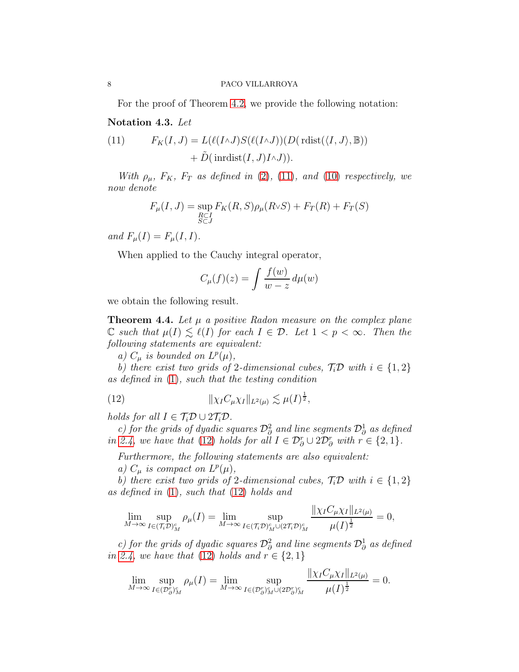For the proof of Theorem [4.2,](#page-6-1) we provide the following notation:

## Notation 4.3. Let

<span id="page-7-1"></span>(11) 
$$
F_K(I, J) = L(\ell(I \wedge J)S(\ell(I \wedge J))(D(\text{rlist}(\langle I, J \rangle, \mathbb{B})) + \tilde{D}(\text{inrdist}(I, J)I \wedge J)).
$$

With  $\rho_{\mu}$ ,  $F_K$ ,  $F_T$  as defined in [\(2\)](#page-4-0), [\(11\)](#page-7-1), and [\(10\)](#page-6-4) respectively, we now denote

$$
F_{\mu}(I,J) = \sup_{\substack{R \subset I \\ S \subset J}} F_K(R,S)\rho_{\mu}(R \vee S) + F_T(R) + F_T(S)
$$

and  $F_{\mu}(I) = F_{\mu}(I, I)$ .

When applied to the Cauchy integral operator,

$$
C_{\mu}(f)(z) = \int \frac{f(w)}{w - z} d\mu(w)
$$

we obtain the following result.

<span id="page-7-0"></span>**Theorem 4.4.** Let  $\mu$  a positive Radon measure on the complex plane  $\mathbb C$  such that  $\mu(I) \leq \ell(I)$  for each  $I \in \mathcal D$ . Let  $1 < p < \infty$ . Then the following statements are equivalent:

a)  $C_{\mu}$  is bounded on  $L^{p}(\mu)$ ,

b) there exist two grids of 2-dimensional cubes,  $\mathcal{T}_i \mathcal{D}$  with  $i \in \{1,2\}$ as defined in [\(1\)](#page-2-0), such that the testing condition

<span id="page-7-2"></span>(12) 
$$
\|\chi_{I}C_{\mu}\chi_{I}\|_{L^{2}(\mu)} \lesssim \mu(I)^{\frac{1}{2}},
$$

holds for all  $I \in \mathcal{T}_i \mathcal{D} \cup 2\mathcal{T}_i \mathcal{D}$ .

c) for the grids of dyadic squares  $\mathcal{D}^2_\partial$  and line segments  $\mathcal{D}^1_\partial$  as defined in [2.4,](#page-3-0) we have that [\(12\)](#page-7-2) holds for all  $I \in \mathcal{D}_{\partial}^r \cup 2\mathcal{D}_{\partial}^r$  with  $r \in \{2, 1\}$ .

Furthermore, the following statements are also equivalent:

a)  $C_{\mu}$  is compact on  $L^{p}(\mu)$ ,

b) there exist two grids of 2-dimensional cubes,  $\mathcal{T}_i \mathcal{D}$  with  $i \in \{1, 2\}$ as defined in [\(1\)](#page-2-0), such that [\(12\)](#page-7-2) holds and

$$
\lim_{M \to \infty} \sup_{I \in (\mathcal{T}_i \mathcal{D})_M^c} \rho_\mu(I) = \lim_{M \to \infty} \sup_{I \in (\mathcal{T}_i \mathcal{D})_M^c \cup (2\mathcal{T}_i \mathcal{D})_M^c} \frac{\|\chi_I C_\mu \chi_I\|_{L^2(\mu)}}{\mu(I)^{\frac{1}{2}}} = 0,
$$

c) for the grids of dyadic squares  $\mathcal{D}^2_\partial$  and line segments  $\mathcal{D}^1_\partial$  as defined in [2.4,](#page-3-0) we have that [\(12\)](#page-7-2) holds and  $r \in \{2, 1\}$ 

$$
\lim_{M \to \infty} \sup_{I \in (\mathcal{D}_{\partial})_M^r} \rho_{\mu}(I) = \lim_{M \to \infty} \sup_{I \in (\mathcal{D}_{\partial})_M^r \cup (2\mathcal{D}_{\partial})_M^r} \frac{\|\chi_I C_{\mu}\chi_I\|_{L^2(\mu)}}{\mu(I)^{\frac{1}{2}}} = 0.
$$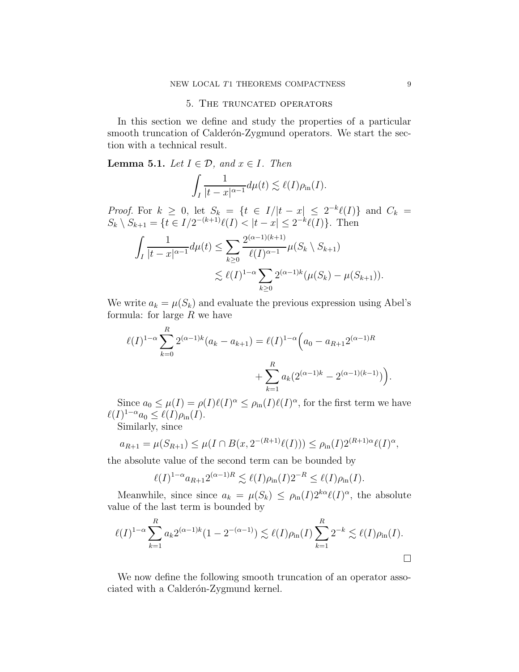#### 5. The truncated operators

In this section we define and study the properties of a particular smooth truncation of Calderón-Zygmund operators. We start the section with a technical result.

### <span id="page-8-0"></span>**Lemma 5.1.** Let  $I \in \mathcal{D}$ , and  $x \in I$ . Then

$$
\int_I \frac{1}{|t-x|^{\alpha-1}} d\mu(t) \lesssim \ell(I)\rho_{\text{in}}(I).
$$

*Proof.* For  $k \geq 0$ , let  $S_k = \{t \in I/|t-x| \leq 2^{-k}\ell(I)\}\$  and  $C_k =$  $S_k \setminus S_{k+1} = \{t \in I/2^{-(k+1)}\ell(I) < |t - x| \leq 2^{-k}\ell(I)\}.$  Then

$$
\int_{I} \frac{1}{|t-x|^{\alpha-1}} d\mu(t) \leq \sum_{k\geq 0} \frac{2^{(\alpha-1)(k+1)}}{\ell(I)^{\alpha-1}} \mu(S_k \setminus S_{k+1})
$$
  

$$
\lesssim \ell(I)^{1-\alpha} \sum_{k\geq 0} 2^{(\alpha-1)k} (\mu(S_k) - \mu(S_{k+1})).
$$

We write  $a_k = \mu(S_k)$  and evaluate the previous expression using Abel's formula: for large  $R$  we have

$$
\ell(I)^{1-\alpha} \sum_{k=0}^{R} 2^{(\alpha-1)k} (a_k - a_{k+1}) = \ell(I)^{1-\alpha} \Big( a_0 - a_{R+1} 2^{(\alpha-1)R} + \sum_{k=1}^{R} a_k (2^{(\alpha-1)k} - 2^{(\alpha-1)(k-1)}) \Big).
$$

Since  $a_0 \leq \mu(I) = \rho(I)\ell(I)^{\alpha} \leq \rho_{\text{in}}(I)\ell(I)^{\alpha}$ , for the first term we have  $\ell(I)^{1-\alpha}a_0 \leq \ell(I)\rho_{\text{in}}(I).$ 

Similarly, since

$$
a_{R+1} = \mu(S_{R+1}) \le \mu(I \cap B(x, 2^{-(R+1)}\ell(I))) \le \rho_{\text{in}}(I)2^{(R+1)\alpha}\ell(I)^{\alpha},
$$

the absolute value of the second term can be bounded by

$$
\ell(I)^{1-\alpha}a_{R+1}2^{(\alpha-1)R}\lesssim \ell(I)\rho_{\rm in}(I)2^{-R}\leq \ell(I)\rho_{\rm in}(I).
$$

Meanwhile, since since  $a_k = \mu(S_k) \leq \rho_{\text{in}}(I) 2^{k\alpha} \ell(I)^{\alpha}$ , the absolute value of the last term is bounded by

$$
\ell(I)^{1-\alpha} \sum_{k=1}^{R} a_k 2^{(\alpha-1)k} (1 - 2^{-(\alpha-1)}) \lesssim \ell(I) \rho_{\text{in}}(I) \sum_{k=1}^{R} 2^{-k} \lesssim \ell(I) \rho_{\text{in}}(I).
$$

We now define the following smooth truncation of an operator associated with a Calderón-Zygmund kernel.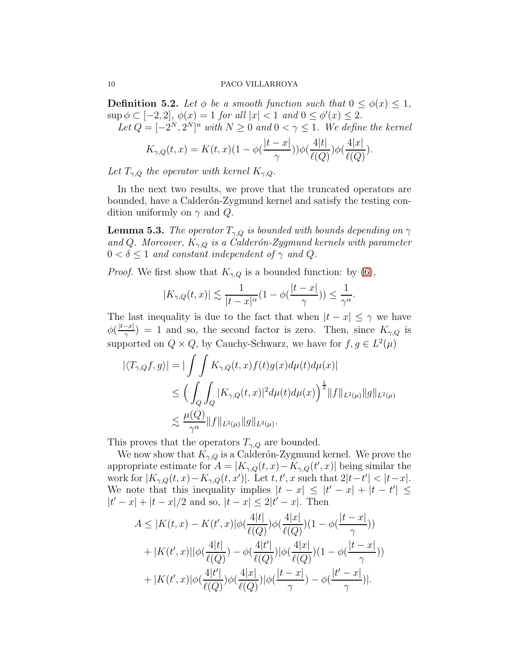<span id="page-9-0"></span>**Definition 5.2.** Let  $\phi$  be a smooth function such that  $0 \leq \phi(x) \leq 1$ ,  $\sup \phi \subset [-2,2], \ \phi(x) = 1 \ \text{for all } |x| < 1 \ \text{and } 0 \leq \phi'(x) \leq 2.$ Let  $Q = [-2^N, 2^N]^n$  with  $N \geq 0$  and  $0 < \gamma \leq 1$ . We define the kernel

$$
K_{\gamma,Q}(t,x) = K(t,x)(1 - \phi(\frac{|t-x|}{\gamma}))\phi(\frac{4|t|}{\ell(Q)})\phi(\frac{4|x|}{\ell(Q)}).
$$

Let  $T_{\gamma,Q}$  the operator with kernel  $K_{\gamma,Q}$ .

In the next two results, we prove that the truncated operators are bounded, have a Calderon-Zygmund kernel and satisfy the testing condition uniformly on  $\gamma$  and  $Q$ .

<span id="page-9-1"></span>**Lemma 5.3.** The operator  $T_{\gamma,Q}$  is bounded with bounds depending on  $\gamma$ and Q. Moreover,  $K_{\gamma,0}$  is a Calderón-Zygmund kernels with parameter  $0 < \delta \leq 1$  and constant independent of  $\gamma$  and Q.

*Proof.* We first show that  $K_{\gamma,Q}$  is a bounded function: by [\(6\)](#page-5-2),

$$
|K_{\gamma,Q}(t,x)| \lesssim \frac{1}{|t-x|^{\alpha}}(1-\phi(\frac{|t-x|}{\gamma})) \le \frac{1}{\gamma^{\alpha}}.
$$

The last inequality is due to the fact that when  $|t - x| \le \gamma$  we have  $\phi\left(\frac{|t-x|}{\gamma}\right)$  $(\frac{-x_1}{\gamma}) = 1$  and so, the second factor is zero. Then, since  $K_{\gamma,Q}$  is supported on  $Q \times Q$ , by Cauchy-Schwarz, we have for  $f, g \in L^2(\mu)$ 

$$
\begin{aligned} |\langle T_{\gamma,Q}f,g\rangle| &= |\int\int K_{\gamma,Q}(t,x)f(t)g(x)d\mu(t)d\mu(x)| \\ &\leq \Big(\int_Q \int_Q |K_{\gamma,Q}(t,x)|^2 d\mu(t)d\mu(x)\Big)^{\frac{1}{2}} \|f\|_{L^2(\mu)} \|g\|_{L^2(\mu)} \\ &\lesssim \frac{\mu(Q)}{\gamma^{\alpha}} \|f\|_{L^2(\mu)} \|g\|_{L^2(\mu)}. \end{aligned}
$$

This proves that the operators  $T_{\gamma,Q}$  are bounded.

We now show that  $K_{\gamma,Q}$  is a Calderón-Zygmund kernel. We prove the appropriate estimate for  $A = |K_{\gamma,Q}(t,x) - K_{\gamma,Q}(t',x)|$  being similar the work for  $|K_{\gamma,Q}(t,x)-K_{\gamma,Q}(t,x')|$ . Let  $t, t', x$  such that  $2|t-t'| < |t-x|$ . We note that this inequality implies  $|t - x| \leq |t' - x| + |t - t'| \leq$  $|t'-x| + |t-x|/2$  and so,  $|t-x| \leq 2|t'-x|$ . Then

$$
A \leq |K(t, x) - K(t', x)|\phi(\frac{4|t|}{\ell(Q)})\phi(\frac{4|x|}{\ell(Q)})(1 - \phi(\frac{|t - x|}{\gamma}))
$$
  
+ |K(t', x)||\phi(\frac{4|t|}{\ell(Q)}) - \phi(\frac{4|t'|}{\ell(Q)})|\phi(\frac{4|x|}{\ell(Q)})(1 - \phi(\frac{|t - x|}{\gamma}))  
+ |K(t', x)|\phi(\frac{4|t'|}{\ell(Q)})\phi(\frac{4|x|}{\ell(Q)})|\phi(\frac{|t - x|}{\gamma}) - \phi(\frac{|t' - x|}{\gamma})|.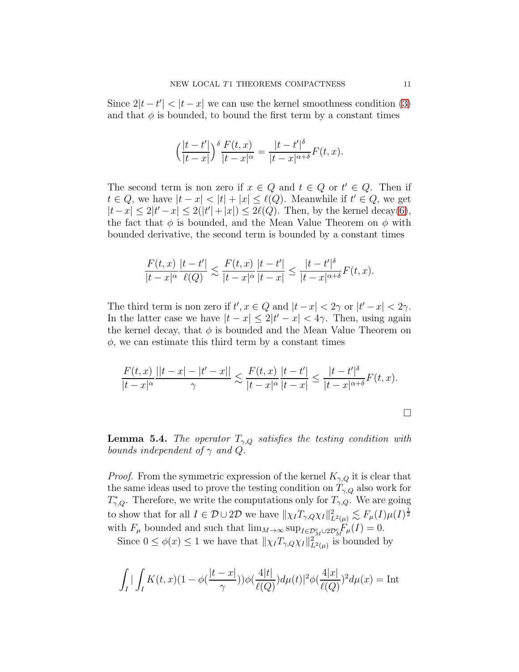Since  $2|t-t'| < |t-x|$  we can use the kernel smoothness condition [\(3\)](#page-5-0) and that  $\phi$  is bounded, to bound the first term by a constant times

$$
\left(\frac{|t-t'|}{|t-x|}\right)^{\delta} \frac{F(t,x)}{|t-x|^{\alpha}} = \frac{|t-t'|^{\delta}}{|t-x|^{\alpha+\delta}} F(t,x).
$$

The second term is non zero if  $x \in Q$  and  $t \in Q$  or  $t' \in Q$ . Then if  $t \in Q$ , we have  $|t - x| < |t| + |x| \leq \ell(Q)$ . Meanwhile if  $t' \in Q$ , we get  $|t-x| \leq 2|t'-x| \leq 2(|t'|+|x|) \leq 2\ell(Q)$ . Then, by the kernel decay[\(6\)](#page-5-2), the fact that  $\phi$  is bounded, and the Mean Value Theorem on  $\phi$  with bounded derivative, the second term is bounded by a constant times

$$
\frac{F(t,x)}{|t-x|^{\alpha}}\frac{|t-t'|}{\ell(Q)}\lesssim \frac{F(t,x)}{|t-x|^{\alpha}}\frac{|t-t'|}{|t-x|}\leq \frac{|t-t'|^{\delta}}{|t-x|^{\alpha+\delta}}F(t,x).
$$

The third term is non zero if  $t', x \in Q$  and  $|t-x| < 2\gamma$  or  $|t'-x| < 2\gamma$ . In the latter case we have  $|t - x| \leq 2|t' - x| < 4\gamma$ . Then, using again the kernel decay, that  $\phi$  is bounded and the Mean Value Theorem on  $\phi$ , we can estimate this third term by a constant times

$$
\frac{F(t,x)}{|t-x|^{\alpha}}\frac{||t-x|-|t'-x||}{\gamma} \lesssim \frac{F(t,x)}{|t-x|^{\alpha}}\frac{|t-t'|}{|t-x|} \le \frac{|t-t'|^{\delta}}{|t-x|^{\alpha+\delta}}F(t,x).
$$

**Lemma 5.4.** The operator  $T_{\gamma,Q}$  satisfies the testing condition with bounds independent of  $\gamma$  and  $Q$ .

*Proof.* From the symmetric expression of the kernel  $K_{\gamma,Q}$  it is clear that the same ideas used to prove the testing condition on  $T_{\gamma,Q}$  also work for  $T^*_{\gamma,Q}$ . Therefore, we write the computations only for  $T_{\gamma,Q}$ . We are going to show that for all  $I \in \mathcal{D} \cup 2\mathcal{D}$  we have  $||\chi_I T_{\gamma, Q} \chi_I||^2_{L^2(\mu)} \lesssim F_\mu(I) \mu(I)^{\frac{1}{2}}$ with  $F_{\mu}$  bounded and such that  $\lim_{M\to\infty} \sup_{I\in\mathcal{D}_M^c\cup 2\mathcal{D}_M^c} F_{\mu}(I) = 0.$ 

Since  $0 \le \phi(x) \le 1$  we have that  $\|\chi_I T_{\gamma, Q}\chi_I\|_{L^2(\mu)}^2$  is bounded by

$$
\int_{I} \left| \int_{I} K(t, x)(1 - \phi(\frac{|t - x|}{\gamma})) \phi(\frac{4|t|}{\ell(Q)}) d\mu(t) \right|^{2} \phi(\frac{4|x|}{\ell(Q)})^{2} d\mu(x) = \text{Int}
$$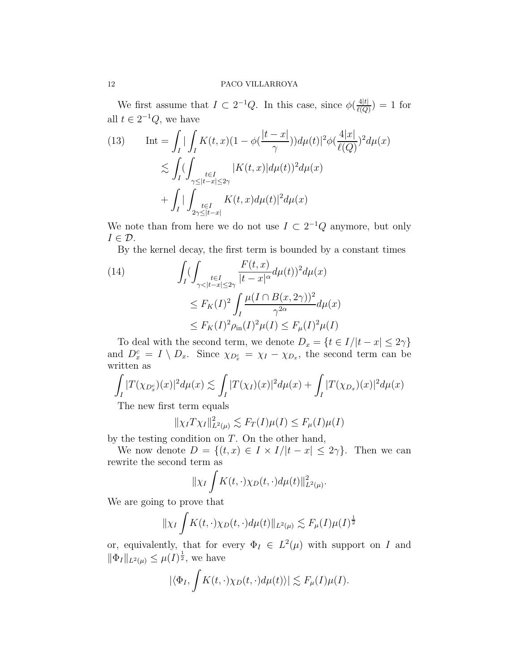We first assume that  $I \subset 2^{-1}Q$ . In this case, since  $\phi\left(\frac{4|t|}{\rho\left(Q\right)}\right)$  $\frac{4|t|}{\ell(Q)}$  = 1 for all  $t \in 2^{-1}Q$ , we have

<span id="page-11-1"></span>(13) Int = 
$$
\int_{I} \int_{I} K(t, x)(1 - \phi(\frac{|t - x|}{\gamma})) d\mu(t)|^{2} \phi(\frac{4|x|}{\ell(Q)})^{2} d\mu(x)
$$

$$
\lesssim \int_{I} (\int_{\substack{t \in I \\ \gamma \leq |t - x| \leq 2\gamma}} |K(t, x)| d\mu(t))^{2} d\mu(x)
$$

$$
+ \int_{I} |\int_{\substack{t \in I \\ 2\gamma \leq |t - x|}} K(t, x) d\mu(t)|^{2} d\mu(x)
$$

We note than from here we do not use  $I \subset 2^{-1}Q$  anymore, but only  $I \in \mathcal{D}$ .

By the kernel decay, the first term is bounded by a constant times

<span id="page-11-0"></span>(14)  
\n
$$
\int_{I} \left( \int_{\gamma < |t-x| \le 2\gamma} \frac{F(t,x)}{|t-x|^{\alpha}} d\mu(t) \right)^{2} d\mu(x)
$$
\n
$$
\le F_{K}(I)^{2} \int_{I} \frac{\mu(I \cap B(x, 2\gamma))^{2}}{\gamma^{2\alpha}} d\mu(x)
$$
\n
$$
\le F_{K}(I)^{2} \rho_{\text{in}}(I)^{2} \mu(I) \le F_{\mu}(I)^{2} \mu(I)
$$

To deal with the second term, we denote  $D_x = \{t \in I/|t - x| \leq 2\gamma\}$ and  $D_x^c = I \setminus D_x$ . Since  $\chi_{D_x^c} = \chi_I - \chi_{D_x}$ , the second term can be written as

$$
\int_I |T(\chi_{D_x^c})(x)|^2 d\mu(x) \lesssim \int_I |T(\chi_I)(x)|^2 d\mu(x) + \int_I |T(\chi_{D_x})(x)|^2 d\mu(x)
$$

The new first term equals

$$
\|\chi_I T \chi_I\|_{L^2(\mu)}^2 \lesssim F_T(I)\mu(I) \leq F_\mu(I)\mu(I)
$$

by the testing condition on  $T$ . On the other hand,

We now denote  $D = \{(t, x) \in I \times I/|t - x| \leq 2\gamma\}$ . Then we can rewrite the second term as

$$
\|\chi_I\int K(t,\cdot)\chi_D(t,\cdot)d\mu(t)\|_{L^2(\mu)}^2.
$$

We are going to prove that

$$
\|\chi_I\int K(t,\cdot)\chi_D(t,\cdot)d\mu(t)\|_{L^2(\mu)} \lesssim F_\mu(I)\mu(I)^{\frac{1}{2}}
$$

or, equivalently, that for every  $\Phi_I \in L^2(\mu)$  with support on I and  $\|\Phi_{I}\|_{L^{2}(\mu)} \leq \mu(I)^{\frac{1}{2}},$  we have

$$
|\langle \Phi_I, \int K(t,\cdot) \chi_D(t,\cdot) d\mu(t) \rangle| \lesssim F_\mu(I)\mu(I).
$$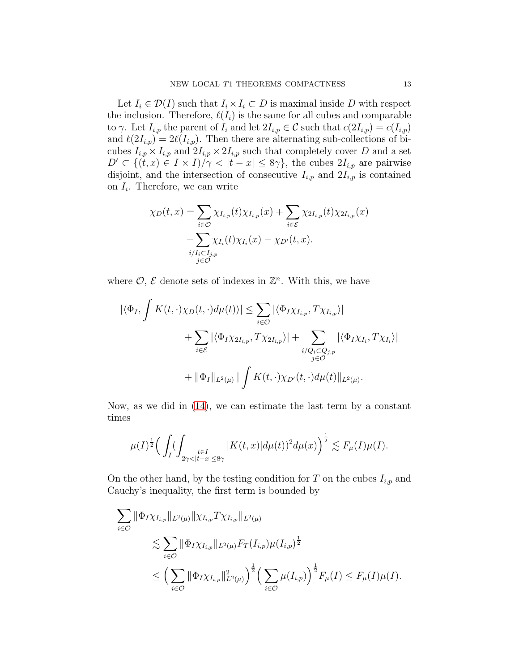Let  $I_i \in \mathcal{D}(I)$  such that  $I_i \times I_i \subset D$  is maximal inside D with respect the inclusion. Therefore,  $\ell(I_i)$  is the same for all cubes and comparable to  $\gamma$ . Let  $I_{i,p}$  the parent of  $I_i$  and let  $2I_{i,p} \in \mathcal{C}$  such that  $c(2I_{i,p}) = c(I_{i,p})$ and  $\ell(2I_{i,p}) = 2\ell(I_{i,p})$ . Then there are alternating sub-collections of bicubes  $I_{i,p} \times I_{i,p}$  and  $2I_{i,p} \times 2I_{i,p}$  such that completely cover D and a set  $D' \subset \{(t, x) \in I \times I\}/\gamma < |t - x| \leq 8\gamma\}$ , the cubes  $2I_{i,p}$  are pairwise disjoint, and the intersection of consecutive  $I_{i,p}$  and  $2I_{i,p}$  is contained on  $I_i$ . Therefore, we can write

$$
\chi_D(t,x) = \sum_{i \in \mathcal{O}} \chi_{I_{i,p}}(t) \chi_{I_{i,p}}(x) + \sum_{i \in \mathcal{E}} \chi_{2I_{i,p}}(t) \chi_{2I_{i,p}}(x)
$$

$$
- \sum_{\substack{i/I_i \subset I_{j,p} \\ j \in \mathcal{O}}} \chi_{I_i}(t) \chi_{I_i}(x) - \chi_{D'}(t,x).
$$

where  $\mathcal{O}, \mathcal{E}$  denote sets of indexes in  $\mathbb{Z}^n$ . With this, we have

$$
\begin{aligned} |\langle \Phi_I, \int K(t, \cdot) \chi_D(t, \cdot) d\mu(t) \rangle| &\leq \sum_{i \in \mathcal{O}} |\langle \Phi_I \chi_{I_{i,p}}, T \chi_{I_{i,p}} \rangle| \\ &+ \sum_{i \in \mathcal{E}} |\langle \Phi_I \chi_{2I_{i,p}}, T \chi_{2I_{i,p}} \rangle| + \sum_{\substack{i/Q_i \subset Q_{j,p} \\ j \in \mathcal{O}}} |\langle \Phi_I \chi_{I_i}, T \chi_{I_i} \rangle| \\ &+ \|\Phi_I\|_{L^2(\mu)} \| \int K(t, \cdot) \chi_{D'}(t, \cdot) d\mu(t) \|_{L^2(\mu)}. \end{aligned}
$$

Now, as we did in [\(14\)](#page-11-0), we can estimate the last term by a constant times

$$
\mu(I)^{\frac12}\Big(\int_I(\int_{2\gamma<|t-x|\leq 8\gamma}|K(t,x)|d\mu(t))^2d\mu(x)\Big)^{\frac12}\lesssim F_\mu(I)\mu(I).
$$

On the other hand, by the testing condition for  $T$  on the cubes  $I_{i,p}$  and Cauchy's inequality, the first term is bounded by

$$
\sum_{i \in \mathcal{O}} \|\Phi_I \chi_{I_{i,p}}\|_{L^2(\mu)} \|\chi_{I_{i,p}} T \chi_{I_{i,p}}\|_{L^2(\mu)} \n\lesssim \sum_{i \in \mathcal{O}} \|\Phi_I \chi_{I_{i,p}}\|_{L^2(\mu)} F_T(I_{i,p}) \mu(I_{i,p})^{\frac{1}{2}} \n\leq \Big(\sum_{i \in \mathcal{O}} \|\Phi_I \chi_{I_{i,p}}\|_{L^2(\mu)}^2\Big)^{\frac{1}{2}} \Big(\sum_{i \in \mathcal{O}} \mu(I_{i,p})\Big)^{\frac{1}{2}} F_{\mu}(I) \leq F_{\mu}(I) \mu(I).
$$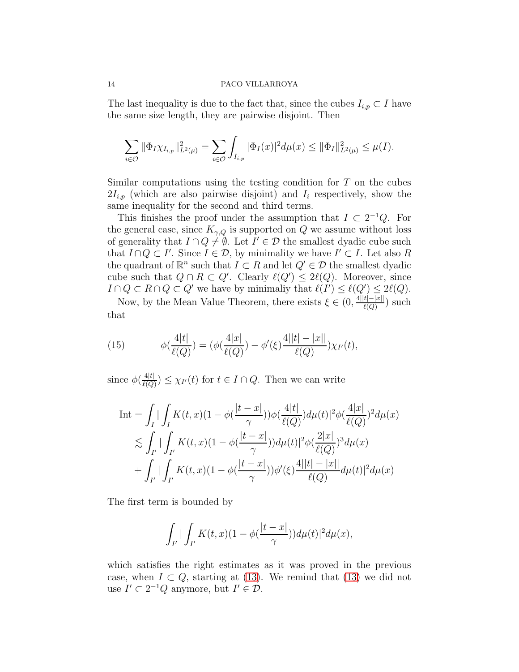The last inequality is due to the fact that, since the cubes  $I_{i,p} \subset I$  have the same size length, they are pairwise disjoint. Then

$$
\sum_{i\in\mathcal{O}} \|\Phi_I \chi_{I_{i,p}}\|_{L^2(\mu)}^2 = \sum_{i\in\mathcal{O}} \int_{I_{i,p}} |\Phi_I(x)|^2 d\mu(x) \le \|\Phi_I\|_{L^2(\mu)}^2 \le \mu(I).
$$

Similar computations using the testing condition for  $T$  on the cubes  $2I_{i,p}$  (which are also pairwise disjoint) and  $I_i$  respectively, show the same inequality for the second and third terms.

This finishes the proof under the assumption that  $I \subset 2^{-1}Q$ . For the general case, since  $K_{\gamma,Q}$  is supported on Q we assume without loss of generality that  $I \cap Q \neq \emptyset$ . Let  $I' \in \mathcal{D}$  the smallest dyadic cube such that  $I \cap Q \subset I'$ . Since  $I \in \mathcal{D}$ , by minimality we have  $I' \subset I$ . Let also R the quadrant of  $\mathbb{R}^n$  such that  $I \subset R$  and let  $Q' \in \mathcal{D}$  the smallest dyadic cube such that  $Q \cap R \subset Q'$ . Clearly  $\ell(Q') \leq 2\ell(Q)$ . Moreover, since  $I \cap Q \subset R \cap Q \subset Q'$  we have by minimaliy that  $\ell(I') \leq \ell(Q') \leq 2\ell(Q)$ .

Now, by the Mean Value Theorem, there exists  $\xi \in (0, \frac{4||t|-|x||}{\ell(\Omega)}$  $\frac{t|-|x||}{\ell(Q)}$ ) such that

(15) 
$$
\phi(\frac{4|t|}{\ell(Q)}) = (\phi(\frac{4|x|}{\ell(Q)}) - \phi'(\xi)\frac{4||t| - |x||}{\ell(Q)})\chi_{I'}(t),
$$

since  $\phi(\frac{4|t|}{\ell(Q)}$  $\frac{4|t|}{\ell(Q)}$   $\leq \chi_{I'}(t)$  for  $t \in I \cap Q$ . Then we can write

$$
\begin{split} \text{Int} &= \int_{I} \left| \int_{I} K(t,x)(1-\phi(\frac{|t-x|}{\gamma}))\phi(\frac{4|t|}{\ell(Q)})d\mu(t) \right|^{2}\phi(\frac{4|x|}{\ell(Q)})^{2}d\mu(x) \\ &\lesssim \int_{I'} \left| \int_{I'} K(t,x)(1-\phi(\frac{|t-x|}{\gamma}))d\mu(t) \right|^{2}\phi(\frac{2|x|}{\ell(Q)})^{3}d\mu(x) \\ &+ \int_{I'} \left| \int_{I'} K(t,x)(1-\phi(\frac{|t-x|}{\gamma}))\phi'(\xi) \frac{4||t|-|x||}{\ell(Q)}d\mu(t) \right|^{2}d\mu(x) \end{split}
$$

The first term is bounded by

$$
\int_{I'}\left|\int_{I'}K(t,x)(1-\phi(\frac{|t-x|}{\gamma}))d\mu(t)\right|^2d\mu(x),
$$

which satisfies the right estimates as it was proved in the previous case, when  $I \subset Q$ , starting at [\(13\)](#page-11-1). We remind that (13) we did not use  $I' \subset 2^{-1}Q$  anymore, but  $I' \in \mathcal{D}$ .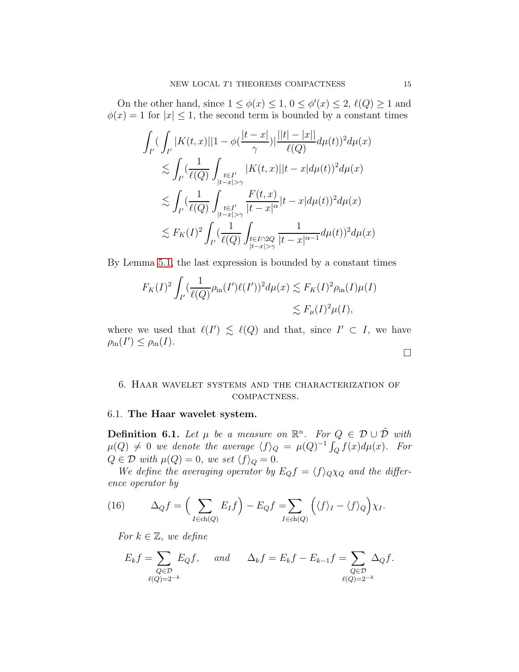On the other hand, since  $1 \leq \phi(x) \leq 1, 0 \leq \phi'(x) \leq 2, \ell(Q) \geq 1$  and  $\phi(x) = 1$  for  $|x| \leq 1$ , the second term is bounded by a constant times

$$
\int_{I'} (\int_{I'} |K(t,x)||1 - \phi(\frac{|t-x|}{\gamma})| \frac{||t|-|x||}{\ell(Q)} d\mu(t))^2 d\mu(x)
$$
\n
$$
\lesssim \int_{I'} (\frac{1}{\ell(Q)} \int_{\substack{t \in I'\\ |t-x| > \gamma}} |K(t,x)||t-x| d\mu(t))^2 d\mu(x)
$$
\n
$$
\lesssim \int_{I'} (\frac{1}{\ell(Q)} \int_{\substack{t \in I'\\ |t-x| > \gamma}} \frac{F(t,x)}{|t-x|^{\alpha}} |t-x| d\mu(t))^2 d\mu(x)
$$
\n
$$
\lesssim F_K(I)^2 \int_{I'} (\frac{1}{\ell(Q)} \int_{\substack{t \in I \cap 2Q\\ |t-x| > \gamma}} \frac{1}{|t-x|^{\alpha-1}} d\mu(t))^2 d\mu(x)
$$

By Lemma [5.1,](#page-8-0) the last expression is bounded by a constant times

$$
F_K(I)^2 \int_{I'} (\frac{1}{\ell(Q)} \rho_{\text{in}}(I')\ell(I'))^2 d\mu(x) \lesssim F_K(I)^2 \rho_{\text{in}}(I)\mu(I)
$$
  

$$
\lesssim F_\mu(I)^2 \mu(I),
$$

where we used that  $\ell(I') \leq \ell(Q)$  and that, since  $I' \subset I$ , we have  $\rho_{\text{in}}(I') \leq \rho_{\text{in}}(I).$ 

# 6. Haar wavelet systems and the characterization of compactness.

## 6.1. The Haar wavelet system.

**Definition 6.1.** Let  $\mu$  be a measure on  $\mathbb{R}^n$ . For  $Q \in \mathcal{D} \cup \tilde{\mathcal{D}}$  with  $\mu(Q) \neq 0$  we denote the average  $\langle f \rangle_Q = \mu(Q)^{-1} \int_Q f(x) d\mu(x)$ . For  $Q \in \mathcal{D}$  with  $\mu(Q) = 0$ , we set  $\langle f \rangle_Q = 0$ .

We define the averaging operator by  $E_Qf = \langle f \rangle_Q \chi_Q$  and the difference operator by

<span id="page-14-0"></span>(16) 
$$
\Delta_Q f = \left(\sum_{I \in \text{ch}(Q)} E_I f\right) - E_Q f = \sum_{I \in \text{ch}(Q)} \left(\langle f \rangle_I - \langle f \rangle_Q\right) \chi_I.
$$

For  $k \in \mathbb{Z}$ , we define

$$
E_k f = \sum_{\substack{Q \in \mathcal{D} \\ \ell(Q) = 2^{-k}}} E_Q f, \quad \text{and} \quad \Delta_k f = E_k f - E_{k-1} f = \sum_{\substack{Q \in \mathcal{D} \\ \ell(Q) = 2^{-k}}} \Delta_Q f.
$$

 $\Box$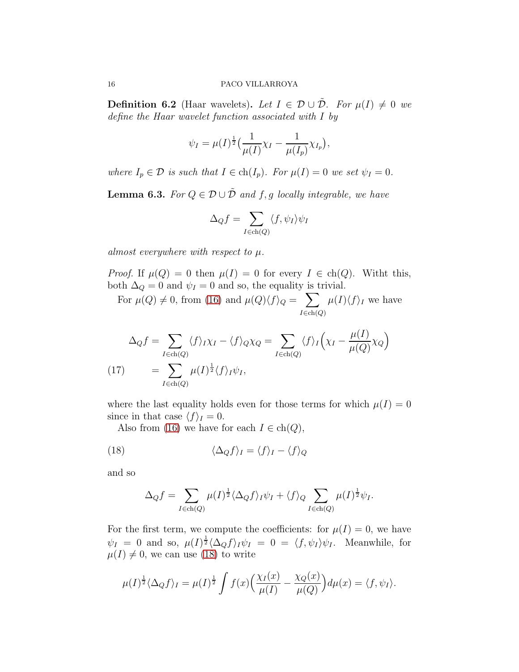<span id="page-15-2"></span>**Definition 6.2** (Haar wavelets). Let  $I \in \mathcal{D} \cup \tilde{\mathcal{D}}$ . For  $\mu(I) \neq 0$  we define the Haar wavelet function associated with I by

$$
\psi_I = \mu(I)^{\frac{1}{2}} \left( \frac{1}{\mu(I)} \chi_I - \frac{1}{\mu(I_p)} \chi_{I_p} \right),
$$

where  $I_p \in \mathcal{D}$  is such that  $I \in ch(I_p)$ . For  $\mu(I) = 0$  we set  $\psi_I = 0$ .

<span id="page-15-1"></span>**Lemma 6.3.** For  $Q \in \mathcal{D} \cup \tilde{\mathcal{D}}$  and f, g locally integrable, we have

$$
\Delta_Q f = \sum_{I \in \text{ch}(Q)} \langle f, \psi_I \rangle \psi_I
$$

almost everywhere with respect to  $\mu$ .

*Proof.* If  $\mu(Q) = 0$  then  $\mu(I) = 0$  for every  $I \in ch(Q)$ . Witht this, both  $\Delta_Q = 0$  and  $\psi_I = 0$  and so, the equality is trivial.

For  $\mu(Q) \neq 0$ , from [\(16\)](#page-14-0) and  $\mu(Q)\langle f \rangle_Q = \sum$  $I \in \text{ch}(Q)$  $\mu(I)\langle f \rangle_I$  we have

$$
\Delta_Q f = \sum_{I \in ch(Q)} \langle f \rangle_I \chi_I - \langle f \rangle_Q \chi_Q = \sum_{I \in ch(Q)} \langle f \rangle_I \Big( \chi_I - \frac{\mu(I)}{\mu(Q)} \chi_Q \Big)
$$
\n(17)\n
$$
= \sum_{I \in ch(Q)} \mu(I)^{\frac{1}{2}} \langle f \rangle_I \psi_I,
$$

where the last equality holds even for those terms for which  $\mu(I) = 0$ since in that case  $\langle f \rangle_I = 0$ .

Also from [\(16\)](#page-14-0) we have for each  $I \in \text{ch}(Q)$ ,

(18) 
$$
\langle \Delta_Q f \rangle_I = \langle f \rangle_I - \langle f \rangle_Q
$$

and so

<span id="page-15-0"></span>
$$
\Delta_Q f = \sum_{I \in \text{ch}(Q)} \mu(I)^{\frac{1}{2}} \langle \Delta_Q f \rangle_I \psi_I + \langle f \rangle_Q \sum_{I \in \text{ch}(Q)} \mu(I)^{\frac{1}{2}} \psi_I.
$$

For the first term, we compute the coefficients: for  $\mu(I) = 0$ , we have  $\psi_I = 0$  and so,  $\mu(I)^{\frac{1}{2}} \langle \Delta_Q f \rangle_I \psi_I = 0 = \langle f, \psi_I \rangle \psi_I$ . Meanwhile, for  $\mu(I) \neq 0$ , we can use [\(18\)](#page-15-0) to write

$$
\mu(I)^{\frac{1}{2}} \langle \Delta_Q f \rangle_I = \mu(I)^{\frac{1}{2}} \int f(x) \Big( \frac{\chi_I(x)}{\mu(I)} - \frac{\chi_Q(x)}{\mu(Q)} \Big) d\mu(x) = \langle f, \psi_I \rangle.
$$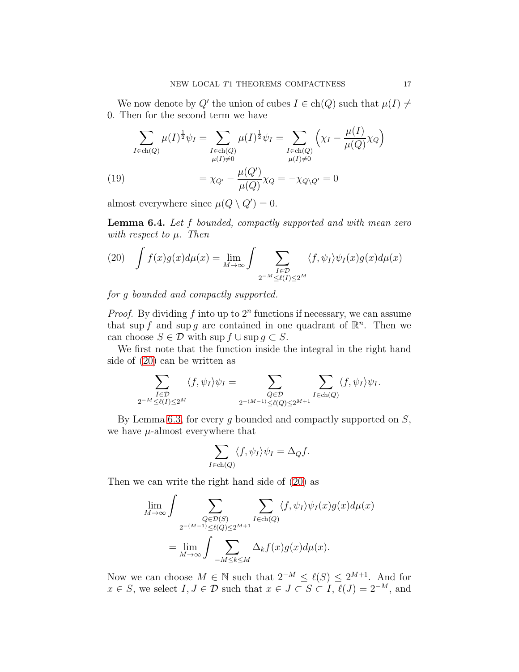We now denote by Q' the union of cubes  $I \in \text{ch}(Q)$  such that  $\mu(I) \neq$ 0. Then for the second term we have

$$
\sum_{I \in ch(Q)} \mu(I)^{\frac{1}{2}} \psi_I = \sum_{\substack{I \in ch(Q) \\ \mu(I) \neq 0}} \mu(I)^{\frac{1}{2}} \psi_I = \sum_{\substack{I \in ch(Q) \\ \mu(I) \neq 0}} \left( \chi_I - \frac{\mu(I)}{\mu(Q)} \chi_Q \right)
$$
\n
$$
= \chi_{Q'} - \frac{\mu(Q')}{\mu(Q)} \chi_Q = -\chi_{Q \setminus Q'} = 0
$$

<span id="page-16-2"></span>almost everywhere since  $\mu(Q \setminus Q') = 0$ .

<span id="page-16-1"></span>**Lemma 6.4.** Let f bounded, compactly supported and with mean zero with respect to  $\mu$ . Then

<span id="page-16-0"></span>(20) 
$$
\int f(x)g(x)d\mu(x) = \lim_{M \to \infty} \int \sum_{\substack{I \in \mathcal{D} \\ 2^{-M} \le l(I) \le 2^M}} \langle f, \psi_I \rangle \psi_I(x)g(x)d\mu(x)
$$

for g bounded and compactly supported.

*Proof.* By dividing f into up to  $2^n$  functions if necessary, we can assume that sup f and sup g are contained in one quadrant of  $\mathbb{R}^n$ . Then we can choose  $S \in \mathcal{D}$  with sup  $f \cup \text{sup } q \subset S$ .

We first note that the function inside the integral in the right hand side of [\(20\)](#page-16-0) can be written as

$$
\sum_{\substack{I \in \mathcal{D} \\ 2^{-M} \le \ell(I) \le 2^M}} \langle f, \psi_I \rangle \psi_I = \sum_{\substack{Q \in \mathcal{D} \\ 2^{-(M-1)} \le \ell(Q) \le 2^{M+1}}} \sum_{I \in ch(Q)} \langle f, \psi_I \rangle \psi_I.
$$

By Lemma [6.3,](#page-15-1) for every  $g$  bounded and compactly supported on  $S$ , we have  $\mu$ -almost everywhere that

$$
\sum_{I \in ch(Q)} \langle f, \psi_I \rangle \psi_I = \Delta_Q f.
$$

Then we can write the right hand side of [\(20\)](#page-16-0) as

$$
\lim_{M \to \infty} \int \sum_{\substack{Q \in \mathcal{D}(S) \\ 2^{-(M-1)} \le \ell(Q) \le 2^{M+1}}} \sum_{I \in ch(Q)} \langle f, \psi_I \rangle \psi_I(x) g(x) d\mu(x)
$$

$$
= \lim_{M \to \infty} \int \sum_{-M \le k \le M} \Delta_k f(x) g(x) d\mu(x).
$$

Now we can choose  $M \in \mathbb{N}$  such that  $2^{-M} \leq \ell(S) \leq 2^{M+1}$ . And for  $x \in S$ , we select  $I, J \in \mathcal{D}$  such that  $x \in J \subset S \subset I$ ,  $\ell(J) = 2^{-M}$ , and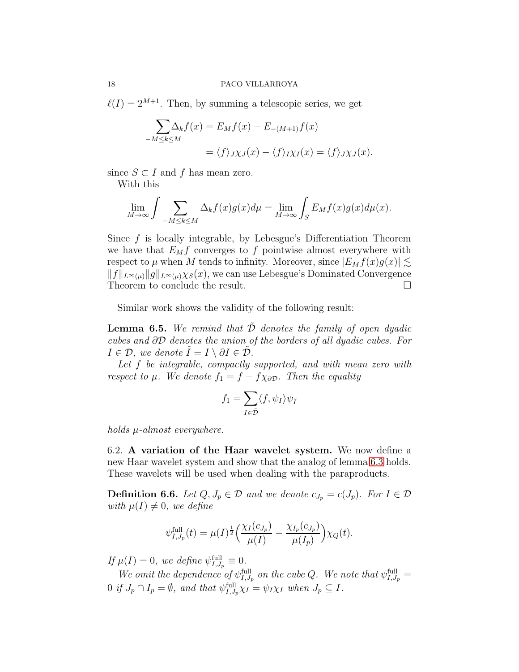$\ell(I) = 2^{M+1}$ . Then, by summing a telescopic series, we get

$$
\sum_{-M \le k \le M} \Delta_k f(x) = E_M f(x) - E_{-(M+1)} f(x)
$$
  
=  $\langle f \rangle_J \chi_J(x) - \langle f \rangle_I \chi_I(x) = \langle f \rangle_J \chi_J(x).$ 

since  $S \subset I$  and f has mean zero.

With this

$$
\lim_{M \to \infty} \int \sum_{-M \le k \le M} \Delta_k f(x) g(x) d\mu = \lim_{M \to \infty} \int_S E_M f(x) g(x) d\mu(x).
$$

Since f is locally integrable, by Lebesgue's Differentiation Theorem we have that  $E_M f$  converges to f pointwise almost everywhere with respect to  $\mu$  when M tends to infinity. Moreover, since  $|E_M f(x)g(x)| \lesssim$  $||f||_{L^{\infty}(\mu)}||g||_{L^{\infty}(\mu)}\chi_{S}(x)$ , we can use Lebesgue's Dominated Convergence Theorem to conclude the result.

Similar work shows the validity of the following result:

**Lemma 6.5.** We remind that  $\tilde{\mathcal{D}}$  denotes the family of open dyadic cubes and ∂D denotes the union of the borders of all dyadic cubes. For  $I \in \mathcal{D}$ , we denote  $I = I \setminus \partial I \in \mathcal{D}$ .

Let f be integrable, compactly supported, and with mean zero with respect to  $\mu$ . We denote  $f_1 = f - f \chi_{\partial \mathcal{D}}$ . Then the equality

$$
f_1 = \sum_{I \in \tilde{\mathcal{D}}} \langle f, \psi_I \rangle \psi_{\tilde{I}}
$$

holds µ-almost everywhere.

6.2. A variation of the Haar wavelet system. We now define a new Haar wavelet system and show that the analog of lemma [6.3](#page-15-1) holds. These wavelets will be used when dealing with the paraproducts.

<span id="page-17-0"></span>**Definition 6.6.** Let  $Q, J_p \in \mathcal{D}$  and we denote  $c_{J_p} = c(J_p)$ . For  $I \in \mathcal{D}$ with  $\mu(I) \neq 0$ , we define

$$
\psi_{I,J_p}^{\text{full}}(t) = \mu(I)^{\frac{1}{2}} \Big( \frac{\chi_I(c_{J_p})}{\mu(I)} - \frac{\chi_{I_p}(c_{J_p})}{\mu(I_p)} \Big) \chi_Q(t).
$$

If  $\mu(I) = 0$ , we define  $\psi_{I,J_p}^{\text{full}} \equiv 0$ .

We omit the dependence of  $\psi_{I,J_p}^{\text{full}}$  on the cube Q. We note that  $\psi_{I,J_p}^{\text{full}} =$ 0 if  $J_p \cap I_p = \emptyset$ , and that  $\psi_{I,J_p}^{\text{full}} \chi_I = \psi_I \chi_I$  when  $J_p \subseteq I$ .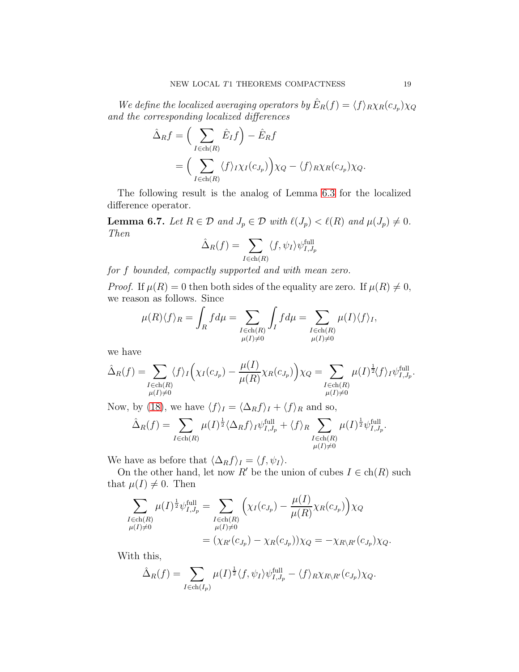We define the localized averaging operators by  $\hat{E}_R(f) = \langle f \rangle_R \chi_R(c_{J_p}) \chi_Q$ and the corresponding localized differences

$$
\hat{\Delta}_R f = \left(\sum_{I \in ch(R)} \hat{E}_I f\right) - \hat{E}_R f
$$
  
= 
$$
\left(\sum_{I \in ch(R)} \langle f \rangle_I \chi_I(c_{J_p})\right) \chi_Q - \langle f \rangle_R \chi_R(c_{J_p}) \chi_Q.
$$

The following result is the analog of Lemma [6.3](#page-15-1) for the localized difference operator.

<span id="page-18-0"></span>**Lemma 6.7.** Let  $R \in \mathcal{D}$  and  $J_p \in \mathcal{D}$  with  $\ell(J_p) < \ell(R)$  and  $\mu(J_p) \neq 0$ . Then

$$
\hat{\Delta}_R(f) = \sum_{I \in \text{ch}(R)} \langle f, \psi_I \rangle \psi_{I,J_p}^{\text{full}}
$$

for f bounded, compactly supported and with mean zero.

*Proof.* If  $\mu(R) = 0$  then both sides of the equality are zero. If  $\mu(R) \neq 0$ , we reason as follows. Since

$$
\mu(R)\langle f \rangle_R = \int_R f d\mu = \sum_{\substack{I \in \text{ch}(R) \\ \mu(I) \neq 0}} \int_I f d\mu = \sum_{\substack{I \in \text{ch}(R) \\ \mu(I) \neq 0}} \mu(I) \langle f \rangle_I,
$$

we have

$$
\hat{\Delta}_R(f) = \sum_{\substack{I \in ch(R) \\ \mu(I) \neq 0}} \langle f \rangle_I \Big( \chi_I(c_{J_p}) - \frac{\mu(I)}{\mu(R)} \chi_R(c_{J_p}) \Big) \chi_Q = \sum_{\substack{I \in ch(R) \\ \mu(I) \neq 0}} \mu(I)^{\frac{1}{2}} \langle f \rangle_I \psi_{I,J_p}^{\text{full}}.
$$

Now, by [\(18\)](#page-15-0), we have  $\langle f \rangle_I = \langle \Delta_R f \rangle_I + \langle f \rangle_R$  and so,

$$
\hat{\Delta}_R(f) = \sum_{I \in ch(R)} \mu(I)^{\frac{1}{2}} \langle \Delta_R f \rangle_I \psi_{I,J_p}^{\text{full}} + \langle f \rangle_R \sum_{\substack{I \in ch(R) \\ \mu(I) \neq 0}} \mu(I)^{\frac{1}{2}} \psi_{I,J_p}^{\text{full}}.
$$

We have as before that  $\langle \Delta_R f \rangle_I = \langle f, \psi_I \rangle$ .

On the other hand, let now R' be the union of cubes  $I \in ch(R)$  such that  $\mu(I) \neq 0$ . Then

$$
\sum_{\substack{I \in ch(R) \\ \mu(I) \neq 0}} \mu(I)^{\frac{1}{2}} \psi_{I,J_p}^{\text{full}} = \sum_{\substack{I \in ch(R) \\ \mu(I) \neq 0}} \left( \chi_I(c_{J_p}) - \frac{\mu(I)}{\mu(R)} \chi_R(c_{J_p}) \right) \chi_Q \n= \left( \chi_{R'}(c_{J_p}) - \chi_R(c_{J_p}) \right) \chi_Q = -\chi_{R \backslash R'}(c_{J_p}) \chi_Q.
$$

With this,

$$
\hat{\Delta}_R(f) = \sum_{I \in ch(I_p)} \mu(I)^{\frac{1}{2}} \langle f, \psi_I \rangle \psi_{I, J_p}^{\text{full}} - \langle f \rangle_R \chi_{R \setminus R'}(c_{J_p}) \chi_Q.
$$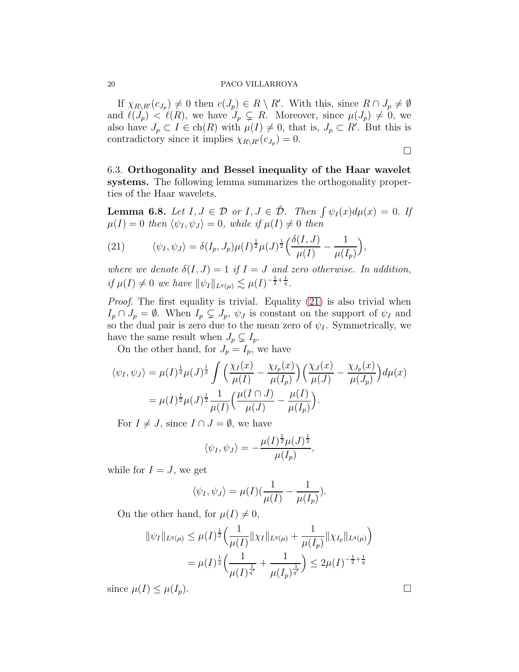If  $\chi_{R\setminus R'}(c_{J_p})\neq 0$  then  $c(J_p)\in R\setminus R'$ . With this, since  $R\cap J_p\neq \emptyset$ and  $\ell(J_p) < \ell(R)$ , we have  $J_p \subsetneq R$ . Moreover, since  $\mu(J_p) \neq 0$ , we also have  $J_p \subset I \in ch(R)$  with  $\mu(I) \neq 0$ , that is,  $J_p \subset R'$ . But this is contradictory since it implies  $\chi_{R\setminus R'}(c_{J_p})=0.$ 

 $\Box$ 

6.3. Orthogonality and Bessel inequality of the Haar wavelet systems. The following lemma summarizes the orthogonality properties of the Haar wavelets.

**Lemma 6.8.** Let  $I, J \in \mathcal{D}$  or  $I, J \in \tilde{\mathcal{D}}$ . Then  $\int \psi_I(x) d\mu(x) = 0$ . If  $\mu(I) = 0$  then  $\langle \psi_I, \psi_J \rangle = 0$ , while if  $\mu(I) \neq 0$  then

<span id="page-19-0"></span>(21) 
$$
\langle \psi_I, \psi_J \rangle = \delta(I_p, J_p) \mu(I)^{\frac{1}{2}} \mu(J)^{\frac{1}{2}} \Big( \frac{\delta(I, J)}{\mu(I)} - \frac{1}{\mu(I_p)} \Big),
$$

where we denote  $\delta(I, J) = 1$  if  $I = J$  and zero otherwise. In addition, if  $\mu(I) \neq 0$  we have  $\|\psi_I\|_{L^q(\mu)} \lesssim \mu(I)^{-\frac{1}{2} + \frac{1}{q}}$ .

Proof. The first equality is trivial. Equality [\(21\)](#page-19-0) is also trivial when  $I_p \cap J_p = \emptyset$ . When  $I_p \subsetneq J_p$ ,  $\psi_J$  is constant on the support of  $\psi_I$  and so the dual pair is zero due to the mean zero of  $\psi_I$ . Symmetrically, we have the same result when  $J_p \subsetneq I_p$ .

On the other hand, for  $J_p = I_p$ , we have

$$
\langle \psi_I, \psi_J \rangle = \mu(I)^{\frac{1}{2}} \mu(J)^{\frac{1}{2}} \int \left( \frac{\chi_I(x)}{\mu(I)} - \frac{\chi_{I_p}(x)}{\mu(I_p)} \right) \left( \frac{\chi_J(x)}{\mu(J)} - \frac{\chi_{J_p}(x)}{\mu(J_p)} \right) d\mu(x)
$$
  
= 
$$
\mu(I)^{\frac{1}{2}} \mu(J)^{\frac{1}{2}} \frac{1}{\mu(I)} \left( \frac{\mu(I \cap J)}{\mu(J)} - \frac{\mu(I)}{\mu(I_p)} \right).
$$

For  $I \neq J$ , since  $I \cap J = \emptyset$ , we have

$$
\langle \psi_I, \psi_J \rangle = -\frac{\mu(I)^{\frac{1}{2}} \mu(J)^{\frac{1}{2}}}{\mu(I_p)},
$$

while for  $I = J$ , we get

$$
\langle \psi_I, \psi_J \rangle = \mu(I) \left( \frac{1}{\mu(I)} - \frac{1}{\mu(I_p)} \right).
$$

On the other hand, for  $\mu(I) \neq 0$ ,

$$
\|\psi_I\|_{L^q(\mu)} \le \mu(I)^{\frac{1}{2}} \Big(\frac{1}{\mu(I)} \|\chi_I\|_{L^q(\mu)} + \frac{1}{\mu(I_p)} \|\chi_{I_p}\|_{L^q(\mu)} \Big)
$$
  
=  $\mu(I)^{\frac{1}{2}} \Big(\frac{1}{\mu(I)^{\frac{1}{q'}}} + \frac{1}{\mu(I_p)^{\frac{1}{q'}}}\Big) \le 2\mu(I)^{-\frac{1}{2} + \frac{1}{q}}$ 

since  $\mu(I) \leq \mu(I_p)$ .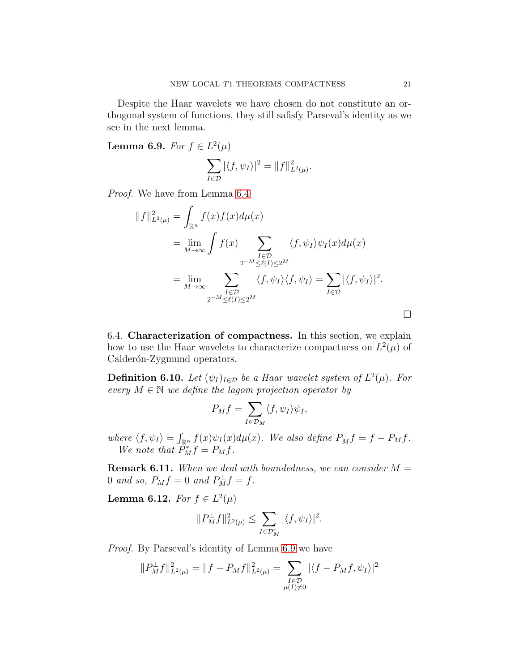Despite the Haar wavelets we have chosen do not constitute an orthogonal system of functions, they still safisfy Parseval's identity as we see in the next lemma.

<span id="page-20-0"></span>Lemma 6.9. For  $f \in L^2(\mu)$ 

$$
\sum_{I\in\mathcal{D}}|\langle f,\psi_I\rangle|^2=\|f\|_{L^2(\mu)}^2.
$$

Proof. We have from Lemma [6.4](#page-16-1)

$$
||f||_{L^{2}(\mu)}^{2} = \int_{\mathbb{R}^{n}} f(x)f(x)d\mu(x)
$$
  
\n
$$
= \lim_{M \to \infty} \int f(x) \sum_{\substack{I \in \mathcal{D} \\ 2^{-M} \le \ell(I) \le 2^{M}}} \langle f, \psi_{I} \rangle \psi_{I}(x) d\mu(x)
$$
  
\n
$$
= \lim_{M \to \infty} \sum_{\substack{I \in \mathcal{D} \\ 2^{-M} \le \ell(I) \le 2^{M}}} \langle f, \psi_{I} \rangle \langle f, \psi_{I} \rangle = \sum_{I \in \mathcal{D}} |\langle f, \psi_{I} \rangle|^{2}.
$$

<span id="page-20-2"></span>6.4. Characterization of compactness. In this section, we explain how to use the Haar wavelets to characterize compactness on  $L^2(\mu)$  of Calderón-Zygmund operators.

**Definition 6.10.** Let  $(\psi_I)_{I \in \mathcal{D}}$  be a Haar wavelet system of  $L^2(\mu)$ . For every  $M \in \mathbb{N}$  we define the lagom projection operator by

$$
P_M f = \sum_{I \in \mathcal{D}_M} \langle f, \psi_I \rangle \psi_I,
$$

where  $\langle f, \psi_I \rangle = \int_{\mathbb{R}^n} f(x) \psi_I(x) d\mu(x)$ . We also define  $P_M^{\perp} f = f - P_M f$ . We note that  $\tilde{P}_M^* f = P_M f$ .

**Remark 6.11.** When we deal with boundedness, we can consider  $M =$ 0 and so,  $P_M f = 0$  and  $P_M^{\perp} f = f$ .

<span id="page-20-1"></span>Lemma 6.12. For  $f \in L^2(\mu)$ 

$$
||P_M^{\perp}f||_{L^2(\mu)}^2 \leq \sum_{I \in \mathcal{D}_M^c} |\langle f, \psi_I \rangle|^2.
$$

Proof. By Parseval's identity of Lemma [6.9](#page-20-0) we have

$$
||P_M^{\perp}f||_{L^2(\mu)}^2 = ||f - P_Mf||_{L^2(\mu)}^2 = \sum_{\substack{I \in \mathcal{D} \\ \mu(I) \neq 0}} |\langle f - P_Mf, \psi_I \rangle|^2
$$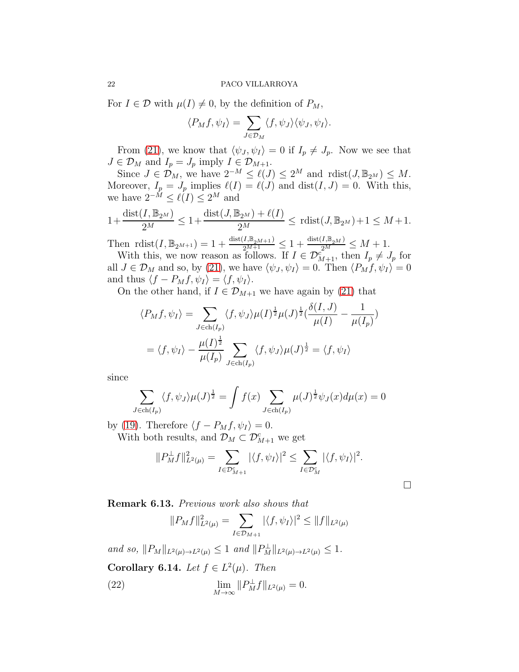For  $I \in \mathcal{D}$  with  $\mu(I) \neq 0$ , by the definition of  $P_M$ ,

$$
\langle P_M f, \psi_I \rangle = \sum_{J \in \mathcal{D}_M} \langle f, \psi_J \rangle \langle \psi_J, \psi_I \rangle.
$$

From [\(21\)](#page-19-0), we know that  $\langle \psi_J, \psi_I \rangle = 0$  if  $I_p \neq J_p$ . Now we see that  $J \in \mathcal{D}_M$  and  $I_p = J_p$  imply  $I \in \mathcal{D}_{M+1}$ .

Since  $J \in \mathcal{D}_M$ , we have  $2^{-M} \leq \ell(J) \leq 2^M$  and  $\text{rdist}(J, \mathbb{B}_{2^M}) \leq M$ . Moreover,  $I_p = J_p$  implies  $\ell(I) = \ell(J)$  and  $dist(I, J) = 0$ . With this, we have  $2^{-M} \leq \ell(I) \leq 2^M$  and

$$
1 + \frac{\text{dist}(I, \mathbb{B}_{2^M})}{2^M} \le 1 + \frac{\text{dist}(J, \mathbb{B}_{2^M}) + \ell(I)}{2^M} \le \text{rdist}(J, \mathbb{B}_{2^M}) + 1 \le M + 1.
$$

Then  $\text{rdist}(I, \mathbb{B}_{2^{M+1}}) = 1 + \frac{\text{dist}(I, \mathbb{B}_{2^{M+1}})}{2^{M+1}} \leq 1 + \frac{\text{dist}(I, \mathbb{B}_{2^{M}})}{2^{M}} \leq M + 1.$ 

With this, we now reason as follows. If  $I \in \mathcal{D}_{M+1}^c$ , then  $I_p \neq J_p$  for all  $J \in \mathcal{D}_M$  and so, by [\(21\)](#page-19-0), we have  $\langle \psi_J, \psi_I \rangle = 0$ . Then  $\langle P_M f, \psi_I \rangle = 0$ and thus  $\langle f - P_M f, \psi_I \rangle = \langle f, \psi_I \rangle$ .

On the other hand, if  $I \in \mathcal{D}_{M+1}$  we have again by [\(21\)](#page-19-0) that

$$
\langle P_M f, \psi_I \rangle = \sum_{J \in ch(I_p)} \langle f, \psi_J \rangle \mu(I)^{\frac{1}{2}} \mu(J)^{\frac{1}{2}} \left( \frac{\delta(I, J)}{\mu(I)} - \frac{1}{\mu(I_p)} \right)
$$

$$
= \langle f, \psi_I \rangle - \frac{\mu(I)^{\frac{1}{2}}}{\mu(I_p)} \sum_{J \in ch(I_p)} \langle f, \psi_J \rangle \mu(J)^{\frac{1}{2}} = \langle f, \psi_I \rangle
$$

since

$$
\sum_{J \in ch(I_p)} \langle f, \psi_J \rangle \mu(J)^{\frac{1}{2}} = \int f(x) \sum_{J \in ch(I_p)} \mu(J)^{\frac{1}{2}} \psi_J(x) d\mu(x) = 0
$$

by [\(19\)](#page-16-2). Therefore  $\langle f - P_M f, \psi_I \rangle = 0$ . With both results, and  $\mathcal{D}_M \subset \mathcal{D}_{M+1}^c$  we get

$$
||P_M^{\perp}f||_{L^2(\mu)}^2 = \sum_{I \in \mathcal{D}_{M+1}^c} |\langle f, \psi_I \rangle|^2 \le \sum_{I \in \mathcal{D}_M^c} |\langle f, \psi_I \rangle|^2.
$$

 $\Box$ 

Remark 6.13. Previous work also shows that

<span id="page-21-0"></span>
$$
||P_M f||_{L^2(\mu)}^2 = \sum_{I \in \mathcal{D}_{M+1}} |\langle f, \psi_I \rangle|^2 \le ||f||_{L^2(\mu)}
$$

and so,  $||P_M||_{L^2(\mu) \to L^2(\mu)} \leq 1$  and  $||P_M^{\perp}||_{L^2(\mu) \to L^2(\mu)} \leq 1$ .

Corollary 6.14. Let  $f \in L^2(\mu)$ . Then

(22) 
$$
\lim_{M \to \infty} ||P_M^{\perp} f||_{L^2(\mu)} = 0.
$$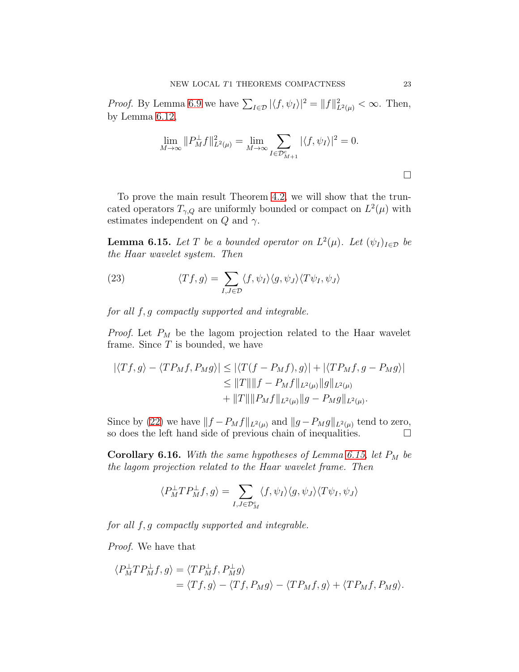*Proof.* By Lemma [6.9](#page-20-0) we have  $\sum_{I \in \mathcal{D}} |\langle f, \psi_I \rangle|^2 = ||f||^2_{L^2(\mu)} < \infty$ . Then, by Lemma [6.12,](#page-20-1)

$$
\lim_{M \to \infty} ||P_M^{\perp} f||_{L^2(\mu)}^2 = \lim_{M \to \infty} \sum_{I \in \mathcal{D}_{M+1}^c} |\langle f, \psi_I \rangle|^2 = 0.
$$

To prove the main result Theorem [4.2,](#page-6-1) we will show that the truncated operators  $T_{\gamma,Q}$  are uniformly bounded or compact on  $L^2(\mu)$  with estimates independent on  $Q$  and  $\gamma$ .

<span id="page-22-0"></span>**Lemma 6.15.** Let T be a bounded operator on  $L^2(\mu)$ . Let  $(\psi_I)_{I \in \mathcal{D}}$  be the Haar wavelet system. Then

<span id="page-22-1"></span>(23) 
$$
\langle Tf, g \rangle = \sum_{I, J \in \mathcal{D}} \langle f, \psi_I \rangle \langle g, \psi_J \rangle \langle T \psi_I, \psi_J \rangle
$$

for all f, g compactly supported and integrable.

*Proof.* Let  $P_M$  be the lagom projection related to the Haar wavelet frame. Since  $T$  is bounded, we have

$$
|\langle Tf, g \rangle - \langle TP_M f, P_M g \rangle| \le |\langle T(f - P_M f), g \rangle| + |\langle TP_M f, g - P_M g \rangle|
$$
  

$$
\le ||T|| ||f - P_M f||_{L^2(\mu)} ||g||_{L^2(\mu)}
$$
  

$$
+ ||T|| ||P_M f||_{L^2(\mu)} ||g - P_M g||_{L^2(\mu)}.
$$

Since by [\(22\)](#page-21-0) we have  $||f - P_M f||_{L^2(\mu)}$  and  $||g - P_M g||_{L^2(\mu)}$  tend to zero, so does the left hand side of previous chain of inequalities.  $\Box$ 

Corollary 6.16. With the same hypotheses of Lemma [6.15,](#page-22-0) let  $P_M$  be the lagom projection related to the Haar wavelet frame. Then

$$
\langle P_M^{\perp} T P_M^{\perp} f, g \rangle = \sum_{I, J \in \mathcal{D}_M^c} \langle f, \psi_I \rangle \langle g, \psi_J \rangle \langle T \psi_I, \psi_J \rangle
$$

for all f, g compactly supported and integrable.

Proof. We have that

$$
\langle P_M^{\perp} T P_M^{\perp} f, g \rangle = \langle T P_M^{\perp} f, P_M^{\perp} g \rangle
$$
  
=  $\langle T f, g \rangle - \langle T f, P_M g \rangle - \langle T P_M f, g \rangle + \langle T P_M f, P_M g \rangle.$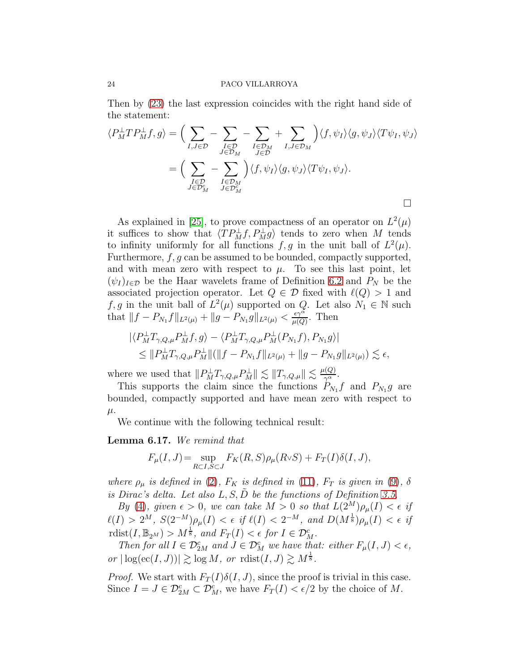Then by [\(23\)](#page-22-1) the last expression coincides with the right hand side of the statement:

$$
\langle P_M^{\perp} T P_M^{\perp} f, g \rangle = \Big( \sum_{I, J \in \mathcal{D}} - \sum_{\substack{I \in \mathcal{D}_M \\ J \in \mathcal{D}_M}} - \sum_{\substack{I \in \mathcal{D}_M \\ J \in \mathcal{D}}} + \sum_{\substack{I, J \in \mathcal{D}_M \\ J \in \mathcal{D}}} \Big) \langle f, \psi_I \rangle \langle g, \psi_J \rangle \langle T \psi_I, \psi_J \rangle
$$

$$
= \Big( \sum_{\substack{I \in \mathcal{D}_M \\ J \in \mathcal{D}_M^c}} - \sum_{\substack{I \in \mathcal{D}_M \\ J \in \mathcal{D}_M^c}} \Big) \langle f, \psi_I \rangle \langle g, \psi_J \rangle \langle T \psi_I, \psi_J \rangle.
$$

As explained in [\[25\]](#page-69-10), to prove compactness of an operator on  $L^2(\mu)$ it suffices to show that  $\langle TP_M^{\perp} f, P_M^{\perp} g \rangle$  tends to zero when M tends to infinity uniformly for all functions  $f, g$  in the unit ball of  $L^2(\mu)$ . Furthermore, f, g can be assumed to be bounded, compactly supported, and with mean zero with respect to  $\mu$ . To see this last point, let  $(\psi_I)_{I \in \mathcal{D}}$  be the Haar wavelets frame of Definition [6.2](#page-15-2) and  $P_N$  be the associated projection operator. Let  $Q \in \mathcal{D}$  fixed with  $\ell(Q) > 1$  and f, g in the unit ball of  $L^2(\mu)$  supported on Q. Let also  $N_1 \in \mathbb{N}$  such that  $||f - P_{N_1}f||_{L^2(\mu)} + ||g - P_{N_1}g||_{L^2(\mu)} < \frac{\epsilon \gamma^{\alpha}}{\mu(Q)}$  $rac{\epsilon \gamma^{\alpha}}{\mu(Q)}$ . Then

$$
\begin{aligned} |\langle P_M^{\perp} T_{\gamma, Q, \mu} P_M^{\perp} f, g \rangle - \langle P_M^{\perp} T_{\gamma, Q, \mu} P_M^{\perp}(P_{N_1} f), P_{N_1} g \rangle| \\ \leq \| P_M^{\perp} T_{\gamma, Q, \mu} P_M^{\perp} \| (\| f - P_{N_1} f \|_{L^2(\mu)} + \| g - P_{N_1} g \|_{L^2(\mu)}) \lesssim \epsilon, \end{aligned}
$$

where we used that  $||P_M^{\perp}T_{\gamma,Q,\mu}P_M^{\perp}|| \lesssim ||T_{\gamma,Q,\mu}|| \lesssim \frac{\mu(Q)}{\gamma^{\alpha}}$ .

This supports the claim since the functions  $P_{N_1}f$  and  $P_{N_1}g$  are bounded, compactly supported and have mean zero with respect to  $\mu$ .

We continue with the following technical result:

### <span id="page-23-0"></span>Lemma 6.17. We remind that

$$
F_{\mu}(I,J) = \sup_{R \subset I, S \subset J} F_K(R,S)\rho_{\mu}(R \vee S) + F_T(I)\delta(I,J),
$$

where  $\rho_{\mu}$  is defined in [\(2\)](#page-4-0),  $F_K$  is defined in [\(11\)](#page-7-1),  $F_T$  is given in [\(9\)](#page-6-3),  $\delta$ is Dirac's delta. Let also  $L, S, \tilde{D}$  be the functions of Definition [3.5.](#page-5-4)

By [\(4\)](#page-5-1), given  $\epsilon > 0$ , we can take  $M > 0$  so that  $L(2^M)\rho_\mu(I) < \epsilon$  if  $\ell(I) > 2^M$ ,  $S(2^{-M})\rho_\mu(I) < \epsilon$  if  $\ell(I) < 2^{-M}$ , and  $D(M^{\frac{1}{8}})\rho_\mu(I) < \epsilon$  if rdist $(I, \mathbb{B}_{2^M}) > M^{\frac{1}{8}}$ , and  $F_T(I) < \epsilon$  for  $I \in \mathcal{D}_{M}^c$ .

Then for all  $I \in \mathcal{D}_{2M}^c$  and  $J \in \mathcal{D}_M^c$  we have that: either  $F_\mu(I, J) < \epsilon$ , or  $|\log(\mathrm{ec}(I, J))| \gtrsim \log M$ , or  $\mathrm{rdist}(I, J) \gtrsim M^{\frac{1}{8}}$ .

*Proof.* We start with  $F_T(I)\delta(I, J)$ , since the proof is trivial in this case. Since  $I = J \in \mathcal{D}_{2M}^c \subset \mathcal{D}_M^c$ , we have  $F_T(I) < \epsilon/2$  by the choice of M.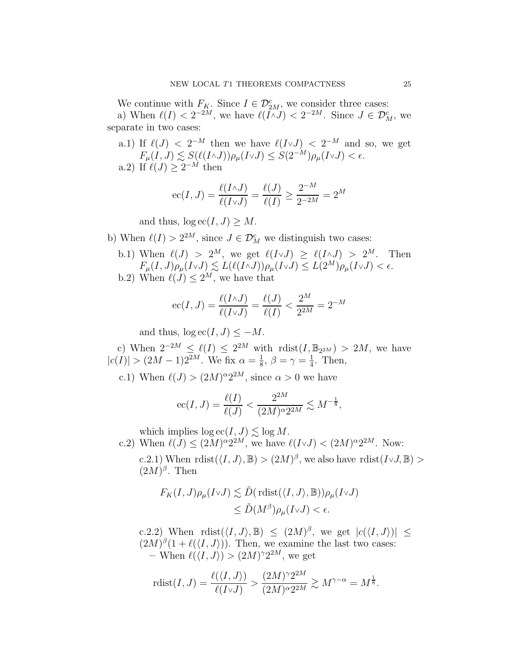We continue with  $F_K$ . Since  $I \in \mathcal{D}_{2M}^c$ , we consider three cases:

a) When  $\ell(I) < 2^{-2M}$ , we have  $\ell(I \wedge J) < 2^{-2M}$ . Since  $J \in \mathcal{D}_{M}^{c}$ , we separate in two cases:

a.1) If  $\ell(J) < 2^{-M}$  then we have  $\ell(I \vee J) < 2^{-M}$  and so, we get  $F_{\mu}(I, J) \lesssim S(\ell(I \wedge J)) \rho_{\mu}(I \vee J) \leq S(2^{-M}) \rho_{\mu}(I \vee J) < \epsilon.$ a.2) If  $\ell(J) \geq 2^{-M}$  then

$$
ec(I, J) = \frac{\ell(I \wedge J)}{\ell(I \vee J)} = \frac{\ell(J)}{\ell(I)} \ge \frac{2^{-M}}{2^{-2M}} = 2^M
$$

and thus,  $\log \mathrm{ec}(I, J) \geq M$ .

- b) When  $\ell(I) > 2^{2M}$ , since  $J \in \mathcal{D}_{M}^{c}$  we distinguish two cases:
	- b.1) When  $\ell(J) > 2^M$ , we get  $\ell(I \vee J) \ge \ell(I \wedge J) > 2^M$ . Then  $F_{\mu}(I,J)\rho_{\mu}(I \vee J) \lesssim L(\ell(I \wedge J))\rho_{\mu}(I \vee J) \leq L(2^M)\rho_{\mu}(I \vee J) < \epsilon.$
	- b.2) When  $\ell(J) \leq 2^M$ , we have that

$$
ec(I, J) = \frac{\ell(I \wedge J)}{\ell(I \vee J)} = \frac{\ell(J)}{\ell(I)} < \frac{2^M}{2^{2M}} = 2^{-M}
$$

and thus,  $\log \mathrm{ec}(I, J) \leq -M$ .

c) When  $2^{-2M} \leq \ell(I) \leq 2^{2M}$  with  $\text{rdist}(I, \mathbb{B}_{2^{2M}}) > 2M$ , we have  $|c(I)| > (2M-1)2^{2M}$ . We fix  $\alpha = \frac{1}{8}$  $\frac{1}{8}$ ,  $\beta = \gamma = \frac{1}{4}$  $\frac{1}{4}$ . Then,

c.1) When  $\ell(J) > (2M)^{\alpha} 2^{2M}$ , since  $\alpha > 0$  we have

$$
ec(I, J) = \frac{\ell(I)}{\ell(J)} < \frac{2^{2M}}{(2M)^{\alpha}2^{2M}} \lesssim M^{-\frac{1}{8}},
$$

which implies  $\log \textrm{ec}(I,J) \lesssim \log M.$ 

c.2) When  $\ell(J) \leq (2M)^{\alpha} 2^{2M}$ , we have  $\ell(I \vee J) < (2M)^{\alpha} 2^{2M}$ . Now:

c.2.1) When  $\text{rdist}(\langle I, J \rangle, \mathbb{B}) > (2M)^{\beta}$ , we also have  $\text{rdist}(I \vee J, \mathbb{B}) >$  $(2M)^{\beta}$ . Then

$$
F_K(I, J)\rho_\mu(I \vee J) \lesssim \tilde{D}(\text{rlist}(\langle I, J \rangle, \mathbb{B}))\rho_\mu(I \vee J)
$$
  

$$
\leq \tilde{D}(M^\beta)\rho_\mu(I \vee J) < \epsilon.
$$

c.2.2) When  $\text{rdist}(\langle I, J \rangle, \mathbb{B}) \leq (2M)^{\beta}$ , we get  $|c(\langle I, J \rangle)| \leq$  $(2M)^{\beta}(1+\ell(\langle I,J \rangle))$ . Then, we examine the last two cases: - When  $\ell(\langle I,J\rangle) > (2M)^{\gamma}2^{2M}$ , we get

$$
\mathrm{rdist}(I,J) = \frac{\ell(\langle I,J \rangle)}{\ell(I \vee J)} > \frac{(2M)^{\gamma} 2^{2M}}{(2M)^{\alpha} 2^{2M}} \gtrsim M^{\gamma-\alpha} = M^{\frac{1}{8}}.
$$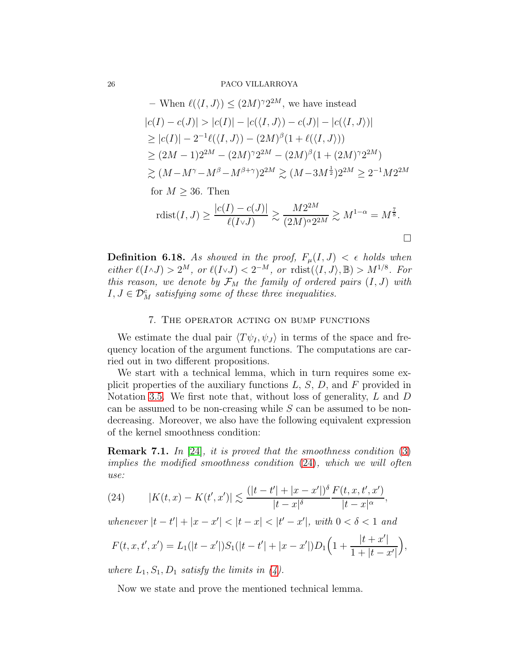- When 
$$
\ell(\langle I, J \rangle) \leq (2M)^{\gamma} 2^{2M}
$$
, we have instead  $|c(I) - c(J)| > |c(I)| - |c(\langle I, J \rangle) - c(J)| - |c(\langle I, J \rangle)|$   $\geq |c(I)| - 2^{-1}\ell(\langle I, J \rangle) - (2M)^{\beta}(1 + \ell(\langle I, J \rangle))$   $\geq (2M - 1)2^{2M} - (2M)^{\gamma} 2^{2M} - (2M)^{\beta}(1 + (2M)^{\gamma} 2^{2M})$   $\gtrsim (M - M^{\gamma} - M^{\beta} - M^{\beta + \gamma}) 2^{2M} \gtrsim (M - 3M^{\frac{1}{2}}) 2^{2M} \geq 2^{-1} M 2^{2M}$  for  $M \geq 36$ . Then  $\text{rist}(I, J) \geq \frac{|c(I) - c(J)|}{\ell(I \vee J)} \gtrsim \frac{M 2^{2M}}{(2M)^{\alpha} 2^{2M}} \gtrsim M^{1-\alpha} = M^{\frac{7}{8}}.$ 

<span id="page-25-1"></span>**Definition 6.18.** As showed in the proof,  $F_{\mu}(I, J) < \epsilon$  holds when either  $\ell(I \wedge J) > 2^M$ , or  $\ell(I \vee J) < 2^{-M}$ , or  $\text{rdist}(\langle I, J \rangle, \mathbb{B}) > M^{1/8}$ . For this reason, we denote by  $\mathcal{F}_M$  the family of ordered pairs  $(I, J)$  with  $I, J \in \mathcal{D}_M^c$  satisfying some of these three inequalities.

### 7. The operator acting on bump functions

We estimate the dual pair  $\langle T\psi_I, \psi_J \rangle$  in terms of the space and frequency location of the argument functions. The computations are carried out in two different propositions.

We start with a technical lemma, which in turn requires some explicit properties of the auxiliary functions  $L, S, D$ , and  $F$  provided in Notation [3.5.](#page-5-4) We first note that, without loss of generality, L and D can be assumed to be non-creasing while  $S$  can be assumed to be nondecreasing. Moreover, we also have the following equivalent expression of the kernel smoothness condition:

**Remark 7.1.** In [\[24\]](#page-69-9), it is proved that the smoothness condition  $(3)$ implies the modified smoothness condition [\(24\)](#page-25-0), which we will often use:

<span id="page-25-0"></span>(24) 
$$
|K(t,x)-K(t',x')| \lesssim \frac{(|t-t'|+|x-x'|)^{\delta}}{|t-x|^{\delta}} \frac{F(t,x,t',x')}{|t-x|^{\alpha}},
$$

whenever  $|t-t'| + |x-x'| < |t-x| < |t'-x'|$ , with  $0 < \delta < 1$  and

$$
F(t, x, t', x') = L_1(|t - x'|)S_1(|t - t'| + |x - x'|)D_1\left(1 + \frac{|t + x'|}{1 + |t - x'|}\right),
$$

where  $L_1, S_1, D_1$  satisfy the limits in  $(4)$ .

Now we state and prove the mentioned technical lemma.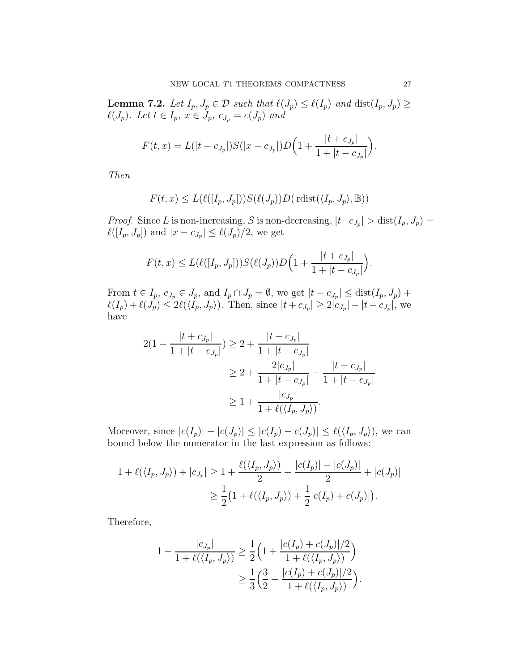<span id="page-26-0"></span>**Lemma 7.2.** Let  $I_p$ ,  $J_p \in \mathcal{D}$  such that  $\ell(J_p) \leq \ell(I_p)$  and  $dist(I_p, J_p) \geq$  $\ell(J_p)$ . Let  $t \in I_p$ ,  $x \in J_p$ ,  $c_{J_p} = c(J_p)$  and

$$
F(t,x) = L(|t - c_{J_p}|)S(|x - c_{J_p}|)D\Big(1 + \frac{|t + c_{J_p}|}{1 + |t - c_{J_p}|}\Big).
$$

Then

$$
F(t, x) \le L(\ell([I_p, J_p])) S(\ell(J_p)) D(\text{rlist}(\langle I_p, J_p \rangle, \mathbb{B}))
$$

*Proof.* Since L is non-increasing, S is non-decreasing,  $|t-c_{J_p}| > \text{dist}(I_p, J_p) =$  $\ell([I_p,J_p])$  and  $|x-c_{J_p}| \leq \ell(J_p)/2$ , we get

$$
F(t,x) \le L(\ell([I_p, J_p]))S(\ell(J_p))D\Big(1+\frac{|t+c_{J_p}|}{1+|t-c_{J_p}|}\Big).
$$

From  $t \in I_p$ ,  $c_{J_p} \in J_p$ , and  $I_p \cap J_p = \emptyset$ , we get  $|t - c_{J_p}| \leq \text{dist}(I_p, J_p) +$  $\ell(I_p) + \ell(J_p) \le 2\ell(\langle I_p, J_p \rangle)$ . Then, since  $|t + c_{J_p}| \ge 2|c_{J_p}| - |t - c_{J_p}|$ , we have

$$
2(1 + \frac{|t + c_{J_p}|}{1 + |t - c_{J_p}|}) \ge 2 + \frac{|t + c_{J_p}|}{1 + |t - c_{J_p}|}
$$
  
\n
$$
\ge 2 + \frac{2|c_{J_p}|}{1 + |t - c_{J_p}|} - \frac{|t - c_{J_p}|}{1 + |t - c_{J_p}|}
$$
  
\n
$$
\ge 1 + \frac{|c_{J_p}|}{1 + \ell(\langle I_p, J_p \rangle)}.
$$

Moreover, since  $|c(I_p)| - |c(J_p)| \le |c(I_p) - c(J_p)| \le \ell(\langle I_p, J_p \rangle)$ , we can bound below the numerator in the last expression as follows:

$$
1 + \ell(\langle I_p, J_p \rangle) + |c_{J_p}| \ge 1 + \frac{\ell(\langle I_p, J_p \rangle)}{2} + \frac{|c(I_p)| - |c(J_p)|}{2} + |c(J_p)|
$$
  

$$
\ge \frac{1}{2} \left( 1 + \ell(\langle I_p, J_p \rangle) + \frac{1}{2} |c(I_p) + c(J_p)| \right).
$$

Therefore,

$$
1 + \frac{|c_{J_p}|}{1 + \ell(\langle I_p, J_p \rangle)} \ge \frac{1}{2} \Big( 1 + \frac{|c(I_p) + c(J_p)|/2}{1 + \ell(\langle I_p, J_p \rangle)} \Big)
$$
  

$$
\ge \frac{1}{3} \Big( \frac{3}{2} + \frac{|c(I_p) + c(J_p)|/2}{1 + \ell(\langle I_p, J_p \rangle)} \Big).
$$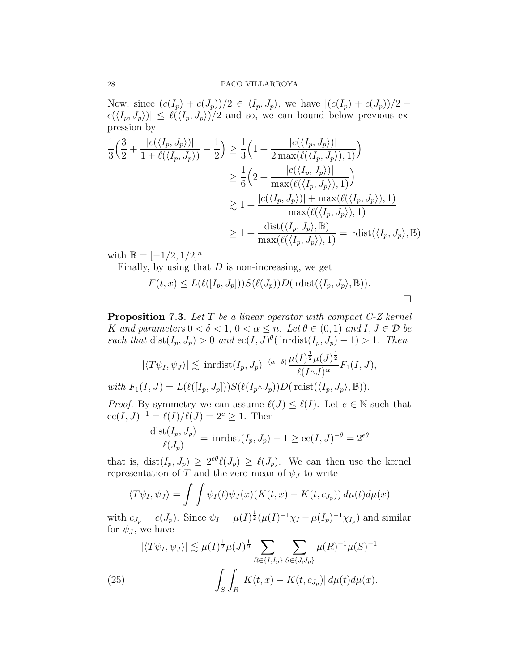Now, since  $(c(I_p) + c(J_p))/2 \in \langle I_p, J_p \rangle$ , we have  $|(c(I_p) + c(J_p))/2$  $c(\langle I_p, J_p \rangle) \leq \ell(\langle I_p, J_p \rangle)/2$  and so, we can bound below previous expression by

$$
\frac{1}{3}\left(\frac{3}{2} + \frac{|c(\langle I_p, J_p \rangle)|}{1 + \ell(\langle I_p, J_p \rangle)} - \frac{1}{2}\right) \ge \frac{1}{3}\left(1 + \frac{|c(\langle I_p, J_p \rangle)|}{2 \max(\ell(\langle I_p, J_p \rangle), 1)}\right)
$$
\n
$$
\ge \frac{1}{6}\left(2 + \frac{|c(\langle I_p, J_p \rangle)|}{\max(\ell(\langle I_p, J_p \rangle), 1)}\right)
$$
\n
$$
\ge 1 + \frac{|c(\langle I_p, J_p \rangle)| + \max(\ell(\langle I_p, J_p \rangle), 1)}{\max(\ell(\langle I_p, J_p \rangle), 1)}
$$
\n
$$
\ge 1 + \frac{\text{dist}(\langle I_p, J_p \rangle, \mathbb{B})}{\max(\ell(\langle I_p, J_p \rangle), 1)} = \text{rdist}(\langle I_p, J_p \rangle, \mathbb{B})
$$

with  $\mathbb{B} = [-1/2, 1/2]^n$ .

Finally, by using that  $D$  is non-increasing, we get

$$
F(t, x) \le L(\ell([I_p, J_p])) S(\ell(J_p)) D(\text{rdist}(\langle I_p, J_p \rangle, \mathbb{B})).
$$

<span id="page-27-1"></span>**Proposition 7.3.** Let  $T$  be a linear operator with compact  $C$ -Z kernel K and parameters  $0 < \delta < 1$ ,  $0 < \alpha \leq n$ . Let  $\theta \in (0,1)$  and  $I, J \in \mathcal{D}$  be such that  $dist(I_p, J_p) > 0$  and  $ec(I, J)^\theta(\text{inrdist}(I_p, J_p) - 1) > 1$ . Then

$$
|\langle T\psi_I, \psi_J \rangle| \lesssim \text{inrdist}(I_p, J_p)^{-(\alpha+\delta)} \frac{\mu(I)^{\frac{1}{2}}\mu(J)^{\frac{1}{2}}}{\ell(I \wedge J)^\alpha} F_1(I, J),
$$

with  $F_1(I, J) = L(\ell([I_p, J_p])) S(\ell(I_p \wedge J_p)) D(\text{rlist}(\langle I_p, J_p \rangle, \mathbb{B})).$ 

*Proof.* By symmetry we can assume  $\ell(J) \leq \ell(I)$ . Let  $e \in \mathbb{N}$  such that  $ec(I, J)^{-1} = \ell(I)/\ell(J) = 2^e \ge 1$ . Then

$$
\frac{\text{dist}(I_p, J_p)}{\ell(J_p)} = \text{inrdist}(I_p, J_p) - 1 \ge \text{ec}(I, J)^{-\theta} = 2^{e\theta}
$$

that is,  $dist(I_p, J_p) \geq 2^{e\theta} \ell(J_p) \geq \ell(J_p)$ . We can then use the kernel representation of T and the zero mean of  $\psi_J$  to write

$$
\langle T\psi_I, \psi_J \rangle = \int \int \psi_I(t)\psi_J(x) (K(t, x) - K(t, c_{J_p})) d\mu(t) d\mu(x)
$$

with  $c_{J_p} = c(J_p)$ . Since  $\psi_I = \mu(I)^{\frac{1}{2}} (\mu(I)^{-1} \chi_I - \mu(I_p)^{-1} \chi_{I_p})$  and similar for  $\psi_J$ , we have

<span id="page-27-0"></span>(25) 
$$
|\langle T\psi_I, \psi_J \rangle| \lesssim \mu(I)^{\frac{1}{2}} \mu(J)^{\frac{1}{2}} \sum_{R \in \{I, I_p\}} \sum_{S \in \{J, J_p\}} \mu(R)^{-1} \mu(S)^{-1}
$$

$$
\int_S \int_R |K(t, x) - K(t, c_{J_p})| d\mu(t) d\mu(x).
$$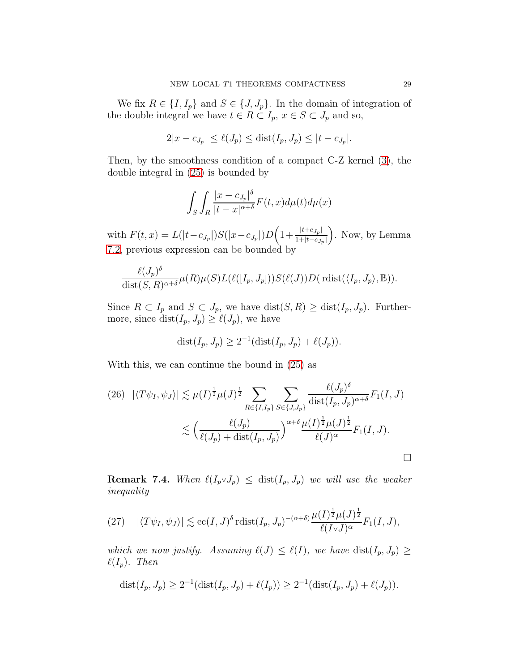We fix  $R \in \{I, I_p\}$  and  $S \in \{J, J_p\}$ . In the domain of integration of the double integral we have  $t \in R \subset I_p$ ,  $x \in S \subset J_p$  and so,

$$
2|x - c_{J_p}| \le \ell(J_p) \le \text{dist}(I_p, J_p) \le |t - c_{J_p}|.
$$

Then, by the smoothness condition of a compact C-Z kernel [\(3\)](#page-5-0), the double integral in [\(25\)](#page-27-0) is bounded by

$$
\int_{S} \int_{R} \frac{|x - c_{J_p}|^{\delta}}{|t - x|^{\alpha + \delta}} F(t, x) d\mu(t) d\mu(x)
$$

with  $F(t, x) = L(|t - c_{J_p}|)S(|x - c_{J_p}|)D\left(1 + \frac{|t + c_{J_p}|}{1 + |t - c_{J_p}|}\right)$  $\frac{|t+c_{J_p}|}{1+|t-c_{J_p}|}$ . Now, by Lemma [7.2,](#page-26-0) previous expression can be bounded by

$$
\frac{\ell(J_p)^{\delta}}{\text{dist}(S,R)^{\alpha+\delta}} \mu(R)\mu(S)L(\ell([I_p,J_p]))S(\ell(J))D(\text{rlist}(\langle I_p,J_p\rangle,\mathbb{B})).
$$

Since  $R \subset I_p$  and  $S \subset J_p$ , we have  $dist(S, R) \geq dist(I_p, J_p)$ . Furthermore, since  $dist(I_p, J_p) \geq \ell(J_p)$ , we have

$$
dist(I_p, J_p) \ge 2^{-1}(\text{dist}(I_p, J_p) + \ell(J_p)).
$$

With this, we can continue the bound in [\(25\)](#page-27-0) as

<span id="page-28-0"></span>
$$
(26) \quad |\langle T\psi_I, \psi_J \rangle| \lesssim \mu(I)^{\frac{1}{2}} \mu(J)^{\frac{1}{2}} \sum_{R \in \{I, I_p\}} \sum_{S \in \{J, J_p\}} \frac{\ell(J_p)^{\delta}}{\text{dist}(I_p, J_p)^{\alpha+\delta}} F_1(I, J)
$$
  

$$
\lesssim \left(\frac{\ell(J_p)}{\ell(J_p) + \text{dist}(I_p, J_p)}\right)^{\alpha+\delta} \frac{\mu(I)^{\frac{1}{2}} \mu(J)^{\frac{1}{2}}}{\ell(J)^{\alpha}} F_1(I, J).
$$

<span id="page-28-1"></span>**Remark 7.4.** When  $\ell(I_p \vee J_p) \leq \text{dist}(I_p, J_p)$  we will use the weaker inequality

<span id="page-28-2"></span>(27) 
$$
|\langle T\psi_I, \psi_J \rangle| \lesssim \mathrm{ec}(I, J)^\delta \mathrm{rdist}(I_p, J_p)^{-(\alpha+\delta)} \frac{\mu(I)^{\frac{1}{2}}\mu(J)^{\frac{1}{2}}}{\ell(I \vee J)^\alpha} F_1(I, J),
$$

which we now justify. Assuming  $\ell(J) \leq \ell(I)$ , we have  $dist(I_p, J_p) \geq$  $\ell(I_p)$ . Then

dist
$$
(I_p, J_p) \geq 2^{-1}(\text{dist}(I_p, J_p) + \ell(I_p)) \geq 2^{-1}(\text{dist}(I_p, J_p) + \ell(J_p)).
$$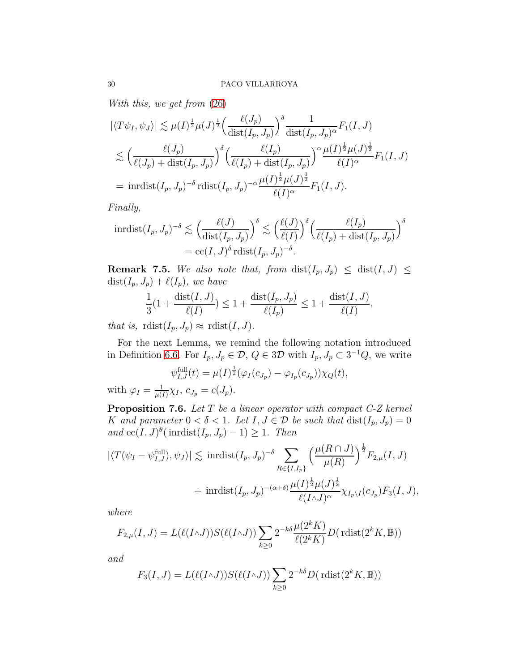With this, we get from [\(26\)](#page-28-0)

$$
\left| \langle T\psi_I, \psi_J \rangle \right| \lesssim \mu(I)^{\frac{1}{2}} \mu(J)^{\frac{1}{2}} \Big( \frac{\ell(J_p)}{\text{dist}(I_p, J_p)} \Big)^{\delta} \frac{1}{\text{dist}(I_p, J_p)^{\alpha}} F_1(I, J)
$$
  

$$
\lesssim \Big( \frac{\ell(J_p)}{\ell(J_p) + \text{dist}(I_p, J_p)} \Big)^{\delta} \Big( \frac{\ell(I_p)}{\ell(I_p) + \text{dist}(I_p, J_p)} \Big)^{\alpha} \frac{\mu(I)^{\frac{1}{2}} \mu(J)^{\frac{1}{2}}}{\ell(I)^{\alpha}} F_1(I, J)
$$
  

$$
= \text{inrdist}(I_p, J_p)^{-\delta} \text{rdist}(I_p, J_p)^{-\alpha} \frac{\mu(I)^{\frac{1}{2}} \mu(J)^{\frac{1}{2}}}{\ell(I)^{\alpha}} F_1(I, J).
$$

Finally,

$$
\text{inrdist}(I_p, J_p)^{-\delta} \lesssim \left(\frac{\ell(J)}{\text{dist}(I_p, J_p)}\right)^{\delta} \lesssim \left(\frac{\ell(J)}{\ell(I)}\right)^{\delta} \left(\frac{\ell(I_p)}{\ell(I_p) + \text{dist}(I_p, J_p)}\right)^{\delta}
$$

$$
= \text{ec}(I, J)^{\delta} \text{rdist}(I_p, J_p)^{-\delta}.
$$

**Remark 7.5.** We also note that, from  $dist(I_p, J_p) \leq dist(I, J) \leq$  $dist(I_p, J_p) + \ell(I_p)$ , we have

$$
\frac{1}{3}(1+\frac{\text{dist}(I,J)}{\ell(I)}) \le 1+\frac{\text{dist}(I_p,J_p)}{\ell(I_p)} \le 1+\frac{\text{dist}(I,J)}{\ell(I)},
$$

that is,  $\text{rdist}(I_p, J_p) \approx \text{rdist}(I, J)$ .

For the next Lemma, we remind the following notation introduced in Definition [6.6.](#page-17-0) For  $I_p, J_p \in \mathcal{D}, Q \in 3\mathcal{D}$  with  $I_p, J_p \subset 3^{-1}Q$ , we write

$$
\psi_{I,J}^{\text{full}}(t) = \mu(I)^{\frac{1}{2}}(\varphi_I(c_{J_p}) - \varphi_{I_p}(c_{J_p}))\chi_Q(t),
$$

with  $\varphi_I = \frac{1}{\mu}$  $\frac{1}{\mu(I)} \chi_I, \ c_{J_p} = c(J_p).$ 

<span id="page-29-0"></span>Proposition 7.6. Let T be a linear operator with compact C-Z kernel K and parameter  $0 < \delta < 1$ . Let  $I, J \in \mathcal{D}$  be such that  $dist(I_p, J_p) = 0$ and  $\operatorname{ec}(I, J)$ <sup> $\theta$ </sup>(inrdist $(I_p, J_p) - 1$ )  $\geq 1$ . Then

$$
\begin{aligned} |\langle T(\psi_I - \psi_{I,J}^{\text{full}}), \psi_J \rangle| &\lesssim \text{ inrdist}(I_p, J_p)^{-\delta} \sum_{R \in \{I, I_p\}} \left(\frac{\mu(R \cap J)}{\mu(R)}\right)^{\frac{1}{2}} F_{2,\mu}(I, J) \\ &+ \text{ inrdist}(I_p, J_p)^{-(\alpha + \delta)} \frac{\mu(I)^{\frac{1}{2}} \mu(J)^{\frac{1}{2}}}{\ell(I \wedge J)^{\alpha}} \chi_{I_p \setminus I}(c_{J_p}) F_3(I, J), \end{aligned}
$$

where

$$
F_{2,\mu}(I,J) = L(\ell(I \wedge J))S(\ell(I \wedge J))\sum_{k\geq 0} 2^{-k\delta} \frac{\mu(2^k K)}{\ell(2^k K)} D(\text{rlist}(2^k K, \mathbb{B}))
$$

and

$$
F_3(I,J) = L(\ell(I \wedge J))S(\ell(I \wedge J))\sum_{k\geq 0} 2^{-k\delta}D(\text{rlist}(2^kK,\mathbb{B}))
$$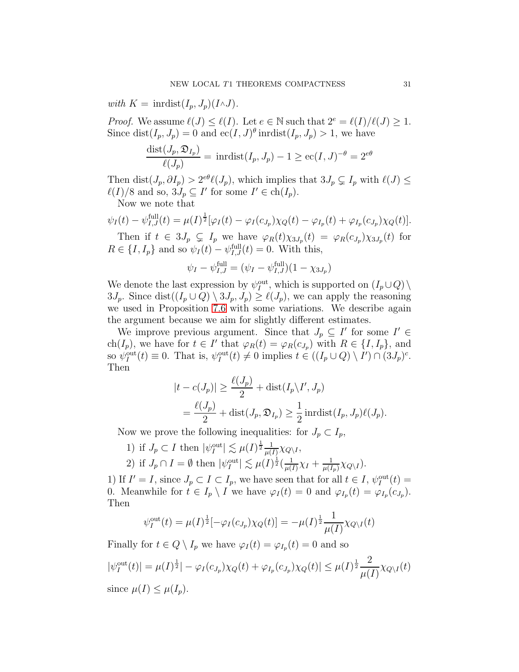with  $K = \text{inrdist}(I_n, J_n)(I \wedge J)$ .

*Proof.* We assume  $\ell(J) \leq \ell(I)$ . Let  $e \in \mathbb{N}$  such that  $2^e = \ell(I)/\ell(J) \geq 1$ . Since  $dist(I_p, J_p) = 0$  and  $ec(I, J)^\theta$  inrdist $(I_p, J_p) > 1$ , we have

$$
\frac{\text{dist}(J_p, \mathfrak{D}_{I_p})}{\ell(J_p)} = \text{inrdist}(I_p, J_p) - 1 \ge \text{ec}(I, J)^{-\theta} = 2^{e\theta}
$$

Then dist $(J_p, \partial I_p) > 2^{e\theta} \ell(J_p)$ , which implies that  $3J_p \subsetneq I_p$  with  $\ell(J) \leq$  $\ell(I)/8$  and so,  $3J_p \subseteq I'$  for some  $I' \in ch(I_p)$ .

Now we note that

 $\psi_I(t) - \psi_{I,J}^{\text{full}}(t) = \mu(I)^{\frac{1}{2}}[\varphi_I(t) - \varphi_I(c_{J_p})\chi_Q(t) - \varphi_{I_p}(t) + \varphi_{I_p}(c_{J_p})\chi_Q(t)].$ 

Then if  $t \in 3J_p \subsetneq I_p$  we have  $\varphi_R(t)\chi_{3J_p}(t) = \varphi_R(c_{J_p})\chi_{3J_p}(t)$  for  $R \in \{I, I_p\}$  and so  $\psi_I(t) - \psi_{I,J}^{\text{full}}(t) = 0$ . With this,

$$
\psi_I - \psi_{I,J}^{\text{full}} = (\psi_I - \psi_{I,J}^{\text{full}})(1 - \chi_{3J_p})
$$

We denote the last expression by  $\psi_I^{\text{out}}$ , which is supported on  $(I_p \cup Q) \setminus$ 3 $J_p$ . Since dist $((I_p \cup Q) \setminus 3J_p, J_p) \ge \ell(J_p)$ , we can apply the reasoning we used in Proposition [7.6](#page-29-0) with some variations. We describe again the argument because we aim for slightly different estimates.

We improve previous argument. Since that  $J_p \subseteq I'$  for some  $I' \in$ ch( $I_p$ ), we have for  $t \in I'$  that  $\varphi_R(t) = \varphi_R(c_{J_p})$  with  $R \in \{I, I_p\}$ , and so  $\psi_I^{\text{out}}(t) \equiv 0$ . That is,  $\psi_I^{\text{out}}(t) \neq 0$  implies  $t \in ((I_p \cup Q) \setminus I') \cap (3J_p)^c$ . Then

$$
|t - c(J_p)| \ge \frac{\ell(J_p)}{2} + \text{dist}(I_p \backslash I', J_p)
$$
  
=  $\frac{\ell(J_p)}{2} + \text{dist}(J_p, \mathfrak{D}_{I_p}) \ge \frac{1}{2} \text{inrdist}(I_p, J_p)\ell(J_p).$ 

Now we prove the following inequalities: for  $J_p \subset I_p$ ,

1) if  $J_p \subset I$  then  $|\psi_I^{\text{out}}| \lesssim \mu(I)^{\frac{1}{2}} \frac{1}{\mu(I)}$  $\frac{1}{\mu(I)}\chi_{Q\setminus I},$ 

2) if 
$$
J_p \cap I = \emptyset
$$
 then  $|\psi_I^{\text{out}}| \lesssim \mu(I)^{\frac{1}{2}} \left(\frac{1}{\mu(I)} \chi_I + \frac{1}{\mu(I_p)} \chi_{Q \setminus I}\right)$ .

1) If  $I' = I$ , since  $J_p \subset I \subset I_p$ , we have seen that for all  $t \in I$ ,  $\psi_I^{\text{out}}(t) =$ 0. Meanwhile for  $t \in I_p \setminus I$  we have  $\varphi_I(t) = 0$  and  $\varphi_{I_p}(t) = \varphi_{I_p}(c_{J_p})$ . Then

$$
\psi_I^{\text{out}}(t) = \mu(I)^{\frac{1}{2}}[-\varphi_I(c_{J_p})\chi_Q(t)] = -\mu(I)^{\frac{1}{2}}\frac{1}{\mu(I)}\chi_{Q\setminus I}(t)
$$

Finally for  $t \in Q \setminus I_p$  we have  $\varphi_I(t) = \varphi_{I_p}(t) = 0$  and so

$$
|\psi_I^{\text{out}}(t)| = \mu(I)^{\frac{1}{2}}| - \varphi_I(c_{J_p})\chi_Q(t) + \varphi_{I_p}(c_{J_p})\chi_Q(t)| \leq \mu(I)^{\frac{1}{2}}\frac{2}{\mu(I)}\chi_{Q\setminus I}(t)
$$
  
since  $\mu(I) \leq \mu(I_p)$ .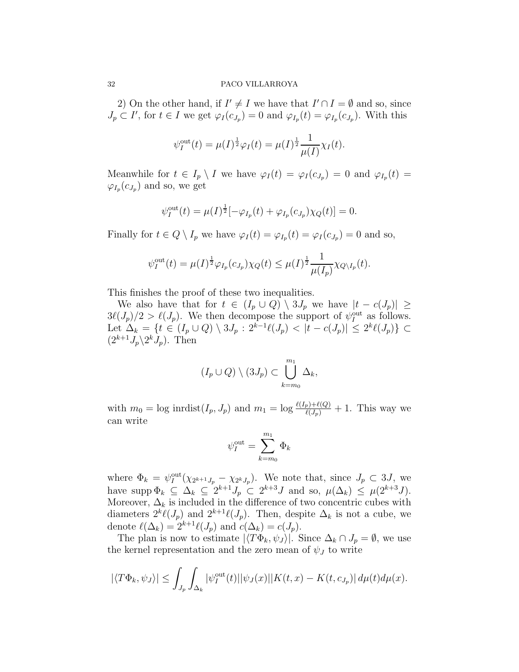2) On the other hand, if  $I' \neq I$  we have that  $I' \cap I = \emptyset$  and so, since  $J_p \subset I'$ , for  $t \in I$  we get  $\varphi_I(c_{J_p}) = 0$  and  $\varphi_{I_p}(t) = \varphi_{I_p}(c_{J_p})$ . With this

$$
\psi_I^{\text{out}}(t) = \mu(I)^{\frac{1}{2}} \varphi_I(t) = \mu(I)^{\frac{1}{2}} \frac{1}{\mu(I)} \chi_I(t).
$$

Meanwhile for  $t \in I_p \setminus I$  we have  $\varphi_I(t) = \varphi_I(c_{J_p}) = 0$  and  $\varphi_{I_p}(t) =$  $\varphi_{I_p}(c_{J_p})$  and so, we get

$$
\psi_I^{\text{out}}(t) = \mu(I)^{\frac{1}{2}} [-\varphi_{I_p}(t) + \varphi_{I_p}(c_{J_p}) \chi_Q(t)] = 0.
$$

Finally for  $t \in Q \setminus I_p$  we have  $\varphi_I(t) = \varphi_{I_p}(t) = \varphi_I(c_{J_p}) = 0$  and so,

$$
\psi_I^{\text{out}}(t) = \mu(I)^{\frac{1}{2}} \varphi_{I_p}(c_{J_p}) \chi_Q(t) \leq \mu(I)^{\frac{1}{2}} \frac{1}{\mu(I_p)} \chi_{Q \setminus I_p}(t).
$$

This finishes the proof of these two inequalities.

We also have that for  $t \in (I_p \cup Q) \setminus 3J_p$  we have  $|t - c(J_p)| \ge$  $3\ell(J_p)/2 > \ell(J_p)$ . We then decompose the support of  $\psi_I^{\text{out}}$  as follows. Let  $\Delta_k = \{ t \in (I_p \cup Q) \setminus 3J_p : 2^{k-1}\ell(J_p) < |t - c(J_p)| \leq 2^k\ell(J_p) \} \subset$  $(2^{k+1}J_p\backslash 2^k J_p)$ . Then

$$
(I_p \cup Q) \setminus (3J_p) \subset \bigcup_{k=m_0}^{m_1} \Delta_k,
$$

with  $m_0 = \log \text{imdist}(I_p, J_p)$  and  $m_1 = \log \frac{\ell(I_p) + \ell(Q)}{\ell(J_p)} + 1$ . This way we can write

$$
\psi_I^{\text{out}} = \sum_{k=m_0}^{m_1} \Phi_k
$$

where  $\Phi_k = \psi_I^{\text{out}}(\chi_{2^{k+1}J_p} - \chi_{2^kJ_p})$ . We note that, since  $J_p \subset 3J$ , we have supp  $\Phi_k \subseteq \Delta_k \subseteq 2^{k+1}J_p \subset 2^{k+3}J$  and so,  $\mu(\Delta_k) \leq \mu(2^{k+3}J)$ . Moreover,  $\Delta_k$  is included in the difference of two concentric cubes with diameters  $2^k \ell(J_p)$  and  $2^{k+1} \ell(J_p)$ . Then, despite  $\Delta_k$  is not a cube, we denote  $\ell(\Delta_k) = 2^{k+1}\ell(J_p)$  and  $c(\Delta_k) = c(J_p)$ .

The plan is now to estimate  $|\langle T\Phi_k, \psi_j \rangle|$ . Since  $\Delta_k \cap J_p = \emptyset$ , we use the kernel representation and the zero mean of  $\psi_J$  to write

$$
|\langle T\Phi_k, \psi_J \rangle| \leq \int_{J_p} \int_{\Delta_k} |\psi_l^{\text{out}}(t)| |\psi_J(x)| |K(t, x) - K(t, c_{J_p})| d\mu(t) d\mu(x).
$$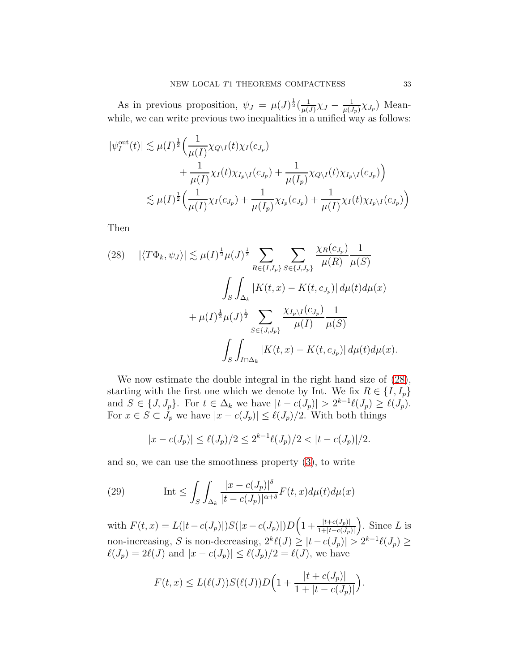As in previous proposition,  $\psi_J = \mu(J)^{\frac{1}{2}}(\frac{1}{\mu(J)})$  $\frac{1}{\mu(J)}\chi_J-\frac{1}{\mu(J)}$  $\frac{1}{\mu(J_p)} \chi_{J_p}$ ) Meanwhile, we can write previous two inequalities in a unified way as follows:

$$
\begin{split} |\psi_I^{\text{out}}(t)| &\lesssim \mu(I)^{\frac{1}{2}} \Big( \frac{1}{\mu(I)} \chi_{Q \setminus I}(t) \chi_I(c_{J_p}) \\ &+ \frac{1}{\mu(I)} \chi_I(t) \chi_{I_p \setminus I}(c_{J_p}) + \frac{1}{\mu(I_p)} \chi_{Q \setminus I}(t) \chi_{I_p \setminus I}(c_{J_p}) \Big) \\ &\lesssim \mu(I)^{\frac{1}{2}} \Big( \frac{1}{\mu(I)} \chi_I(c_{J_p}) + \frac{1}{\mu(I_p)} \chi_{I_p}(c_{J_p}) + \frac{1}{\mu(I)} \chi_I(t) \chi_{I_p \setminus I}(c_{J_p}) \Big) \end{split}
$$

Then

<span id="page-32-0"></span>(28) 
$$
|\langle T\Phi_k, \psi_J \rangle| \lesssim \mu(I)^{\frac{1}{2}} \mu(J)^{\frac{1}{2}} \sum_{R \in \{I, I_p\}} \sum_{S \in \{J, J_p\}} \frac{\chi_R(c_{J_p})}{\mu(R)} \frac{1}{\mu(S)} \sqrt{\frac{\int_S \int_{\Delta_k} |K(t, x) - K(t, c_{J_p})| d\mu(t) d\mu(x)}}{\mu(I)^{\frac{1}{2}} \mu(J)^{\frac{1}{2}} \sum_{S \in \{J, J_p\}} \frac{\chi_{I_p} \setminus I(c_{J_p})}{\mu(I)} \frac{1}{\mu(S)}} \sqrt{\frac{\int_S \int_{I \cap \Delta_k} |K(t, x) - K(t, c_{J_p})| d\mu(t) d\mu(x)}}{\mu(S)}}.
$$

We now estimate the double integral in the right hand size of [\(28\)](#page-32-0), starting with the first one which we denote by Int. We fix  $R \in \{I, I_p\}$ and  $S \in \{J, J_p\}$ . For  $t \in \Delta_k$  we have  $|t - c(J_p)| > 2^{k-1}\ell(J_p) \geq \ell(J_p)$ . For  $x \in S \subset J_p$  we have  $|x - c(J_p)| \leq \ell(J_p)/2$ . With both things

<span id="page-32-1"></span>
$$
|x - c(J_p)| \le \ell(J_p)/2 \le 2^{k-1}\ell(J_p)/2 < |t - c(J_p)|/2.
$$

and so, we can use the smoothness property [\(3\)](#page-5-0), to write

(29) 
$$
\text{Int} \le \int_{S} \int_{\Delta_k} \frac{|x - c(J_p)|^{\delta}}{|t - c(J_p)|^{\alpha + \delta}} F(t, x) d\mu(t) d\mu(x)
$$

with  $F(t, x) = L(|t - c(J_p)|)S(|x - c(J_p)|)D\left(1 + \frac{|t + c(J_p)|}{1 + |t - c(J_p)|}\right)$ ). Since  $L$  is non-increasing, S is non-decreasing,  $2^k \ell(J) \geq |t - c(J_p)| > 2^{k-1} \ell(J_p) \geq$  $\ell(J_p) = 2\ell(J)$  and  $|x - c(J_p)| \leq \ell(J_p)/2 = \ell(J)$ , we have

$$
F(t,x) \le L(\ell(J))S(\ell(J))D\Big(1 + \frac{|t + c(J_p)|}{1 + |t - c(J_p)|}\Big).
$$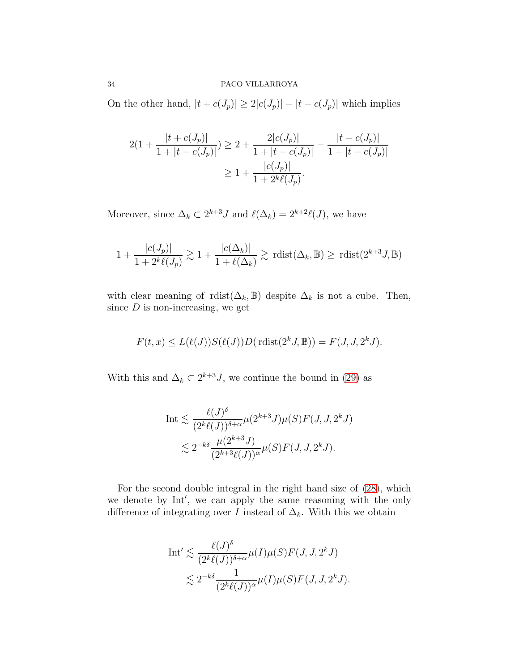On the other hand,  $|t + c(J_p)| \geq 2|c(J_p)| - |t - c(J_p)|$  which implies

$$
2(1 + \frac{|t + c(J_p)|}{1 + |t - c(J_p)|}) \ge 2 + \frac{2|c(J_p)|}{1 + |t - c(J_p)|} - \frac{|t - c(J_p)|}{1 + |t - c(J_p)|}
$$
  

$$
\ge 1 + \frac{|c(J_p)|}{1 + 2^k \ell(J_p)}.
$$

Moreover, since  $\Delta_k \subset 2^{k+3}J$  and  $\ell(\Delta_k) = 2^{k+2}\ell(J)$ , we have

$$
1 + \frac{|c(J_p)|}{1 + 2^k \ell(J_p)} \gtrsim 1 + \frac{|c(\Delta_k)|}{1 + \ell(\Delta_k)} \gtrsim \text{rlist}(\Delta_k, \mathbb{B}) \ge \text{rdist}(2^{k+3} J, \mathbb{B})
$$

with clear meaning of  $rdist(\Delta_k, \mathbb{B})$  despite  $\Delta_k$  is not a cube. Then, since  $D$  is non-increasing, we get

$$
F(t, x) \le L(\ell(J))S(\ell(J))D(\text{rlist}(2^k J, \mathbb{B})) = F(J, J, 2^k J).
$$

With this and  $\Delta_k \subset 2^{k+3} J$ , we continue the bound in [\(29\)](#page-32-1) as

$$
\text{Int} \lesssim \frac{\ell(J)^{\delta}}{(2^k \ell(J))^{\delta+\alpha}} \mu(2^{k+3} J)\mu(S)F(J, J, 2^k J) \\
\lesssim 2^{-k\delta} \frac{\mu(2^{k+3} J)}{(2^{k+3} \ell(J))^{\alpha}} \mu(S)F(J, J, 2^k J).
$$

For the second double integral in the right hand size of [\(28\)](#page-32-0), which we denote by Int′ , we can apply the same reasoning with the only difference of integrating over I instead of  $\Delta_k$ . With this we obtain

$$
\text{Int}' \lesssim \frac{\ell(J)^{\delta}}{(2^k \ell(J))^{\delta+\alpha}} \mu(I)\mu(S)F(J, J, 2^k J)
$$
  

$$
\lesssim 2^{-k\delta} \frac{1}{(2^k \ell(J))^{\alpha}} \mu(I)\mu(S)F(J, J, 2^k J).
$$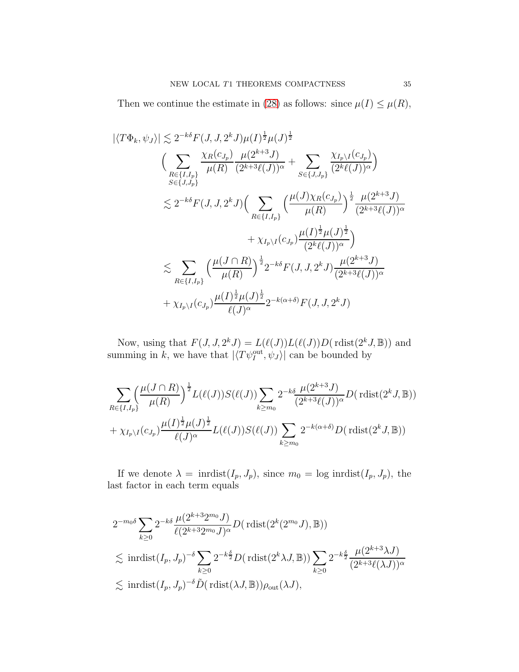Then we continue the estimate in [\(28\)](#page-32-0) as follows: since  $\mu(I) \leq \mu(R)$ ,

$$
\begin{split}\n\left| \langle T\Phi_k, \psi_J \rangle \right| &\lesssim 2^{-k\delta} F(J, J, 2^k J) \mu(I)^{\frac{1}{2}} \mu(J)^{\frac{1}{2}} \\
&\qquad \left( \sum_{\substack{R \in \{I, I_p\} \\ S \in \{J, J_p\}}} \frac{\chi_R(c_{J_p})}{\mu(R)} \frac{\mu(2^{k+3}J)}{(2^{k+3}\ell(J))^{\alpha}} + \sum_{S \in \{J, J_p\}} \frac{\chi_{I_p \setminus I}(c_{J_p})}{(2^k \ell(J))^{\alpha}} \right) \\
&\lesssim 2^{-k\delta} F(J, J, 2^k J) \Big( \sum_{R \in \{I, I_p\}} \left( \frac{\mu(J) \chi_R(c_{J_p})}{\mu(R)} \right)^{\frac{1}{2}} \frac{\mu(2^{k+3}J)}{(2^{k+3}\ell(J))^{\alpha}} \\
&\qquad \qquad + \chi_{I_p \setminus I}(c_{J_p}) \frac{\mu(I)^{\frac{1}{2}} \mu(J)^{\frac{1}{2}}}{(2^k \ell(J))^{\alpha}} \Big) \\
&\lesssim \sum_{R \in \{I, I_p\}} \left( \frac{\mu(J \cap R)}{\mu(R)} \right)^{\frac{1}{2}} 2^{-k\delta} F(J, J, 2^k J) \frac{\mu(2^{k+3}J)}{(2^{k+3}\ell(J))^{\alpha}} \\
&\qquad \qquad + \chi_{I_p \setminus I}(c_{J_p}) \frac{\mu(I)^{\frac{1}{2}} \mu(J)^{\frac{1}{2}}}{\ell(J)^{\alpha}} 2^{-k(\alpha+\delta)} F(J, J, 2^k J)\n\end{split}
$$

Now, using that  $F(J, J, 2^k J) = L(\ell(J))L(\ell(J))D(\text{rlist}(2^k J, \mathbb{B}))$  and summing in k, we have that  $|\langle T\psi_I^{\text{out}}, \psi_J \rangle|$  can be bounded by

$$
\sum_{R\in\{I,I_p\}} \left(\frac{\mu(J\cap R)}{\mu(R)}\right)^{\frac{1}{2}} L(\ell(J)) S(\ell(J)) \sum_{k\geq m_0} 2^{-k\delta} \frac{\mu(2^{k+3}J)}{(2^{k+3}\ell(J))^\alpha} D(\text{rdist}(2^k J, \mathbb{B})) + \chi_{I_p\backslash I}(c_{J_p}) \frac{\mu(I)^{\frac{1}{2}}\mu(J)^{\frac{1}{2}}}{\ell(J)^\alpha} L(\ell(J)) S(\ell(J)) \sum_{k\geq m_0} 2^{-k(\alpha+\delta)} D(\text{rdist}(2^k J, \mathbb{B}))
$$

If we denote  $\lambda = \text{inrdist}(I_p, J_p)$ , since  $m_0 = \log \text{inrdist}(I_p, J_p)$ , the last factor in each term equals

$$
2^{-m_0 \delta} \sum_{k\geq 0} 2^{-k\delta} \frac{\mu(2^{k+3} 2^{m_0} J)}{\ell(2^{k+3} 2^{m_0} J)^{\alpha}} D(\text{rlist}(2^k (2^{m_0} J), \mathbb{B}))
$$
  
\$\lesssim\$  $\text{indist}(I_p, J_p)^{-\delta} \sum_{k\geq 0} 2^{-k\frac{\delta}{2}} D(\text{rlist}(2^k \lambda J, \mathbb{B})) \sum_{k\geq 0} 2^{-k\frac{\delta}{2}} \frac{\mu(2^{k+3} \lambda J)}{(2^{k+3} \ell(\lambda J))^{\alpha}}$   
\$\lesssim\$  $\text{indist}(I_p, J_p)^{-\delta} \tilde{D}(\text{rdist}(\lambda J, \mathbb{B})) \rho_{\text{out}}(\lambda J),$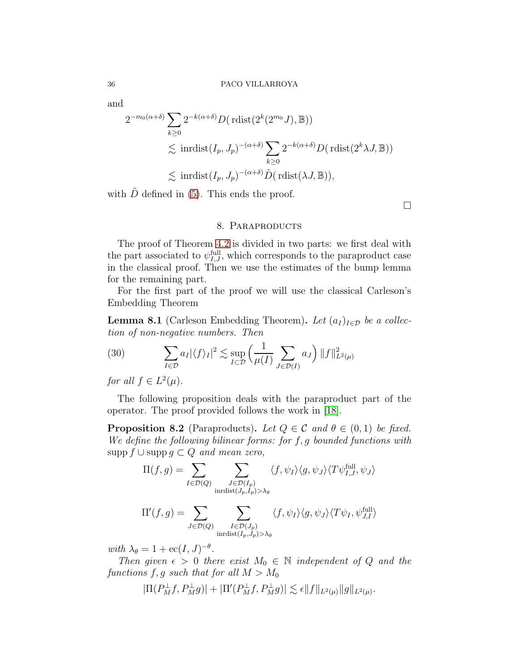and

$$
2^{-m_0(\alpha+\delta)} \sum_{k\geq 0} 2^{-k(\alpha+\delta)} D(\text{rlist}(2^k(2^{m_0}J), \mathbb{B}))
$$
  
\$\lesssim\$ inrdist( $I_p, J_p$ )<sup>-(\alpha+\delta)</sup>  $\sum_{k\geq 0} 2^{-k(\alpha+\delta)} D(\text{rlist}(2^k\lambda J, \mathbb{B}))$$\lesssim$ inrdist( $I_p, J_p$ )<sup>-(\alpha+\delta)</sup>  $\tilde{D}(\text{rdist}(\lambda J, \mathbb{B})),$$ 

with  $\tilde{D}$  defined in [\(5\)](#page-5-5). This ends the proof.

 $\Box$ 

### 8. PARAPRODUCTS

The proof of Theorem [4.2](#page-6-1) is divided in two parts: we first deal with the part associated to  $\psi_{I,J}^{\text{full}}$ , which corresponds to the paraproduct case in the classical proof. Then we use the estimates of the bump lemma for the remaining part.

For the first part of the proof we will use the classical Carleson's Embedding Theorem

<span id="page-35-0"></span>**Lemma 8.1** (Carleson Embedding Theorem). Let  $(a_I)_{I \in \mathcal{D}}$  be a collection of non-negative numbers. Then

(30) 
$$
\sum_{I \in \mathcal{D}} a_I |\langle f \rangle_I|^2 \lesssim \sup_{I \subset \mathcal{D}} \left( \frac{1}{\mu(I)} \sum_{J \in \mathcal{D}(I)} a_J \right) ||f||^2_{L^2(\mu)}
$$

for all  $f \in L^2(\mu)$ .

The following proposition deals with the paraproduct part of the operator. The proof provided follows the work in [\[18\]](#page-69-0).

<span id="page-35-1"></span>**Proposition 8.2** (Paraproducts). Let  $Q \in \mathcal{C}$  and  $\theta \in (0,1)$  be fixed. We define the following bilinear forms: for  $f, g$  bounded functions with supp  $f \cup$  supp  $g \subset Q$  and mean zero,

$$
\Pi(f,g) = \sum_{I \in \mathcal{D}(Q)} \sum_{\substack{J \in \mathcal{D}(I_p) \\ \text{inrdist}(J_p, I_p) > \lambda_\theta}} \langle f, \psi_I \rangle \langle g, \psi_J \rangle \langle T \psi_{I,J}^{\text{full}}, \psi_J \rangle
$$

$$
\Pi'(f,g) = \sum_{J \in \mathcal{D}(Q)} \sum_{\substack{I \in \mathcal{D}(J_p) \\ \text{indist}(I_p,J_p) > \lambda_{\theta}}} \langle f, \psi_I \rangle \langle g, \psi_J \rangle \langle T \psi_I, \psi_{J,I}^{\text{full}} \rangle
$$

with  $\lambda_{\theta} = 1 + \mathrm{ec}(I, J)^{-\theta}$ .

Then given  $\epsilon > 0$  there exist  $M_0 \in \mathbb{N}$  independent of Q and the functions  $f, g$  such that for all  $M > M_0$ 

$$
|\Pi(P_M^{\perp}f, P_M^{\perp}g)| + |\Pi'(P_M^{\perp}f, P_M^{\perp}g)| \lesssim \epsilon ||f||_{L^2(\mu)} ||g||_{L^2(\mu)}.
$$

$$
^{36}
$$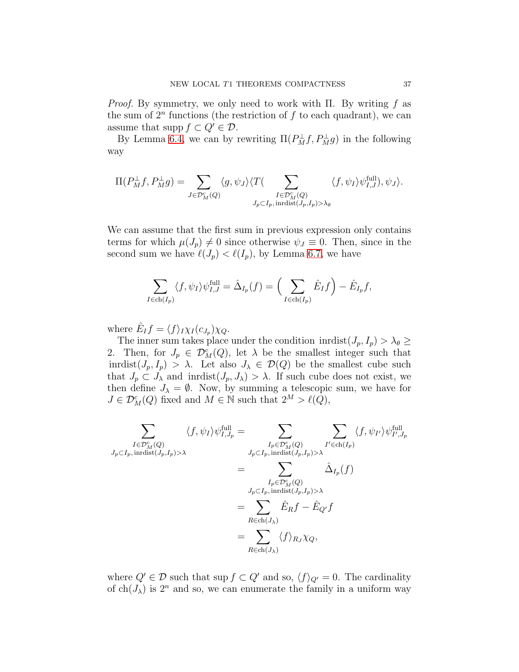*Proof.* By symmetry, we only need to work with Π. By writing f as the sum of  $2^n$  functions (the restriction of f to each quadrant), we can assume that supp  $f \subset Q' \in \mathcal{D}$ .

By Lemma [6.4,](#page-16-1) we can by rewriting  $\Pi(P_M^{\perp}f, P_M^{\perp}g)$  in the following way

$$
\Pi(P_M^{\perp}f, P_M^{\perp}g) = \sum_{J \in \mathcal{D}_M^c(Q)} \langle g, \psi_J \rangle \langle T(\sum_{\substack{I \in \mathcal{D}_M^c(Q) \\ J_p \subset I_p, \text{ inrdist}(J_p, I_p) > \lambda_{\theta}}} \langle f, \psi_I \rangle \psi_{I,J}^{\text{full}}), \psi_J \rangle.
$$

We can assume that the first sum in previous expression only contains terms for which  $\mu(J_p) \neq 0$  since otherwise  $\psi_J \equiv 0$ . Then, since in the second sum we have  $\ell(J_p) < \ell(I_p)$ , by Lemma [6.7,](#page-18-0) we have

$$
\sum_{I \in ch(I_p)} \langle f, \psi_I \rangle \psi_{I,J}^{\text{full}} = \hat{\Delta}_{I_p}(f) = \left( \sum_{I \in ch(I_p)} \hat{E}_I f \right) - \hat{E}_{I_p} f,
$$

where  $\hat{E}_I f = \langle f \rangle_I \chi_I(c_{J_p}) \chi_Q$ .

The inner sum takes place under the condition inrdist $(J_p, I_p) > \lambda_{\theta} \geq$ 2. Then, for  $J_p \in \mathcal{D}_M^c(Q)$ , let  $\lambda$  be the smallest integer such that inrdist $(J_p, I_p) > \lambda$ . Let also  $J_\lambda \in \mathcal{D}(Q)$  be the smallest cube such that  $J_p \subset J_\lambda$  and inridst $(J_p, J_\lambda) > \lambda$ . If such cube does not exist, we then define  $J_{\lambda} = \emptyset$ . Now, by summing a telescopic sum, we have for  $J \in \mathcal{D}_M^c(Q)$  fixed and  $M \in \mathbb{N}$  such that  $2^M > \ell(Q)$ ,

$$
\sum_{\substack{I \in \mathcal{D}_{M}^{c}(Q) \\ J_{p} \subset I_{p}, \text{ inrdist}(J_{p}, I_{p}) > \lambda}} \langle f, \psi_{I} \rangle \psi_{I, J_{p}}^{\text{full}} = \sum_{\substack{I_{p} \in \mathcal{D}_{M}^{c}(Q) \\ J_{p} \subset I_{p}, \text{ inrdist}(J_{p}, I_{p}) > \lambda}} \sum_{\substack{I_{p} \in \mathcal{D}_{M}^{c}(Q) \\ J_{p} \subset I_{p}, \text{ inrdist}(J_{p}, I_{p}) > \lambda}} \hat{\Delta}_{I_{p}}(f)
$$
\n
$$
= \sum_{\substack{I_{p} \in \mathcal{D}_{M}^{c}(Q) \\ R \in ch(J_{\lambda})}} \hat{E}_{R} f - \hat{E}_{Q'} f
$$
\n
$$
= \sum_{R \in ch(J_{\lambda})} \langle f \rangle_{R_{J}} \chi_{Q},
$$

where  $Q' \in \mathcal{D}$  such that sup  $f \subset Q'$  and so,  $\langle f \rangle_{Q'} = 0$ . The cardinality of  $ch(J_\lambda)$  is  $2^n$  and so, we can enumerate the family in a uniform way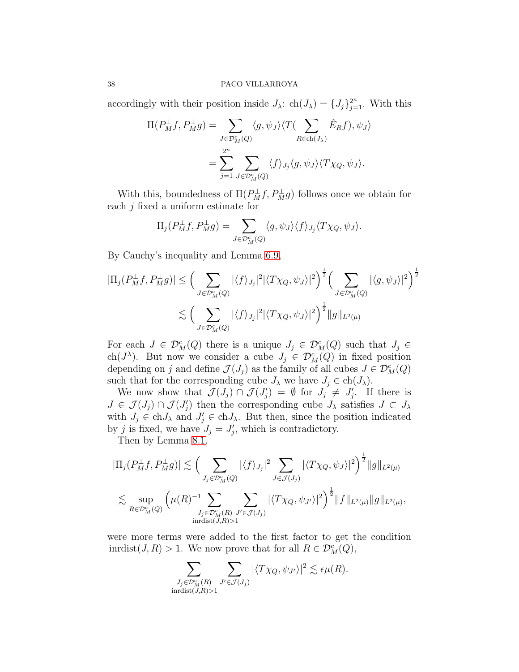accordingly with their position inside  $J_{\lambda}$ : ch $(J_{\lambda}) = \{J_j\}_{j=1}^{2^n}$ . With this

$$
\Pi(P_M^{\perp}f, P_M^{\perp}g) = \sum_{J \in \mathcal{D}_M^c(Q)} \langle g, \psi_J \rangle \langle T(\sum_{R \in ch(J_\lambda)} \hat{E}_R f), \psi_J \rangle
$$

$$
= \sum_{j=1}^{2^n} \sum_{J \in \mathcal{D}_M^c(Q)} \langle f \rangle_{J_j} \langle g, \psi_J \rangle \langle T \chi_Q, \psi_J \rangle.
$$

With this, boundedness of  $\Pi(P_M^{\perp}f, P_M^{\perp}g)$  follows once we obtain for each  $j$  fixed a uniform estimate for

$$
\Pi_j(P_M^{\perp}f, P_M^{\perp}g) = \sum_{J \in \mathcal{D}_M^c(Q)} \langle g, \psi_J \rangle \langle f \rangle_{J_j} \langle T \chi_Q, \psi_J \rangle.
$$

By Cauchy's inequality and Lemma [6.9,](#page-20-0)

$$
|\Pi_j(P_M^{\perp}f, P_M^{\perp}g)| \leq \Big(\sum_{J \in \mathcal{D}_M^c(Q)} |\langle f \rangle_{J_j}|^2 |\langle T \chi_Q, \psi_J \rangle|^2 \Big)^{\frac{1}{2}} \Big(\sum_{J \in \mathcal{D}_M^c(Q)} |\langle g, \psi_J \rangle|^2 \Big)^{\frac{1}{2}}
$$
  

$$
\lesssim \Big(\sum_{J \in \mathcal{D}_M^c(Q)} |\langle f \rangle_{J_j}|^2 |\langle T \chi_Q, \psi_J \rangle|^2 \Big)^{\frac{1}{2}} ||g||_{L^2(\mu)}
$$

For each  $J \in \mathcal{D}_M^c(Q)$  there is a unique  $J_j \in \mathcal{D}_M^c(Q)$  such that  $J_j \in$ ch( $J^{\lambda}$ ). But now we consider a cube  $J_j \in \mathcal{D}_M^c(Q)$  in fixed position depending on j and define  $\mathcal{J}(J_j)$  as the family of all cubes  $J \in \mathcal{D}_M^c(Q)$ such that for the corresponding cube  $J_{\lambda}$  we have  $J_j \in ch(J_{\lambda})$ .

We now show that  $\mathcal{J}(J_j) \cap \mathcal{J}(J'_j) = \emptyset$  for  $J_j \neq J'_j$ . If there is  $J \in \mathcal{J}(J_j) \cap \mathcal{J}(J'_j)$  then the corresponding cube  $J_\lambda$  satisfies  $J \subset J_\lambda$ with  $J_j \in \text{ch} J_\lambda$  and  $J'_j \in \text{ch} J_\lambda$ . But then, since the position indicated by j is fixed, we have  $J_j = J'_j$ , which is contradictory.

Then by Lemma [8.1,](#page-35-0)

$$
|\Pi_j(P_M^{\perp}f, P_M^{\perp}g)| \lesssim \Big(\sum_{J_j \in \mathcal{D}_M^c(Q)} |\langle f \rangle_{J_j}|^2 \sum_{J \in \mathcal{J}(J_j)} |\langle T \chi_Q, \psi_J \rangle|^2 \Big)^{\frac{1}{2}} \|g\|_{L^2(\mu)}
$$
  

$$
\lesssim \sup_{R \in \mathcal{D}_M^c(Q)} \Big(\mu(R)^{-1} \sum_{J_j \in \mathcal{D}_M^c(R)} \sum_{J' \in \mathcal{J}(J_j)} |\langle T \chi_Q, \psi_{J'} \rangle|^2 \Big)^{\frac{1}{2}} \|f\|_{L^2(\mu)} \|g\|_{L^2(\mu)},
$$
  
indist $(J,R)>1$ 

were more terms were added to the first factor to get the condition inrdist $(J, R) > 1$ . We now prove that for all  $R \in \mathcal{D}_M^c(Q)$ ,

$$
\sum_{\substack{J_j \in \mathcal{D}_{M}^c(R) \\ \text{inrdist}(J,R) > 1}} \sum_{J' \in \mathcal{J}(J_j)} |\langle T \chi_Q, \psi_{J'} \rangle|^2 \lesssim \epsilon \mu(R).
$$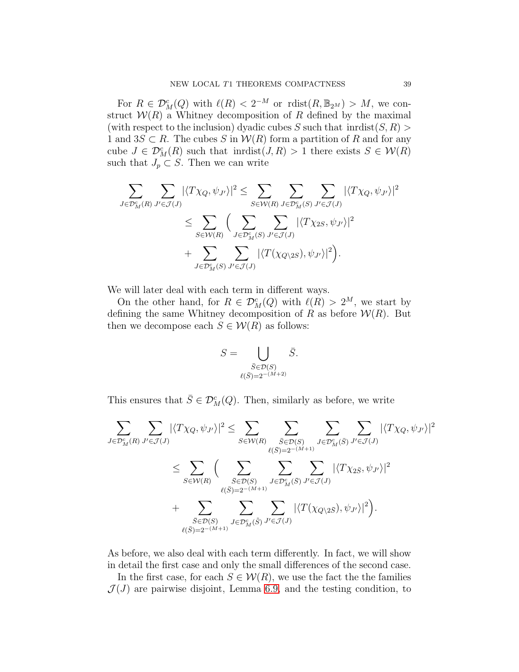For  $R \in \mathcal{D}_{M}^{c}(Q)$  with  $\ell(R) < 2^{-M}$  or  $\mathrm{rdist}(R, \mathbb{B}_{2^{M}}) > M$ , we construct  $W(R)$  a Whitney decomposition of R defined by the maximal (with respect to the inclusion) dyadic cubes S such that  $\text{inrdist}(S, R)$ 1 and  $3S \subset R$ . The cubes S in  $W(R)$  form a partition of R and for any cube  $J \in \mathcal{D}_M^c(R)$  such that inrdist $(J, R) > 1$  there exists  $S \in \mathcal{W}(R)$ such that  $J_p \subset S$ . Then we can write

$$
\sum_{J \in \mathcal{D}_{M}^{c}(R)} \sum_{J' \in \mathcal{J}(J)} |\langle T \chi_{Q}, \psi_{J'} \rangle|^{2} \leq \sum_{S \in \mathcal{W}(R)} \sum_{J \in \mathcal{D}_{M}^{c}(S)} \sum_{J' \in \mathcal{J}(J)} |\langle T \chi_{Q}, \psi_{J'} \rangle|^{2} \n\leq \sum_{S \in \mathcal{W}(R)} \Big( \sum_{J \in \mathcal{D}_{M}^{c}(S)} \sum_{J' \in \mathcal{J}(J)} |\langle T \chi_{2S}, \psi_{J'} \rangle|^{2} \n+ \sum_{J \in \mathcal{D}_{M}^{c}(S)} \sum_{J' \in \mathcal{J}(J)} |\langle T(\chi_{Q \setminus 2S}), \psi_{J'} \rangle|^{2} \Big).
$$

We will later deal with each term in different ways.

On the other hand, for  $R \in \mathcal{D}_M^c(Q)$  with  $\ell(R) > 2^M$ , we start by defining the same Whitney decomposition of R as before  $W(R)$ . But then we decompose each  $S \in \mathcal{W}(R)$  as follows:

$$
S = \bigcup_{\substack{\bar{S} \in \mathcal{D}(S) \\ \ell(\bar{S}) = 2^{-(M+2)}}} \bar{S}.
$$

This ensures that  $\bar{S} \in \mathcal{D}_M^c(Q)$ . Then, similarly as before, we write

$$
\sum_{J \in \mathcal{D}_{M}^{c}(R)} \sum_{J' \in \mathcal{J}(J)} |\langle T \chi_{Q}, \psi_{J'} \rangle|^{2} \leq \sum_{S \in \mathcal{W}(R)} \sum_{\substack{\bar{S} \in \mathcal{D}(S) \\ \ell(\bar{S}) = 2^{-(M+1)}}} \sum_{J \in \mathcal{D}_{M}^{c}(\bar{S})} \sum_{J' \in \mathcal{J}(J)} |\langle T \chi_{Q}, \psi_{J'} \rangle|^{2}
$$
  

$$
\leq \sum_{S \in \mathcal{W}(R)} \Big( \sum_{\substack{\bar{S} \in \mathcal{D}(S) \\ \ell(\bar{S}) = 2^{-(M+1)}}} \sum_{J \in \mathcal{D}_{M}^{c}(\bar{S})} \sum_{J' \in \mathcal{J}(J)} |\langle T \chi_{2\bar{S}}, \psi_{J'} \rangle|^{2}
$$
  
+ 
$$
\sum_{\substack{\bar{S} \in \mathcal{D}(S) \\ \ell(\bar{S}) = 2^{-(M+1)}}} \sum_{J \in \mathcal{D}_{M}^{c}(\tilde{S})} \sum_{J' \in \mathcal{J}(J)} |\langle T(\chi_{Q \setminus 2\bar{S}}), \psi_{J'} \rangle|^{2} \Big).
$$

As before, we also deal with each term differently. In fact, we will show in detail the first case and only the small differences of the second case.

In the first case, for each  $S \in \mathcal{W}(R)$ , we use the fact the the families  $\mathcal{J}(J)$  are pairwise disjoint, Lemma [6.9,](#page-20-0) and the testing condition, to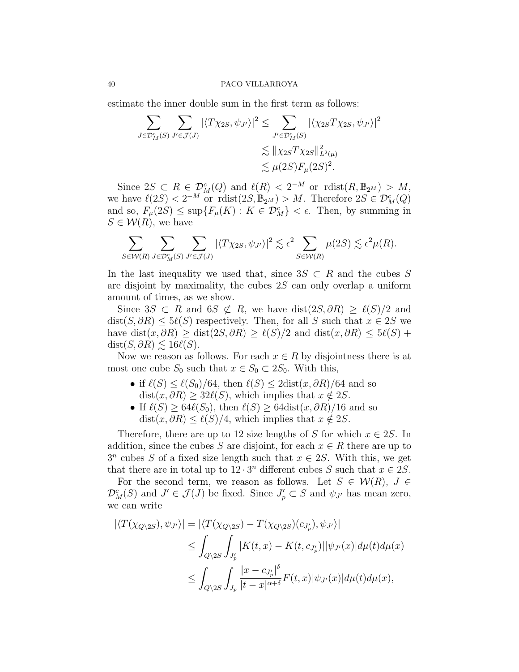estimate the inner double sum in the first term as follows:

$$
\sum_{J \in \mathcal{D}_{M}^{c}(S)} \sum_{J' \in \mathcal{J}(J)} |\langle T \chi_{2S}, \psi_{J'} \rangle|^{2} \leq \sum_{J' \in \mathcal{D}_{M}^{c}(S)} |\langle \chi_{2S} T \chi_{2S}, \psi_{J'} \rangle|^{2} \leq \|\chi_{2S} T \chi_{2S}\|_{L^{2}(\mu)}^{2} \leq \|\chi_{2S} T \chi_{2S}\|_{L^{2}(\mu)}^{2} \leq \mu(2S)F_{\mu}(2S)^{2}.
$$

Since  $2S \subset R \in \mathcal{D}_{M}^{c}(Q)$  and  $\ell(R) < 2^{-M}$  or  $\mathrm{rdist}(R, \mathbb{B}_{2^{M}}) > M$ , we have  $\ell(2S) < 2^{-M}$  or  $\text{rdist}(2S, \mathbb{B}_{2^M}) > M$ . Therefore  $2S \in \mathcal{D}_M^c(Q)$ and so,  $F_{\mu}(2S) \leq \sup\{F_{\mu}(K) : K \in \mathcal{D}_{M}^{c}\} < \epsilon$ . Then, by summing in  $S \in \mathcal{W}(R)$ , we have

$$
\sum_{S \in \mathcal{W}(R)} \sum_{J \in \mathcal{D}_M^c(S)} \sum_{J' \in \mathcal{J}(J)} |\langle T \chi_{2S}, \psi_{J'} \rangle|^2 \lesssim \epsilon^2 \sum_{S \in \mathcal{W}(R)} \mu(2S) \lesssim \epsilon^2 \mu(R).
$$

In the last inequality we used that, since  $3S \subset R$  and the cubes S are disjoint by maximality, the cubes 2S can only overlap a uniform amount of times, as we show.

Since  $3S \subset R$  and  $6S \not\subset R$ , we have  $dist(2S, \partial R) \geq \ell(S)/2$  and  $dist(S, \partial R) \leq 5\ell(S)$  respectively. Then, for all S such that  $x \in 2S$  we have dist(x,  $\partial R$ ) ≥ dist(2S,  $\partial R$ ) ≥  $\ell(S)/2$  and dist(x,  $\partial R$ ) ≤  $5\ell(S)$  +  $dist(S, \partial R) \lesssim 16\ell(S).$ 

Now we reason as follows. For each  $x \in R$  by disjointness there is at most one cube  $S_0$  such that  $x \in S_0 \subset 2S_0$ . With this,

- if  $\ell(S) \leq \ell(S_0)/64$ , then  $\ell(S) \leq 2 \text{dist}(x, \partial R)/64$  and so  $dist(x, \partial R) > 32\ell(S)$ , which implies that  $x \notin 2S$ .
- If  $\ell(S) \geq 64\ell(S_0)$ , then  $\ell(S) \geq 64\mathrm{dist}(x, \partial R)/16$  and so  $dist(x, \partial R) \leq \ell(S)/4$ , which implies that  $x \notin 2S$ .

Therefore, there are up to 12 size lengths of S for which  $x \in 2S$ . In addition, since the cubes S are disjoint, for each  $x \in R$  there are up to  $3^n$  cubes S of a fixed size length such that  $x \in 2S$ . With this, we get that there are in total up to  $12 \cdot 3^n$  different cubes S such that  $x \in 2S$ .

For the second term, we reason as follows. Let  $S \in \mathcal{W}(R)$ ,  $J \in$  $\mathcal{D}_M^c(S)$  and  $J' \in \mathcal{J}(J)$  be fixed. Since  $J'_p \subset S$  and  $\psi_{J'}$  has mean zero, we can write

$$
\begin{aligned} |\langle T(\chi_{Q\backslash 2S}), \psi_{J'} \rangle| &= |\langle T(\chi_{Q\backslash 2S}) - T(\chi_{Q\backslash 2S})(c_{J'_p}), \psi_{J'} \rangle| \\ &\leq \int_{Q\backslash 2S} \int_{J'_p} |K(t, x) - K(t, c_{J'_p})| |\psi_{J'}(x)| d\mu(t) d\mu(x) \\ &\leq \int_{Q\backslash 2S} \int_{J_p} \frac{|x - c_{J'_p}|^{\delta}}{|t - x|^{\alpha + \delta}} F(t, x) |\psi_{J'}(x)| d\mu(t) d\mu(x), \end{aligned}
$$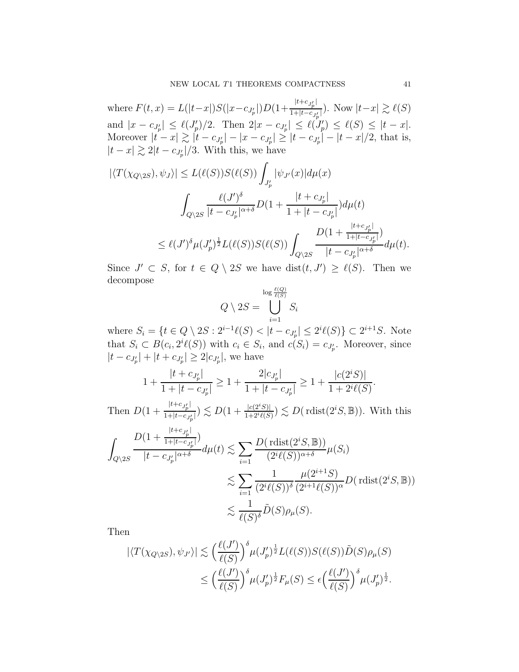where  $F(t, x) = L(|t-x|)S(|x-c_{J'_{p}}|)D(1+\frac{|t+c_{J'_{p}}|}{1+|t-c_{J'_{p}}|})$  $\frac{1+|t-c_{J_p'}|}{1+|t-c_{J_p'}|}$ ). Now  $|t-x| \gtrsim \ell(S)$ and  $|x - c_{J'_p}| \leq \ell(J'_p)/2$ . Then  $2|x - c_{J'_p}| \leq \ell(J'_p) \leq \ell(S) \leq |t - x|$ . Moreover  $|t - x| \gtrsim |t - c_{J'_p}| - |x - c_{J'_p}| \geq |t - c_{J'_p}| - |t - x|/2$ , that is,  $|t-x| \gtrsim 2|t-c_{J_p'}|/3$ . With this, we have

$$
|\langle T(\chi_{Q\backslash 2S}), \psi_J \rangle| \le L(\ell(S))S(\ell(S)) \int_{J'_p} |\psi_{J'}(x)| d\mu(x)
$$
  

$$
\int_{Q\backslash 2S} \frac{\ell(J')^{\delta}}{|t - c_{J'_p}|^{\alpha + \delta}} D(1 + \frac{|t + c_{J'_p}|}{1 + |t - c_{J'_p}|}) d\mu(t)
$$
  

$$
\le \ell(J')^{\delta} \mu(J'_p)^{\frac{1}{2}} L(\ell(S)) S(\ell(S)) \int_{Q\backslash 2S} \frac{D(1 + \frac{|t + c_{J'_p}|}{1 + |t - c_{J'_p}|})}{|t - c_{J'_p}|^{\alpha + \delta}} d\mu(t).
$$

Since  $J' \subset S$ , for  $t \in Q \setminus 2S$  we have  $dist(t, J') \geq \ell(S)$ . Then we decompose

$$
Q \setminus 2S = \bigcup_{i=1}^{\log \frac{\ell(Q)}{\ell(S)}} S_i
$$

where  $S_i = \{t \in Q \setminus 2S : 2^{i-1}\ell(S) < |t - c_{J_p'}| \leq 2^i \ell(S)\} \subset 2^{i+1}S$ . Note that  $S_i \subset B(c_i, 2^i \ell(S))$  with  $c_i \in S_i$ , and  $c(S_i) = c_{J'_p}$ . Moreover, since  $|t - c_{J'_{p}}| + |t + c_{J'_{p}}| \geq 2|c_{J'_{p}}|$ , we have

$$
1 + \frac{|t + c_{J'_p}|}{1 + |t - c_{J'_p}|} \ge 1 + \frac{2|c_{J'_p}|}{1 + |t - c_{J'_p}|} \ge 1 + \frac{|c(2^iS)|}{1 + 2^i\ell(S)}.
$$

Then  $D(1+\frac{|t+c_{J_p'}|}{1+|t-c_{J_p'}})$  $\frac{|t+c_{J_p'}|}{1+|t-c_{J_p'}|} \le D(1+\frac{|c(2^iS)|}{1+2^i\ell(S)}) \lesssim D(\text{rdist}(2^iS,\mathbb{B}))$ . With this

$$
\int_{Q\backslash 2S} \frac{D(1 + \frac{|t + c_{J'_p}|}{1 + |t - c_{J'_p}|})}{|t - c_{J'_p}|^{\alpha + \delta}} d\mu(t) \lesssim \sum_{i=1} \frac{D(\text{rdist}(2^i S, \mathbb{B}))}{(2^i \ell(S))^{\alpha + \delta}} \mu(S_i)
$$
  

$$
\lesssim \sum_{i=1} \frac{1}{(2^i \ell(S))^{\delta}} \frac{\mu(2^{i+1} S)}{(2^{i+1} \ell(S))^{\alpha}} D(\text{rdist}(2^i S, \mathbb{B}))
$$
  

$$
\lesssim \frac{1}{\ell(S)^{\delta}} \tilde{D}(S) \rho_{\mu}(S).
$$

Then

$$
\begin{aligned} |\langle T(\chi_{Q\backslash 2S}), \psi_{J'} \rangle| &\lesssim \Big(\frac{\ell(J')}{\ell(S)}\Big)^{\delta} \mu(J'_p)^{\frac{1}{2}} L(\ell(S)) S(\ell(S)) \tilde{D}(S) \rho_{\mu}(S) \\ &\le \Big(\frac{\ell(J')}{\ell(S)}\Big)^{\delta} \mu(J'_p)^{\frac{1}{2}} F_{\mu}(S) \le \epsilon \Big(\frac{\ell(J')}{\ell(S)}\Big)^{\delta} \mu(J'_p)^{\frac{1}{2}}. \end{aligned}
$$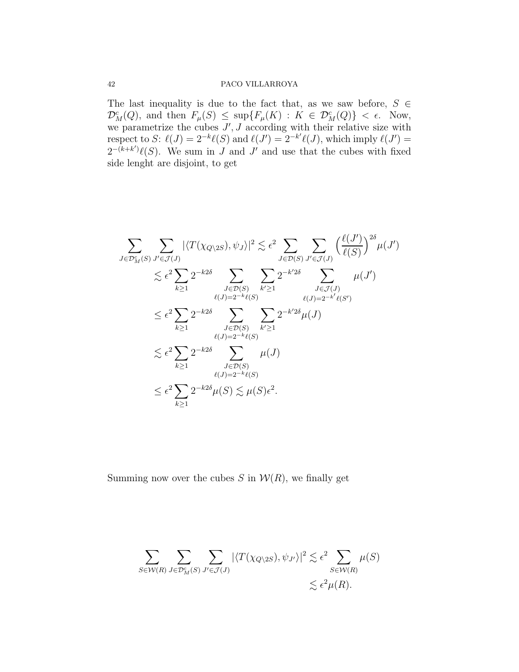The last inequality is due to the fact that, as we saw before,  $S \in$  $\mathcal{D}_M^c(Q)$ , and then  $F_\mu(S) \leq \sup\{F_\mu(K) : K \in \mathcal{D}_M^c(Q)\} < \epsilon$ . Now, we parametrize the cubes  $J'$ ,  $J$  according with their relative size with respect to S:  $\ell(J) = 2^{-k}\ell(S)$  and  $\ell(J') = 2^{-k'}\ell(J)$ , which imply  $\ell(J') =$  $2^{-(k+k')}\ell(S)$ . We sum in J and J' and use that the cubes with fixed side lenght are disjoint, to get

$$
\sum_{J \in \mathcal{D}_{\mathcal{M}}^c(S)} \sum_{J' \in \mathcal{J}(J)} |\langle T(\chi_{Q \setminus 2S}), \psi_J \rangle|^2 \lesssim \epsilon^2 \sum_{J \in \mathcal{D}(S)} \sum_{J' \in \mathcal{J}(J)} \left( \frac{\ell(J')}{\ell(S)} \right)^{2\delta} \mu(J')
$$
  

$$
\lesssim \epsilon^2 \sum_{k \ge 1} 2^{-k2\delta} \sum_{J \in \mathcal{D}(S)} \sum_{k' \ge 1} 2^{-k'2\delta} \sum_{\ell(J) = 2^{-k'} \ell(S')} \mu(J')
$$
  

$$
\le \epsilon^2 \sum_{k \ge 1} 2^{-k2\delta} \sum_{J \in \mathcal{D}(S)} \sum_{k' \ge 1} 2^{-k'2\delta} \mu(J)
$$
  

$$
\lesssim \epsilon^2 \sum_{k \ge 1} 2^{-k2\delta} \sum_{J \in \mathcal{D}(S)} \sum_{j' \ge 1} \sum_{J \in \mathcal{D}(S)} \mu(J)
$$
  

$$
\le \epsilon^2 \sum_{k \ge 1} 2^{-k2\delta} \sum_{\ell(J) = 2^{-k}\ell(S)} \mu(J)
$$
  

$$
\le \epsilon^2 \sum_{k \ge 1} 2^{-k2\delta} \mu(S) \lesssim \mu(S) \epsilon^2.
$$

Summing now over the cubes  $S$  in  $W(R)$ , we finally get

$$
\sum_{S \in \mathcal{W}(R)} \sum_{J \in \mathcal{D}_M^c(S)} \sum_{J' \in \mathcal{J}(J)} |\langle T(\chi_{Q \setminus 2S}), \psi_{J'} \rangle|^2 \lesssim \epsilon^2 \sum_{S \in \mathcal{W}(R)} \mu(S) \lesssim \epsilon^2 \mu(R).
$$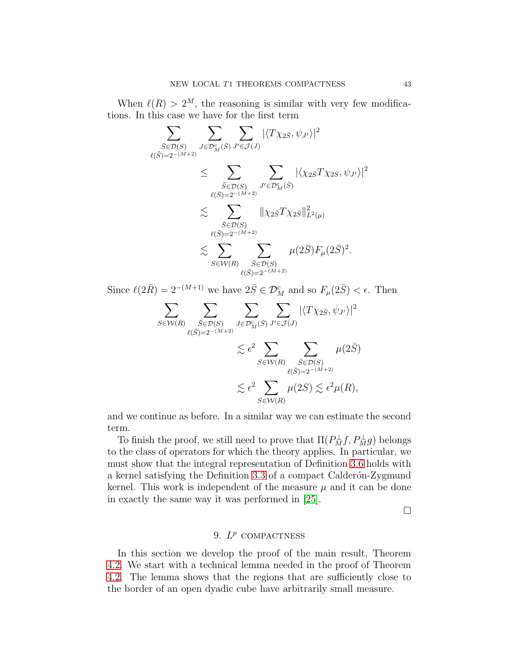When  $\ell(R) > 2^M$ , the reasoning is similar with very few modifications. In this case we have for the first term

$$
\sum_{\bar{S}\in\mathcal{D}(S)} \sum_{J\in\mathcal{D}_{M}^c(\bar{S})} \sum_{J'\in\mathcal{D}_{M}^c(\bar{S})} \sum_{J'\in\mathcal{J}(J)} |\langle T\chi_{2\bar{S}}, \psi_{J'} \rangle|^2
$$
\n
$$
\leq \sum_{\substack{\tilde{S}\in\mathcal{D}(S) \\ \ell(\bar{S})=2^{-(M+2)}}} \sum_{J'\in\mathcal{D}_{M}^c(\bar{S})} |\langle \chi_{2\bar{S}}T\chi_{2S}, \psi_{J'} \rangle|^2
$$
\n
$$
\lesssim \sum_{\substack{\bar{S}\in\mathcal{D}(S) \\ \ell(\bar{S})=2^{-(M+2)}}} \|\chi_{2\bar{S}}T\chi_{2\bar{S}}\|_{L^2(\mu)}^2
$$
\n
$$
\lesssim \sum_{\substack{S\in\mathcal{W}(R) \\ \ell(\bar{S})=2^{-(M+2)}}} \mu(2\bar{S}) F_{\mu}(2\bar{S})^2.
$$

Since  $\ell(2\bar{R}) = 2^{-(M+1)}$  we have  $2\bar{S} \in \mathcal{D}_{M}^{c}$  and so  $F_{\mu}(2\bar{S}) < \epsilon$ . Then

$$
\sum_{S \in \mathcal{W}(R)} \sum_{\substack{\bar{S} \in \mathcal{D}(S) \\ \ell(\bar{S}) = 2^{-(M+2)}}} \sum_{J \in \mathcal{D}_{M}^c(\bar{S})} \sum_{J' \in \mathcal{J}(J)} |\langle T \chi_{2\bar{S}}, \psi_{J'} \rangle|^2
$$
  

$$
\lesssim \epsilon^2 \sum_{S \in \mathcal{W}(R)} \sum_{\substack{\bar{S} \in \mathcal{D}(S) \\ \ell(\bar{S}) = 2^{-(M+2)}}} \mu(2\bar{S})
$$
  

$$
\lesssim \epsilon^2 \sum_{S \in \mathcal{W}(R)} \mu(2S) \lesssim \epsilon^2 \mu(R),
$$

and we continue as before. In a similar way we can estimate the second term.

To finish the proof, we still need to prove that  $\Pi(P_M^{\perp}f, P_M^{\perp}g)$  belongs to the class of operators for which the theory applies. In particular, we must show that the integral representation of Definition [3.6](#page-5-6) holds with a kernel satisfying the Definition [3.3](#page-4-1) of a compact Calderón-Zygmund kernel. This work is independent of the measure  $\mu$  and it can be done in exactly the same way it was performed in [\[25\]](#page-69-10).

 $\Box$ 

# 9.  $L^p$  compactness

In this section we develop the proof of the main result, Theorem [4.2.](#page-6-1) We start with a technical lemma needed in the proof of Theorem [4.2.](#page-6-1) The lemma shows that the regions that are sufficiently close to the border of an open dyadic cube have arbitrarily small measure.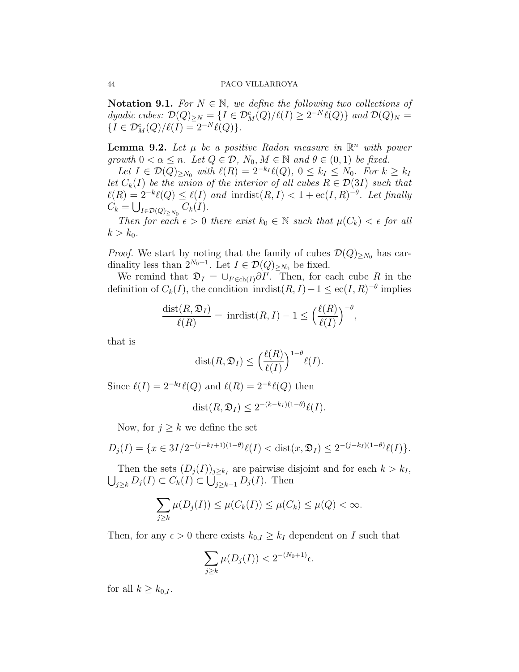Notation 9.1. For  $N \in \mathbb{N}$ , we define the following two collections of dyadic cubes:  $\mathcal{D}(Q)_{\geq N} = \{I \in \mathcal{D}_M^c(Q)/\ell(I) \geq 2^{-N}\ell(Q)\}\$  and  $\mathcal{D}(Q)_N =$  ${I \in \mathcal{D}_M^c(Q)}/\ell(I) = 2^{-N}\ell(Q).$ 

<span id="page-43-0"></span>**Lemma 9.2.** Let  $\mu$  be a positive Radon measure in  $\mathbb{R}^n$  with power growth  $0 < \alpha \leq n$ . Let  $Q \in \mathcal{D}$ ,  $N_0, M \in \mathbb{N}$  and  $\theta \in (0,1)$  be fixed.

Let  $I \in \mathcal{D}(Q)_{\geq N_0}$  with  $\ell(R) = 2^{-k_I} \ell(Q), 0 \leq k_I \leq N_0$ . For  $k \geq k_I$ let  $C_k(I)$  be the union of the interior of all cubes  $R \in \mathcal{D}(3I)$  such that  $\ell(R) = 2^{-k}\ell(Q) \leq \ell(I)$  and inrist $(R, I) < 1 + \mathrm{ec}(I, R)^{-\theta}$ . Let finally  $C_k = \bigcup_{I \in \mathcal{D}(Q)_{\geq N_0}} C_k(I).$ 

Then for each  $\epsilon > 0$  there exist  $k_0 \in \mathbb{N}$  such that  $\mu(C_k) < \epsilon$  for all  $k > k_0$ .

*Proof.* We start by noting that the family of cubes  $\mathcal{D}(Q)_{\geq N_0}$  has cardinality less than  $2^{N_0+1}$ . Let  $I \in \mathcal{D}(Q)_{\geq N_0}$  be fixed.

We remind that  $\mathfrak{D}_I = \bigcup_{I' \in \text{ch}(I)} \partial I'$ . Then, for each cube R in the definition of  $C_k(I)$ , the condition inrdist $(R, I) - 1 \leq \text{ec}(I, R)^{-\theta}$  implies

$$
\frac{\text{dist}(R,\mathfrak{D}_I)}{\ell(R)} = \text{inrdist}(R,I) - 1 \le \left(\frac{\ell(R)}{\ell(I)}\right)^{-\theta},
$$

that is

$$
\text{dist}(R, \mathfrak{D}_I) \le \left(\frac{\ell(R)}{\ell(I)}\right)^{1-\theta} \ell(I).
$$

Since  $\ell(I) = 2^{-k_I} \ell(Q)$  and  $\ell(R) = 2^{-k_I} \ell(Q)$  then

$$
dist(R, \mathfrak{D}_I) \le 2^{-(k-k_I)(1-\theta)} \ell(I).
$$

Now, for  $j \geq k$  we define the set

$$
D_j(I) = \{ x \in 3I/2^{-(j-k_I+1)(1-\theta)} \ell(I) < \text{dist}(x, \mathfrak{D}_I) \le 2^{-(j-k_I)(1-\theta)} \ell(I) \}.
$$

Then the sets  $(D_j(I))_{j\geq k_I}$  are pairwise disjoint and for each  $k > k_I$ ,  $\bigcup_{j\geq k} D_j(I) \subset C_k(I) \subset \bigcup_{j\geq k-1} D_j(I)$ . Then

$$
\sum_{j\geq k}\mu(D_j(I))\leq \mu(C_k(I))\leq \mu(C_k)\leq \mu(Q)<\infty.
$$

Then, for any  $\epsilon > 0$  there exists  $k_{0,I} \geq k_I$  dependent on I such that

$$
\sum_{j\geq k}\mu(D_j(I)) < 2^{-(N_0+1)}\epsilon.
$$

for all  $k \geq k_{0,I}$ .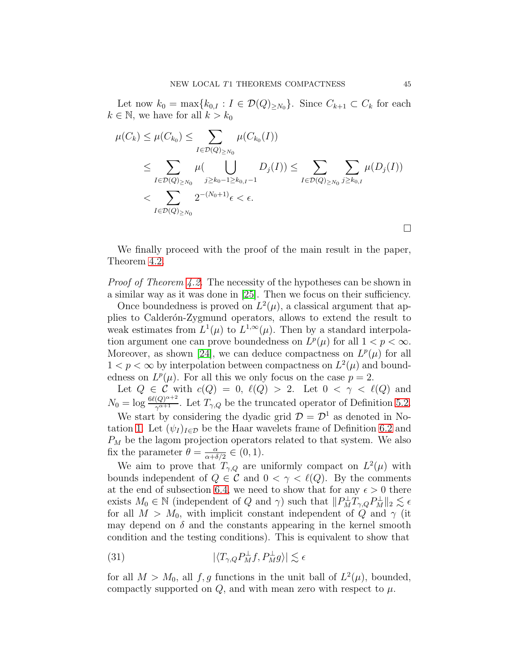Let now  $k_0 = \max\{k_{0,I} : I \in \mathcal{D}(Q)_{\geq N_0}\}\.$  Since  $C_{k+1} \subset C_k$  for each  $k \in \mathbb{N}$ , we have for all  $k > k_0$ 

$$
\mu(C_k) \leq \mu(C_{k_0}) \leq \sum_{I \in \mathcal{D}(Q)_{\geq N_0}} \mu(C_{k_0}(I))
$$
\n
$$
\leq \sum_{I \in \mathcal{D}(Q)_{\geq N_0}} \mu(\bigcup_{j \geq k_0 - 1 \geq k_{0,I} - 1} D_j(I)) \leq \sum_{I \in \mathcal{D}(Q)_{\geq N_0}} \sum_{j \geq k_{0,I}} \mu(D_j(I))
$$
\n
$$
< \sum_{I \in \mathcal{D}(Q)_{\geq N_0}} 2^{-(N_0 + 1)} \epsilon < \epsilon.
$$

We finally proceed with the proof of the main result in the paper, Theorem [4.2.](#page-6-1)

Proof of Theorem [4.2.](#page-6-1) The necessity of the hypotheses can be shown in a similar way as it was done in [\[25\]](#page-69-10). Then we focus on their sufficiency.

Once boundedness is proved on  $L^2(\mu)$ , a classical argument that applies to Calderón-Zygmund operators, allows to extend the result to weak estimates from  $L^1(\mu)$  to  $L^{1,\infty}(\mu)$ . Then by a standard interpolation argument one can prove boundedness on  $L^p(\mu)$  for all  $1 < p < \infty$ . Moreover, as shown [\[24\]](#page-69-9), we can deduce compactness on  $L^p(\mu)$  for all  $1 < p < \infty$  by interpolation between compactness on  $L^2(\mu)$  and boundedness on  $L^p(\mu)$ . For all this we only focus on the case  $p=2$ .

Let  $Q \in \mathcal{C}$  with  $c(Q) = 0$ ,  $\ell(Q) > 2$ . Let  $0 < \gamma < \ell(Q)$  and  $N_0 = \log \frac{6\ell(Q)^{\alpha+2}}{\gamma^{\alpha+1}}$ . Let  $T_{\gamma,Q}$  be the truncated operator of Definition [5.2.](#page-9-0)

We start by considering the dyadic grid  $\mathcal{D} = \mathcal{D}^1$  as denoted in No-tation [1.](#page-2-0) Let  $(\psi_I)_{I \in \mathcal{D}}$  be the Haar wavelets frame of Definition [6.2](#page-15-2) and  $P_M$  be the lagom projection operators related to that system. We also fix the parameter  $\theta = \frac{\alpha}{\alpha + \delta}$  $\frac{\alpha}{\alpha+\delta/2} \in (0,1).$ 

We aim to prove that  $T_{\gamma,Q}$  are uniformly compact on  $L^2(\mu)$  with bounds independent of  $Q \in \mathcal{C}$  and  $0 < \gamma < \ell(Q)$ . By the comments at the end of subsection [6.4,](#page-20-2) we need to show that for any  $\epsilon > 0$  there exists  $M_0 \in \mathbb{N}$  (independent of Q and  $\gamma$ ) such that  $||P_M^{\perp}T_{\gamma,Q}P_M^{\perp}||_2 \lesssim \epsilon$ for all  $M > M_0$ , with implicit constant independent of Q and  $\gamma$  (it may depend on  $\delta$  and the constants appearing in the kernel smooth condition and the testing conditions). This is equivalent to show that

(31) 
$$
|\langle T_{\gamma,Q} P_M^{\perp} f, P_M^{\perp} g \rangle| \lesssim \epsilon
$$

for all  $M > M_0$ , all f, g functions in the unit ball of  $L^2(\mu)$ , bounded, compactly supported on  $Q$ , and with mean zero with respect to  $\mu$ .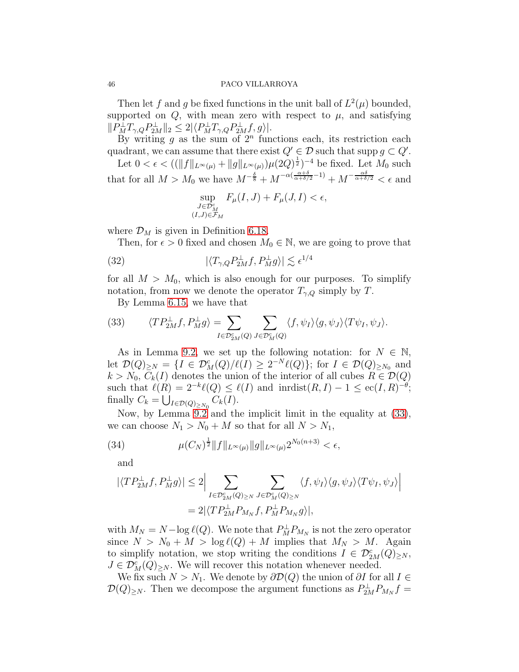Then let f and g be fixed functions in the unit ball of  $L^2(\mu)$  bounded, supported on  $Q$ , with mean zero with respect to  $\mu$ , and satisfying  $||P_M^{\perp}T_{\gamma,Q}P_{2M}^{\perp}||_2 \leq 2|\langle P_M^{\perp}T_{\gamma,Q}P_{2M}^{\perp}f,g\rangle|.$ 

By writing  $g$  as the sum of  $2^n$  functions each, its restriction each quadrant, we can assume that there exist  $Q' \in \mathcal{D}$  such that supp  $g \subset Q'$ .

Let  $0 < \epsilon < ((\|f\|_{L^{\infty}(\mu)} + \|g\|_{L^{\infty}(\mu)})\mu(2Q)^{\frac{1}{2}})^{-4}$  be fixed. Let  $M_0$  such that for all  $M > M_0$  we have  $M^{-\frac{\delta}{8}} + M^{-\alpha(\frac{\alpha+\delta}{\alpha+\delta/2}-1)} + M^{-\frac{\alpha\delta}{\alpha+\delta/2}} < \epsilon$  and

<span id="page-45-1"></span>
$$
\sup_{\substack{J\in\mathcal{D}_{M}^{c} \\ (I,J)\in\mathcal{F}_{M}}} F_{\mu}(I,J) + F_{\mu}(J,I) < \epsilon,
$$

where  $\mathcal{D}_M$  is given in Definition [6.18.](#page-25-1)

Then, for  $\epsilon > 0$  fixed and chosen  $M_0 \in \mathbb{N}$ , we are going to prove that

(32) 
$$
|\langle T_{\gamma,Q} P_{2M}^{\perp} f, P_M^{\perp} g \rangle| \lesssim \epsilon^{1/4}
$$

for all  $M > M_0$ , which is also enough for our purposes. To simplify notation, from now we denote the operator  $T_{\gamma,Q}$  simply by T.

By Lemma [6.15,](#page-22-0) we have that

<span id="page-45-0"></span>(33) 
$$
\langle TP_{2M}^{\perp}f, P_{M}^{\perp}g \rangle = \sum_{I \in \mathcal{D}_{2M}^{c}(Q)} \sum_{J \in \mathcal{D}_{M}^{c}(Q)} \langle f, \psi_{I} \rangle \langle g, \psi_{J} \rangle \langle T \psi_{I}, \psi_{J} \rangle.
$$

As in Lemma [9.2,](#page-43-0) we set up the following notation: for  $N \in \mathbb{N}$ , let  $\mathcal{D}(Q)_{\geq N} = \{I \in \mathcal{D}_M^c(Q)/\ell(I) \geq 2^{-N}\ell(Q)\};$  for  $I \in \mathcal{D}(Q)_{\geq N_0}$  and  $k > N_0$ ,  $C_k(I)$  denotes the union of the interior of all cubes  $R \in \mathcal{D}(Q)$ such that  $\ell(R) = 2^{-k}\ell(Q) \leq \ell(I)$  and  $\text{inrdist}(R, I) - 1 \leq \text{ec}(I, R)^{-\theta}$ ; finally  $C_k = \bigcup_{I \in \mathcal{D}(Q)_{\geq N_0}} C_k(I)$ .

Now, by Lemma [9.2](#page-43-0) and the implicit limit in the equality at [\(33\)](#page-45-0), we can choose  $N_1 > N_0 + M$  so that for all  $N > N_1$ ,

<span id="page-45-2"></span>(34) 
$$
\mu(C_N)^{\frac{1}{2}} \|f\|_{L^{\infty}(\mu)} \|g\|_{L^{\infty}(\mu)} 2^{N_0(n+3)} < \epsilon,
$$

and

$$
\begin{aligned} |\langle TP_{2M}^{\perp}f, P_{M}^{\perp}g \rangle| &\leq 2 \Big| \sum_{I \in \mathcal{D}_{2M}^c(Q)_{\geq N}} \sum_{J \in \mathcal{D}_{M}^c(Q)_{\geq N}} \langle f, \psi_I \rangle \langle g, \psi_J \rangle \langle T\psi_I, \psi_J \rangle \Big| \\ & = 2 |\langle TP_{2M}^{\perp}P_{M_N}f, P_{M}^{\perp}P_{M_N}g \rangle|, \end{aligned}
$$

with  $M_N = N - \log \ell(Q)$ . We note that  $P_M^{\perp} P_{M_N}$  is not the zero operator since  $N > N_0 + M > \log \ell(Q) + M$  implies that  $M_N > M$ . Again to simplify notation, we stop writing the conditions  $I \in \mathcal{D}_{2M}^c(Q)_{\geq N}$ ,  $J \in \mathcal{D}_M^c(Q)_{\geq N}$ . We will recover this notation whenever needed.

We fix such  $N > N_1$ . We denote by  $\partial \mathcal{D}(Q)$  the union of  $\partial I$  for all  $I \in$  $\mathcal{D}(Q)_{\geq N}$ . Then we decompose the argument functions as  $P_{2M}^{\perp}P_{M_N}f =$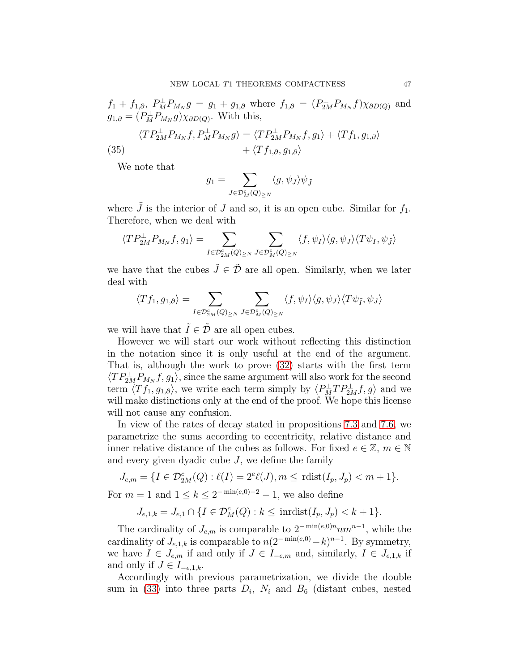$f_1 + f_{1,\partial}, P_M^{\perp}P_{M_N}g = g_1 + g_{1,\partial}$  where  $f_{1,\partial} = (P_{2M}^{\perp}P_{M_N}f)\chi_{\partial D(Q)}$  and  $g_{1,\partial} = (P_M^{\perp} P_{M_N} g) \chi_{\partial D(Q)}$ . With this,

<span id="page-46-0"></span>(35) 
$$
\langle TP_{2M}^{\perp}P_{M_N}f, P_M^{\perp}P_{M_N}g \rangle = \langle TP_{2M}^{\perp}P_{M_N}f, g_1 \rangle + \langle Tf_1, g_{1,\partial} \rangle + \langle Tf_{1,\partial}, g_{1,\partial} \rangle
$$

We note that

$$
g_1 = \sum_{J \in \mathcal{D}_M^c(Q)_{\geq N}} \langle g, \psi_J \rangle \psi_{\tilde{J}}
$$

where  $\tilde{J}$  is the interior of J and so, it is an open cube. Similar for  $f_1$ . Therefore, when we deal with

$$
\langle TP_{2M}^\perp P_{M_N}f, g_1\rangle = \sum_{I\in \mathcal{D}^c_{2M}(Q)_{\geq N}}\sum_{J\in \mathcal{D}^c_M(Q)_{\geq N}}\langle f, \psi_I\rangle \langle g, \psi_J\rangle \langle T\psi_I, \psi_{\tilde{J}}\rangle
$$

we have that the cubes  $\tilde{J} \in \tilde{\mathcal{D}}$  are all open. Similarly, when we later deal with

$$
\langle Tf_1, g_{1,\partial} \rangle = \sum_{I \in \mathcal{D}_{2M}^c(Q)_{\geq N}} \sum_{J \in \mathcal{D}_M^c(Q)_{\geq N}} \langle f, \psi_I \rangle \langle g, \psi_J \rangle \langle T \psi_{\tilde{I}}, \psi_J \rangle
$$

we will have that  $\tilde{I} \in \tilde{\mathcal{D}}$  are all open cubes.

However we will start our work without reflecting this distinction in the notation since it is only useful at the end of the argument. That is, although the work to prove [\(32\)](#page-45-1) starts with the first term  $\langle TP_{2M}^{\perp}P_{M_N}f, g_1 \rangle$ , since the same argument will also work for the second term  $\langle Tf_1, g_{1,\partial} \rangle$ , we write each term simply by  $\langle P_M^{\perp}TP_{2M}^{\perp}f, g \rangle$  and we will make distinctions only at the end of the proof. We hope this license will not cause any confusion.

In view of the rates of decay stated in propositions [7.3](#page-27-1) and [7.6,](#page-29-0) we parametrize the sums according to eccentricity, relative distance and inner relative distance of the cubes as follows. For fixed  $e \in \mathbb{Z}$ ,  $m \in \mathbb{N}$ and every given dyadic cube  $J$ , we define the family

$$
J_{e,m} = \{I \in \mathcal{D}_{2M}^c(Q) : \ell(I) = 2^e \ell(J), m \le \text{rdist}(I_p, J_p) < m+1\}.
$$

For  $m = 1$  and  $1 \leq k \leq 2^{-\min(e, 0)} - 2 - 1$ , we also define

$$
J_{e,1,k} = J_{e,1} \cap \{I \in \mathcal{D}_M^c(Q) : k \leq \text{inrdist}(I_p, J_p) < k+1\}.
$$

The cardinality of  $J_{e,m}$  is comparable to  $2^{-\min(e,0)n}nm^{n-1}$ , while the cardinality of  $J_{e,1,k}$  is comparable to  $n(2^{-\min(e,0)}-k)^{n-1}$ . By symmetry, we have  $I \in J_{e,m}$  if and only if  $J \in I_{-e,m}$  and, similarly,  $I \in J_{e,1,k}$  if and only if  $J \in I_{-e,1,k}$ .

Accordingly with previous parametrization, we divide the double sum in [\(33\)](#page-45-0) into three parts  $D_i$ ,  $N_i$  and  $B_6$  (distant cubes, nested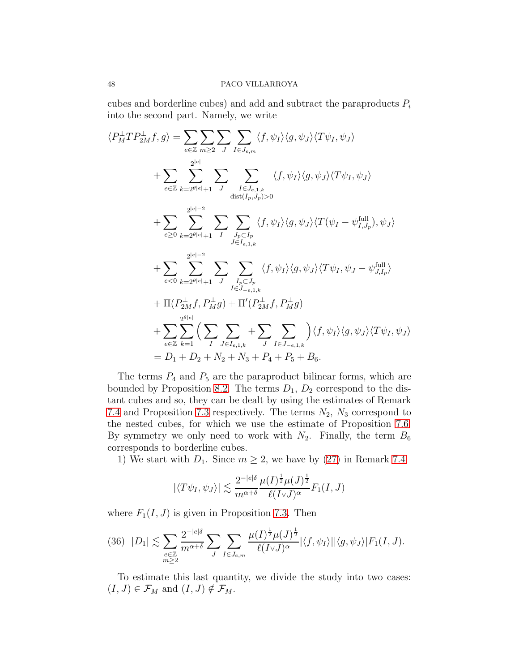cubes and borderline cubes) and add and subtract the paraproducts  $P_i$ into the second part. Namely, we write

$$
\langle P_M^{\perp}TP_{2M}^{\perp}f, g \rangle = \sum_{e \in \mathbb{Z}} \sum_{m \geq 2} \sum_{J} \sum_{I \in J_{e,m}} \langle f, \psi_I \rangle \langle g, \psi_J \rangle \langle T\psi_I, \psi_J \rangle
$$
  
+ 
$$
\sum_{e \in \mathbb{Z}} \sum_{k=2^{\theta|e|}+1} \sum_{J} \sum_{I \in J_{e,1,k}} \langle f, \psi_I \rangle \langle g, \psi_J \rangle \langle T\psi_I, \psi_J \rangle
$$
  
+ 
$$
\sum_{e \geq 0} \sum_{k=2^{\theta|e|}+1} \sum_{I} \sum_{J_p \subset I_p} \langle f, \psi_I \rangle \langle g, \psi_J \rangle \langle T(\psi_I - \psi_{I,J_p}^{\text{full}}), \psi_J \rangle
$$
  
+ 
$$
\sum_{e \geq 0} \sum_{k=2^{\theta|e|}+1} \sum_{J} \sum_{J_p \subset I_p} \langle f, \psi_I \rangle \langle g, \psi_J \rangle \langle T\psi_I - \psi_{I,J_p}^{\text{full}}), \psi_J \rangle
$$
  
+ 
$$
\sum_{e \leq 0} \sum_{k=2^{\theta|e|}+1} \sum_{J} \sum_{I_p \subset I_p} \langle f, \psi_I \rangle \langle g, \psi_J \rangle \langle T\psi_I, \psi_J - \psi_{J,I_p}^{\text{full}} \rangle
$$
  
+ 
$$
\Pi(P_{2M}^{\perp}f, P_{M}^{\perp}g) + \Pi'(P_{2M}^{\perp}f, P_{M}^{\perp}g)
$$
  
+ 
$$
\sum_{e \in \mathbb{Z}} \sum_{k=1}^{2^{\theta|e|}} \Big( \sum_{I} \sum_{J \in I_{e,1,k}} + \sum_{J} \sum_{I \in J_{-e,1,k}} \Big) \langle f, \psi_I \rangle \langle g, \psi_J \rangle \langle T\psi_I, \psi_J \rangle
$$
  
= 
$$
D_1 + D_2 + N_2 + N_3 + P_4 + P_5 + B_6.
$$

The terms  $P_4$  and  $P_5$  are the paraproduct bilinear forms, which are bounded by Proposition [8.2.](#page-35-1) The terms  $D_1$ ,  $D_2$  correspond to the distant cubes and so, they can be dealt by using the estimates of Remark [7.4](#page-28-1) and Proposition [7.3](#page-27-1) respectively. The terms  $N_2$ ,  $N_3$  correspond to the nested cubes, for which we use the estimate of Proposition [7.6.](#page-29-0) By symmetry we only need to work with  $N_2$ . Finally, the term  $B_6$ corresponds to borderline cubes.

1) We start with  $D_1$ . Since  $m \geq 2$ , we have by [\(27\)](#page-28-2) in Remark [7.4](#page-28-1)

$$
|\langle T\psi_I, \psi_J \rangle| \lesssim \frac{2^{-|e|\delta}}{m^{\alpha+\delta}} \frac{\mu(I)^{\frac{1}{2}}\mu(J)^{\frac{1}{2}}}{\ell(I \vee J)^{\alpha}} F_1(I, J)
$$

where  $F_1(I, J)$  is given in Proposition [7.3.](#page-27-1) Then

<span id="page-47-0"></span>
$$
(36) \quad |D_1| \lesssim \sum_{\substack{e \in \mathbb{Z} \\ m \ge 2}} \frac{2^{-|e|\delta}}{m^{\alpha+\delta}} \sum_{J} \sum_{I \in J_{e,m}} \frac{\mu(I)^{\frac{1}{2}} \mu(J)^{\frac{1}{2}}}{\ell(I \vee J)^{\alpha}} |\langle f, \psi_I \rangle| |\langle g, \psi_J \rangle| F_1(I, J).
$$

To estimate this last quantity, we divide the study into two cases:  $(I, J) \in \mathcal{F}_M$  and  $(I, J) \notin \mathcal{F}_M$ .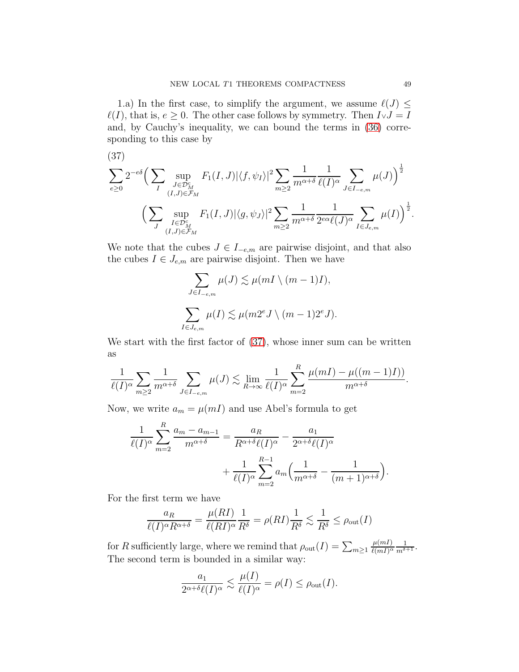1.a) In the first case, to simplify the argument, we assume  $\ell(J) \leq$  $\ell(I)$ , that is,  $e \geq 0$ . The other case follows by symmetry. Then  $I \vee J = I$ and, by Cauchy's inequality, we can bound the terms in [\(36\)](#page-47-0) corresponding to this case by

<span id="page-48-0"></span>(37)

$$
\sum_{e\geq 0} 2^{-e\delta} \Big( \sum_{I} \sup_{\substack{J \in \mathcal{D}_{M}^{c} \\ (I,J) \in \mathcal{F}_{M}}} F_{1}(I,J) |\langle f, \psi_{I} \rangle|^{2} \sum_{m \geq 2} \frac{1}{m^{\alpha+\delta}} \frac{1}{\ell(I)^{\alpha}} \sum_{J \in I_{-e,m}} \mu(J) \Big)^{\frac{1}{2}} \n\Big( \sum_{\substack{I \in \mathcal{D}_{M}^{c} \\ (I,J) \in \mathcal{F}_{M}}} \sup_{(I,J) \in \mathcal{F}_{M}} F_{1}(I,J) |\langle g, \psi_{J} \rangle|^{2} \sum_{m \geq 2} \frac{1}{m^{\alpha+\delta}} \frac{1}{2^{e\alpha} \ell(J)^{\alpha}} \sum_{I \in J_{e,m}} \mu(I) \Big)^{\frac{1}{2}}.
$$

We note that the cubes  $J \in I_{-e,m}$  are pairwise disjoint, and that also the cubes  $I \in J_{e,m}$  are pairwise disjoint. Then we have

$$
\sum_{J \in I_{-e,m}} \mu(J) \lesssim \mu(mI \setminus (m-1)I),
$$
  

$$
\sum_{I \in J_{e,m}} \mu(I) \lesssim \mu(m2^e J \setminus (m-1)2^e J).
$$

We start with the first factor of  $(37)$ , whose inner sum can be written as

$$
\frac{1}{\ell(I)^{\alpha}} \sum_{m \geq 2} \frac{1}{m^{\alpha+\delta}} \sum_{J \in I_{-e,m}} \mu(J) \lesssim \lim_{R \to \infty} \frac{1}{\ell(I)^{\alpha}} \sum_{m=2}^{R} \frac{\mu(mI) - \mu((m-1)I)}{m^{\alpha+\delta}}.
$$

Now, we write  $a_m = \mu(mI)$  and use Abel's formula to get

$$
\frac{1}{\ell(I)^{\alpha}} \sum_{m=2}^{R} \frac{a_m - a_{m-1}}{m^{\alpha+\delta}} = \frac{a_R}{R^{\alpha+\delta}\ell(I)^{\alpha}} - \frac{a_1}{2^{\alpha+\delta}\ell(I)^{\alpha}} + \frac{1}{\ell(I)^{\alpha}} \sum_{m=2}^{R-1} a_m \left(\frac{1}{m^{\alpha+\delta}} - \frac{1}{(m+1)^{\alpha+\delta}}\right)
$$

For the first term we have

$$
\frac{a_R}{\ell(I)^{\alpha}R^{\alpha+\delta}} = \frac{\mu(RI)}{\ell(RI)^{\alpha}}\frac{1}{R^{\delta}} = \rho(RI)\frac{1}{R^{\delta}} \lesssim \frac{1}{R^{\delta}} \le \rho_{\text{out}}(I)
$$

for R sufficiently large, where we remind that  $\rho_{\text{out}}(I) = \sum_{m \geq 1}$  $\mu(mI)$  $\frac{\mu(mI)}{\ell(mI)^\alpha} \frac{1}{m^{\delta+1}}.$ The second term is bounded in a similar way:

$$
\frac{a_1}{2^{\alpha+\delta}\ell(I)^{\alpha}} \lesssim \frac{\mu(I)}{\ell(I)^{\alpha}} = \rho(I) \le \rho_{\text{out}}(I).
$$

.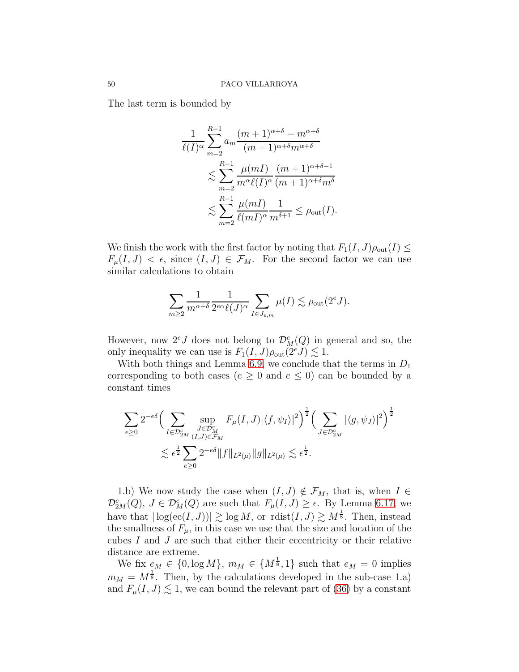The last term is bounded by

$$
\frac{1}{\ell(I)^{\alpha}} \sum_{m=2}^{R-1} a_m \frac{(m+1)^{\alpha+\delta} - m^{\alpha+\delta}}{(m+1)^{\alpha+\delta} m^{\alpha+\delta}}
$$
  
\$\lesssim \sum\_{m=2}^{R-1} \frac{\mu(mI)}{m^{\alpha} \ell(I)^{\alpha}} \frac{(m+1)^{\alpha+\delta-1}}{(m+1)^{\alpha+\delta} m^{\delta}}\$  
\$\lesssim \sum\_{m=2}^{R-1} \frac{\mu(mI)}{\ell(mI)^{\alpha}} \frac{1}{m^{\delta+1}} \le \rho\_{\text{out}}(I).

We finish the work with the first factor by noting that  $F_1(I, J)\rho_{\text{out}}(I) \leq$  $F_{\mu}(I, J) < \epsilon$ , since  $(I, J) \in \mathcal{F}_{M}$ . For the second factor we can use similar calculations to obtain

$$
\sum_{m\geq 2}\frac{1}{m^{\alpha+\delta}}\frac{1}{2^{e\alpha}\ell(J)^\alpha}\sum_{I\in J_{e,m}}\mu(I)\lesssim \rho_{\text{out}}(2^eJ).
$$

However, now  $2^eJ$  does not belong to  $\mathcal{D}_M^c(Q)$  in general and so, the only inequality we can use is  $F_1(I, J)\rho_{\text{out}}(2^e J) \lesssim 1$ .

With both things and Lemma [6.9,](#page-20-0) we conclude that the terms in  $D_1$ corresponding to both cases ( $e \geq 0$  and  $e \leq 0$ ) can be bounded by a constant times

$$
\sum_{e\geq 0} 2^{-e\delta} \Big( \sum_{\substack{J\in \mathcal{D}_{2M}^c\\(I,J)\in\mathcal{F}_M}} \sup_{\substack{J\in \mathcal{D}_{M}^c\\(I,J)\in\mathcal{F}_M}} F_{\mu}(I,J) |\langle f, \psi_I \rangle|^2 \Big)^{\frac{1}{2}} \Big( \sum_{J\in \mathcal{D}_{2M}^c} |\langle g, \psi_J \rangle|^2 \Big)^{\frac{1}{2}}
$$
  

$$
\lesssim \epsilon^{\frac{1}{2}} \sum_{e\geq 0} 2^{-e\delta} \|f\|_{L^2(\mu)} \|g\|_{L^2(\mu)} \lesssim \epsilon^{\frac{1}{2}}.
$$

1.b) We now study the case when  $(I, J) \notin \mathcal{F}_M$ , that is, when  $I \in$  $\mathcal{D}_{2M}^{c}(Q), \ J \in \mathcal{D}_{M}^{c}(Q)$  are such that  $F_{\mu}(I, J) \geq \epsilon$ . By Lemma [6.17,](#page-23-0) we have that  $|\log(\mathrm{ec}(I, J))| \gtrsim \log M$ , or  $\mathrm{rdist}(I, J) \gtrsim M^{\frac{1}{8}}$ . Then, instead the smallness of  $F_{\mu}$ , in this case we use that the size and location of the cubes I and J are such that either their eccentricity or their relative distance are extreme.

We fix  $e_M \in \{0, \log M\}$ ,  $m_M \in \{M^{\frac{1}{8}}, 1\}$  such that  $e_M = 0$  implies  $m_M = M^{\frac{1}{8}}$ . Then, by the calculations developed in the sub-case 1.a) and  $F_{\mu}(I, J) \lesssim 1$ , we can bound the relevant part of [\(36\)](#page-47-0) by a constant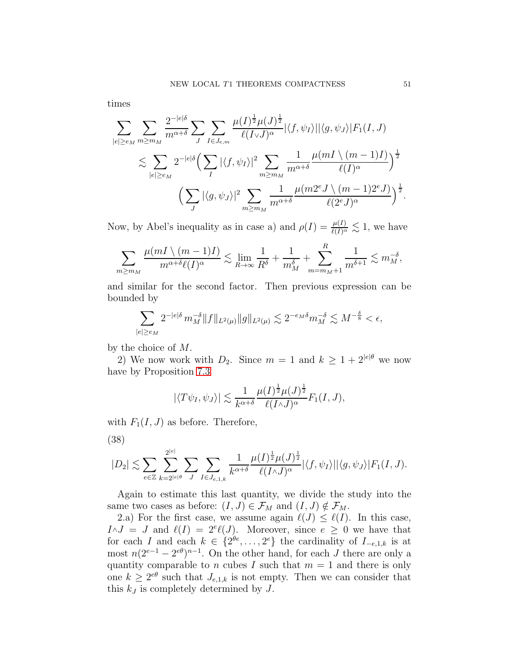times

$$
\sum_{|e|\geq e_M} \sum_{m\geq m_M} \frac{2^{-|e|\delta}}{m^{\alpha+\delta}} \sum_J \sum_{I\in J_{e,m}} \frac{\mu(I)^{\frac{1}{2}}\mu(J)^{\frac{1}{2}}}{\ell(I\vee J)^{\alpha}} |\langle f, \psi_I \rangle| |\langle g, \psi_J \rangle| F_1(I, J)
$$
  

$$
\lesssim \sum_{|e|\geq e_M} 2^{-|e|\delta} \Big( \sum_I |\langle f, \psi_I \rangle|^2 \sum_{m\geq m_M} \frac{1}{m^{\alpha+\delta}} \frac{\mu(mI \setminus (m-1)I)}{\ell(I)^{\alpha}} \Big)^{\frac{1}{2}}
$$
  

$$
\Big( \sum_J |\langle g, \psi_J \rangle|^2 \sum_{m\geq m_M} \frac{1}{m^{\alpha+\delta}} \frac{\mu(m2^eJ \setminus (m-1)2^eJ)}{\ell(2^eJ)^{\alpha}} \Big)^{\frac{1}{2}}
$$

Now, by Abel's inequality as in case a) and  $\rho(I) = \frac{\mu(I)}{\ell(I)^\alpha} \lesssim 1$ , we have

$$
\sum_{m\geq m_M} \frac{\mu(mI\setminus (m-1)I)}{m^{\alpha+\delta}\ell(I)^{\alpha}} \lesssim \lim_{R\to\infty} \frac{1}{R^{\delta}} + \frac{1}{m_M^{\delta}} + \sum_{m=m_M+1}^R \frac{1}{m^{\delta+1}} \lesssim m_M^{-\delta},
$$

and similar for the second factor. Then previous expression can be bounded by

$$
\sum_{|e|\geq e_M} 2^{-|e|\delta} \, m_M^{-\delta} \|f\|_{L^2(\mu)} \|g\|_{L^2(\mu)} \lesssim 2^{-e_M \delta} m_M^{-\delta} \lesssim M^{-\frac{\delta}{8}} < \epsilon,
$$

by the choice of M.

2) We now work with  $D_2$ . Since  $m = 1$  and  $k \ge 1 + 2^{|e|\theta}$  we now have by Proposition [7.3](#page-27-1)

$$
|\langle T\psi_I,\psi_J\rangle| \lesssim \frac{1}{k^{\alpha+\delta}} \frac{\mu(I)^{\frac{1}{2}}\mu(J)^{\frac{1}{2}}}{\ell(I\wedge J)^\alpha} F_1(I,J),
$$

with  $F_1(I, J)$  as before. Therefore,

<span id="page-50-0"></span>(38)

$$
|D_2| \lesssim \sum_{e \in \mathbb{Z}} \sum_{k=2^{|e|\theta}}^{2^{|e|}} \sum_{J} \sum_{I \in J_{e,1,k}} \frac{1}{k^{\alpha+\delta}} \frac{\mu(I)^{\frac{1}{2}} \mu(J)^{\frac{1}{2}}}{\ell(I \wedge J)^{\alpha}} |\langle f, \psi_I \rangle| |\langle g, \psi_J \rangle| F_1(I, J).
$$

Again to estimate this last quantity, we divide the study into the same two cases as before:  $(I, J) \in \mathcal{F}_M$  and  $(I, J) \notin \mathcal{F}_M$ .

2.a) For the first case, we assume again  $\ell(J) \leq \ell(I)$ . In this case,  $I \wedge J = J$  and  $\ell(I) = 2^e \ell(J)$ . Moreover, since  $e \geq 0$  we have that for each I and each  $k \in \{2^{\theta e}, \ldots, 2^e\}$  the cardinality of  $I_{-e,1,k}$  is at most  $n(2^{e-1} - 2^{e\theta})^{n-1}$ . On the other hand, for each J there are only a quantity comparable to n cubes I such that  $m = 1$  and there is only one  $k \geq 2^{e\theta}$  such that  $J_{e,1,k}$  is not empty. Then we can consider that this  $k_J$  is completely determined by  $J$ .

.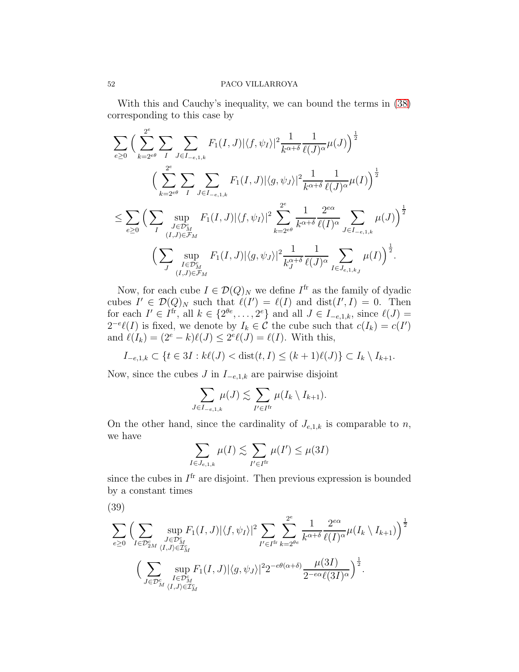With this and Cauchy's inequality, we can bound the terms in [\(38\)](#page-50-0) corresponding to this case by

$$
\sum_{e\geq 0} \Big( \sum_{k=2^{e\theta}}^{2^{e}} \sum_{I} \sum_{J\in I_{-e,1,k}} F_{1}(I,J) |\langle f, \psi_{I} \rangle|^{2} \frac{1}{k^{\alpha+\delta}} \frac{1}{\ell(J)^{\alpha}} \mu(J) \Big)^{\frac{1}{2}} \n\Big( \sum_{k=2^{e\theta}}^{2^{e}} \sum_{I} \sum_{J\in I_{-e,1,k}} F_{1}(I,J) |\langle g, \psi_{J} \rangle|^{2} \frac{1}{k^{\alpha+\delta}} \frac{1}{\ell(J)^{\alpha}} \mu(I) \Big)^{\frac{1}{2}} \n\leq \sum_{e\geq 0} \Big( \sum_{\substack{J\in \mathcal{D}_{M}^{e} \\ (I,J)\in \mathcal{F}_{M}}} F_{1}(I,J) |\langle f, \psi_{I} \rangle|^{2} \sum_{k=2^{e\theta}}^{2^{e}} \frac{1}{k^{\alpha+\delta}} \frac{2^{e\alpha}}{\ell(I)^{\alpha}} \sum_{J\in I_{-e,1,k}} \mu(J) \Big)^{\frac{1}{2}} \n\Big( \sum_{\substack{J\in \mathcal{D}_{M}^{e} \\ (I,J)\in \mathcal{F}_{M}}} F_{1}(I,J) |\langle g, \psi_{J} \rangle|^{2} \frac{1}{k^{\alpha+\delta}} \frac{1}{\ell(J)^{\alpha}} \sum_{I\in J_{e,1,k_J}} \mu(I) \Big)^{\frac{1}{2}}.
$$

Now, for each cube  $I \in \mathcal{D}(Q)_N$  we define  $I^{\text{fr}}$  as the family of dyadic cubes  $I' \in \mathcal{D}(Q)_N$  such that  $\ell(I') = \ell(I)$  and  $dist(I', I) = 0$ . Then for each  $I' \in I^{\text{fr}}$ , all  $k \in \{2^{\theta e}, \ldots, 2^e\}$  and all  $J \in I_{-e,1,k}$ , since  $\ell(J)$  =  $2^{-e}\ell(I)$  is fixed, we denote by  $I_k \in \mathcal{C}$  the cube such that  $c(I_k) = c(I')$ and  $\ell(I_k) = (2^e - k)\ell(J) \leq 2^e \ell(J) = \ell(I)$ . With this,

 $I_{-e,1,k}$  ⊂ { $t \in 3I : k\ell(J) < \text{dist}(t, I) \leq (k+1)\ell(J)$ } ⊂  $I_k \setminus I_{k+1}$ .

Now, since the cubes  $J$  in  $I_{-e,1,k}$  are pairwise disjoint

$$
\sum_{J \in I_{-e,1,k}} \mu(J) \lesssim \sum_{I' \in I^{\text{fr}}} \mu(I_k \setminus I_{k+1}).
$$

On the other hand, since the cardinality of  $J_{e,1,k}$  is comparable to n, we have

$$
\sum_{I \in J_{e,1,k}} \mu(I) \lesssim \sum_{I' \in I^{\text{fr}}} \mu(I') \le \mu(3I)
$$

since the cubes in  $I<sup>fr</sup>$  are disjoint. Then previous expression is bounded by a constant times

<span id="page-51-0"></span>
$$
(39)
$$

$$
\sum_{e\geq 0} \Big( \sum_{\substack{J\in \mathcal{D}_{2M}^c\\(I,J)\in \mathcal{I}_M^c}} \sup_{\substack{J\in \mathcal{D}_M^c\\(I,J)\in \mathcal{I}_M^c}} F_1(I,J) |\langle f, \psi_I\rangle|^2 \sum_{I'\in I^{\text{fr}}} \sum_{k=2^{\theta e}}^{2^e} \frac{1}{k^{\alpha+\delta}} \frac{2^{e\alpha}}{\ell(I)^\alpha} \mu(I_k \setminus I_{k+1}) \Big)^{\frac{1}{2}} \\ \Big( \sum_{\substack{I\in \mathcal{D}_M^c\\(I,J)\in \mathcal{I}_M^c}} \sup_{\substack{I\in \mathcal{D}_M^c\\(I,J)\in \mathcal{I}_M^c}} F_1(I,J) |\langle g, \psi_J\rangle|^2 2^{-e\theta(\alpha+\delta)} \frac{\mu(3I)}{2^{-e\alpha}\ell(3I)^\alpha} \Big)^{\frac{1}{2}}.
$$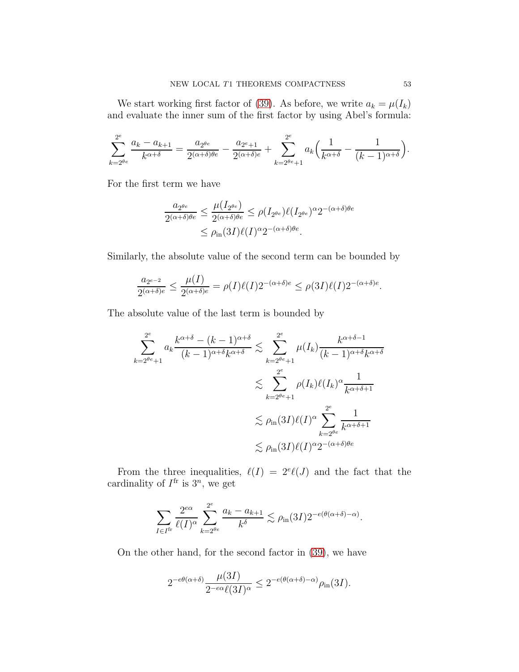We start working first factor of [\(39\)](#page-51-0). As before, we write  $a_k = \mu(I_k)$ and evaluate the inner sum of the first factor by using Abel's formula:

$$
\sum_{k=2^{\theta e}}^{2^e} \frac{a_k - a_{k+1}}{k^{\alpha+\delta}} = \frac{a_{2^{\theta e}}}{2^{(\alpha+\delta)\theta e}} - \frac{a_{2^e+1}}{2^{(\alpha+\delta)e}} + \sum_{k=2^{\theta e}+1}^{2^e} a_k \left(\frac{1}{k^{\alpha+\delta}} - \frac{1}{(k-1)^{\alpha+\delta}}\right).
$$

For the first term we have

$$
\frac{a_{2^{\theta e}}}{2^{(\alpha+\delta)\theta e}} \le \frac{\mu(I_{2^{\theta e}})}{2^{(\alpha+\delta)\theta e}} \le \rho(I_{2^{\theta e}})\ell(I_{2^{\theta e}})^{\alpha}2^{-(\alpha+\delta)\theta e}
$$

$$
\le \rho_{\text{in}}(3I)\ell(I)^{\alpha}2^{-(\alpha+\delta)\theta e}.
$$

Similarly, the absolute value of the second term can be bounded by

$$
\frac{a_{2^{e-2}}}{2^{(\alpha+\delta)e}} \le \frac{\mu(I)}{2^{(\alpha+\delta)e}} = \rho(I)\ell(I)2^{-(\alpha+\delta)e} \le \rho(3I)\ell(I)2^{-(\alpha+\delta)e}.
$$

The absolute value of the last term is bounded by

$$
\sum_{k=2^{\theta e}+1}^{2^e} a_k \frac{k^{\alpha+\delta} - (k-1)^{\alpha+\delta}}{(k-1)^{\alpha+\delta}k^{\alpha+\delta}} \lesssim \sum_{k=2^{\theta e}+1}^{2^e} \mu(I_k) \frac{k^{\alpha+\delta-1}}{(k-1)^{\alpha+\delta}k^{\alpha+\delta}}
$$

$$
\lesssim \sum_{k=2^{\theta e}+1}^{2^e} \rho(I_k) \ell(I_k)^{\alpha} \frac{1}{k^{\alpha+\delta+1}}
$$

$$
\lesssim \rho_{\text{in}}(3I) \ell(I)^{\alpha} \sum_{k=2^{\theta e}}^{2^e} \frac{1}{k^{\alpha+\delta+1}}
$$

$$
\lesssim \rho_{\text{in}}(3I) \ell(I)^{\alpha} 2^{-(\alpha+\delta)\theta e}
$$

From the three inequalities,  $\ell(I) = 2^e \ell(J)$  and the fact that the cardinality of  $I^{\text{fr}}$  is  $3^n$ , we get

$$
\sum_{I \in I^{\text{fr}}} \frac{2^{e\alpha}}{\ell(I)^{\alpha}} \sum_{k=2^{\theta e}}^{2^e} \frac{a_k - a_{k+1}}{k^{\delta}} \lesssim \rho_{\text{in}}(3I) 2^{-e(\theta(\alpha + \delta) - \alpha)}.
$$

On the other hand, for the second factor in [\(39\)](#page-51-0), we have

$$
2^{-e\theta(\alpha+\delta)}\frac{\mu(3I)}{2^{-e\alpha}\ell(3I)^{\alpha}}\leq 2^{-e(\theta(\alpha+\delta)-\alpha)}\rho_{\text{in}}(3I).
$$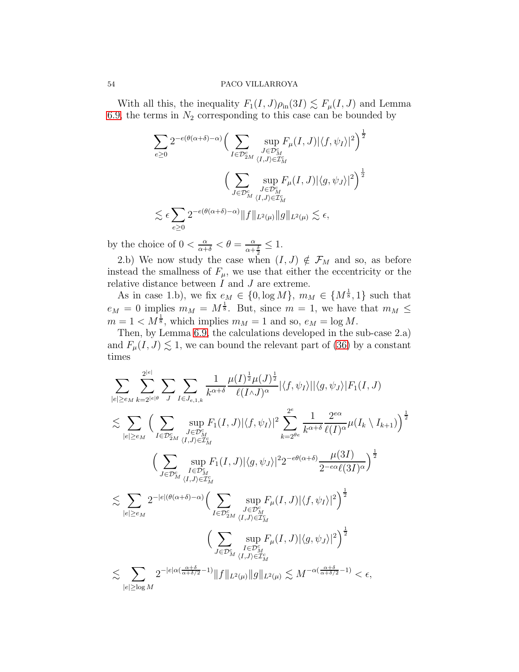With all this, the inequality  $F_1(I, J)\rho_{\text{in}}(3I) \lesssim F_\mu(I, J)$  and Lemma [6.9,](#page-20-0) the terms in  $N_2$  corresponding to this case can be bounded by

$$
\sum_{e\geq 0} 2^{-e(\theta(\alpha+\delta)-\alpha)} \Big(\sum_{I\in \mathcal{D}_{2M}^c} \sup_{\substack{J\in \mathcal{D}_M^c\\ \langle I,J\rangle\in \mathcal{I}_M^c}} F_{\mu}(I,J) |\langle f, \psi_I\rangle|^2\Big)^{\frac{1}{2}}\n\left(\sum_{J\in \mathcal{D}_{M}^c} \sup_{\substack{J\in \mathcal{D}_M^c\\ \langle I,J\rangle\in \mathcal{I}_M^c}} F_{\mu}(I,J) |\langle g, \psi_J\rangle|^2\right)^{\frac{1}{2}}\n\lesssim \epsilon \sum_{e\geq 0} 2^{-e(\theta(\alpha+\delta)-\alpha)} \|f\|_{L^2(\mu)} \|g\|_{L^2(\mu)} \lesssim \epsilon,
$$

by the choice of  $0 < \frac{\alpha}{\alpha + \delta} < \theta = \frac{\alpha}{\alpha + \delta}$  $\frac{\alpha}{\alpha+\frac{\delta}{2}} \leq 1.$ 

2.b) We now study the case when  $(I, J) \notin \mathcal{F}_M$  and so, as before instead the smallness of  $F_{\mu}$ , we use that either the eccentricity or the relative distance between  $I$  and  $J$  are extreme.

As in case 1.b), we fix  $e_M \in \{0, \log M\}$ ,  $m_M \in \{M^{\frac{1}{8}}, 1\}$  such that  $e_M = 0$  implies  $m_M = M^{\frac{1}{8}}$ . But, since  $m = 1$ , we have that  $m_M \leq$  $m = 1 < M^{\frac{1}{8}}$ , which implies  $m_M = 1$  and so,  $e_M = \log M$ .

Then, by Lemma [6.9,](#page-20-0) the calculations developed in the sub-case 2.a) and  $F_{\mu}(I, J) \lesssim 1$ , we can bound the relevant part of [\(36\)](#page-47-0) by a constant times

$$
\sum_{|e|\geq e_M} \sum_{k=2^{|e|\theta}} \sum_{J} \sum_{I \in J_{e,1,k}} \frac{1}{k^{\alpha+\delta}} \frac{\mu(I)^{\frac{1}{2}} \mu(J)^{\frac{1}{2}}}{\ell(I \wedge J)^{\alpha}} |\langle f, \psi_I \rangle| |\langle g, \psi_J \rangle| F_1(I, J) \n\lesssim \sum_{|e|\geq e_M} \Big( \sum_{I \in \mathcal{D}_{2M}^c} \sup_{\langle I, J \rangle \in \mathcal{I}_M^c} F_1(I, J) |\langle f, \psi_I \rangle|^2 \sum_{k=2^{\theta e}}^{2^e} \frac{1}{k^{\alpha+\delta}} \frac{2^{e\alpha}}{\ell(I)^{\alpha}} \mu(I_k \setminus I_{k+1}) \Big)^{\frac{1}{2}} \Big( \sum_{I \in \mathcal{D}_{2M}^c} \sup_{\langle I, J \rangle \in \mathcal{I}_M^c} F_1(I, J) |\langle g, \psi_J \rangle|^2 2^{-e\theta(\alpha+\delta)} \frac{\mu(3I)}{2^{-e\alpha} \ell(3I)^{\alpha}} \Big)^{\frac{1}{2}} \Big( \sum_{I \in \mathcal{D}_{M}^c} \sup_{\langle I, J \rangle \in \mathcal{I}_M^c} F_1(I, J) |\langle f, \psi_I \rangle|^2 \Big)^{\frac{1}{2}} \Big( \sum_{J \in \mathcal{D}_{2M}^c} \sup_{\langle I, J \rangle \in \mathcal{I}_M^c} F_{\mu}(I, J) |\langle f, \psi_I \rangle|^2 \Big)^{\frac{1}{2}} \Big( \sum_{J \in \mathcal{D}_{2M}^c} \sup_{\langle I, J \rangle \in \mathcal{I}_M^c} F_{\mu}(I, J) |\langle g, \psi_J \rangle|^2 \Big)^{\frac{1}{2}} \Big( \sum_{J \in \mathcal{D}_{M}^c} \sup_{\langle I, J \rangle \in \mathcal{I}_M^c} F_{\mu}(I, J) |\langle g, \psi_J \rangle|^2 \Big)^{\frac{1}{2}} \Big( \sum_{J \in \mathcal{D}_{M}^c} \sup_{\langle I, J \rangle \in \mathcal{I}_M^c} F_{\mu}(I, J) |\langle g, \psi_J \rangle|^2 \Big)^{\frac{1}{2}} \Big( \sum_{|e| \geq \log M} 2^{-|e|\alpha(\frac{\alpha+\delta}{\
$$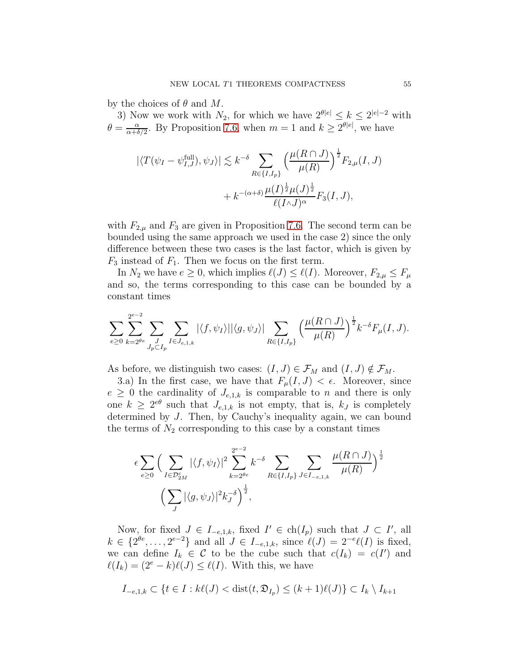by the choices of  $\theta$  and  $M$ .

3) Now we work with  $N_2$ , for which we have  $2^{\theta|e|} \le k \le 2^{|e|-2}$  with  $\theta = \frac{\alpha}{\alpha + \delta}$  $\frac{\alpha}{\alpha+\delta/2}$ . By Proposition [7.6,](#page-29-0) when  $m=1$  and  $k \geq 2^{\theta|e|}$ , we have

$$
\begin{aligned} |\langle T(\psi_I - \psi_{I,J}^{\text{full}}), \psi_J \rangle| &\lesssim k^{-\delta} \sum_{R \in \{I, I_p\}} \left(\frac{\mu(R \cap J)}{\mu(R)}\right)^{\frac{1}{2}} F_{2,\mu}(I, J) \\ &+ k^{-(\alpha + \delta)} \frac{\mu(I)^{\frac{1}{2}} \mu(J)^{\frac{1}{2}}}{\ell(I \wedge J)^{\alpha}} F_3(I, J), \end{aligned}
$$

with  $F_{2,\mu}$  and  $F_3$  are given in Proposition [7.6.](#page-29-0) The second term can be bounded using the same approach we used in the case 2) since the only difference between these two cases is the last factor, which is given by  $F_3$  instead of  $F_1$ . Then we focus on the first term.

In  $N_2$  we have  $e \geq 0$ , which implies  $\ell(J) \leq \ell(I)$ . Moreover,  $F_{2,\mu} \leq F_{\mu}$ and so, the terms corresponding to this case can be bounded by a constant times

$$
\sum_{e\geq 0}\sum_{k=2^{\theta e}}^{2^{e-2}}\sum_{J\subset J_{p}\subset I_{p}}\sum_{I\in J_{e,1,k}}|\langle f,\psi_{I}\rangle||\langle g,\psi_{J}\rangle|\sum_{R\in\{I,I_{p}\}}\Big(\frac{\mu(R\cap J)}{\mu(R)}\Big)^{\frac{1}{2}}k^{-\delta}F_{\mu}(I,J).
$$

As before, we distinguish two cases:  $(I, J) \in \mathcal{F}_M$  and  $(I, J) \notin \mathcal{F}_M$ .

3.a) In the first case, we have that  $F_{\mu}(I, J) < \epsilon$ . Moreover, since  $e \geq 0$  the cardinality of  $J_{e,1,k}$  is comparable to n and there is only one  $k \geq 2^{e\theta}$  such that  $J_{e,1,k}$  is not empty, that is,  $k_j$  is completely determined by J. Then, by Cauchy's inequality again, we can bound the terms of  $N_2$  corresponding to this case by a constant times

$$
\epsilon \sum_{e \ge 0} \Big( \sum_{I \in \mathcal{D}_{2M}^c} |\langle f, \psi_I \rangle|^2 \sum_{k=2^{\theta e}}^{2^{e-2}} k^{-\delta} \sum_{R \in \{I, I_p\}} \sum_{J \in I_{-e,1,k}} \frac{\mu(R \cap J)}{\mu(R)} \Big)^{\frac{1}{2}}
$$

$$
\Big( \sum_J |\langle g, \psi_J \rangle|^2 k_J^{-\delta} \Big)^{\frac{1}{2}},
$$

Now, for fixed  $J \in I_{-e,1,k}$ , fixed  $I' \in ch(I_p)$  such that  $J \subset I'$ , all  $k \in \{2^{\theta e}, \ldots, 2^{e-2}\}\$ and all  $J \in I_{-e,1,k}$ , since  $\ell(J) = 2^{-e} \ell(I)$  is fixed, we can define  $I_k \in \mathcal{C}$  to be the cube such that  $c(I_k) = c(I')$  and  $\ell(I_k) = (2^e - k)\ell(J) \leq \ell(I)$ . With this, we have

$$
I_{-e,1,k} \subset \{ t \in I : k\ell(J) < \text{dist}(t,\mathfrak{D}_{I_p}) \le (k+1)\ell(J) \} \subset I_k \setminus I_{k+1}
$$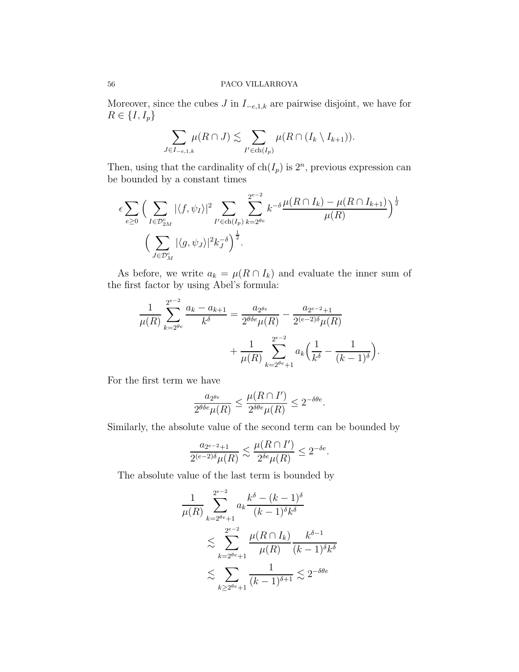Moreover, since the cubes  $J$  in  $I_{-e,1,k}$  are pairwise disjoint, we have for  $R \in \{I, I_p\}$ 

$$
\sum_{J \in I_{-e,1,k}} \mu(R \cap J) \lesssim \sum_{I' \in ch(I_p)} \mu(R \cap (I_k \setminus I_{k+1})).
$$

Then, using that the cardinality of  $ch(I_p)$  is  $2^n$ , previous expression can be bounded by a constant times

$$
\epsilon \sum_{e \ge 0} \Big( \sum_{I \in \mathcal{D}_{2M}^c} |\langle f, \psi_I \rangle|^2 \sum_{I' \in \text{ch}(I_p)} \sum_{k=2^{\theta_e}}^{2^{e-2}} k^{-\delta} \frac{\mu(R \cap I_k) - \mu(R \cap I_{k+1})}{\mu(R)} \Big)^{\frac{1}{2}}
$$

$$
\Big( \sum_{J \in \mathcal{D}_M^c} |\langle g, \psi_J \rangle|^2 k_J^{-\delta} \Big)^{\frac{1}{2}}.
$$

As before, we write  $a_k = \mu(R \cap I_k)$  and evaluate the inner sum of the first factor by using Abel's formula:

$$
\frac{1}{\mu(R)} \sum_{k=2^{\theta e}}^{2^{e-2}} \frac{a_k - a_{k+1}}{k^{\delta}} = \frac{a_{2^{\theta e}}}{2^{\theta \delta e} \mu(R)} - \frac{a_{2^{e-2}+1}}{2^{(e-2)\delta} \mu(R)} + \frac{1}{\mu(R)} \sum_{k=2^{\theta e}+1}^{2^{e-2}} a_k \left(\frac{1}{k^{\delta}} - \frac{1}{(k-1)^{\delta}}\right)
$$

.

For the first term we have

$$
\frac{a_{2^{\theta e}}}{2^{\theta \delta e} \mu(R)} \le \frac{\mu(R \cap I')}{2^{\delta \theta e} \mu(R)} \le 2^{-\delta \theta e}.
$$

Similarly, the absolute value of the second term can be bounded by

$$
\frac{a_{2^{e-2}+1}}{2^{(e-2)\delta}\mu(R)} \lesssim \frac{\mu(R\cap I')}{2^{\delta e}\mu(R)} \leq 2^{-\delta e}.
$$

The absolute value of the last term is bounded by

$$
\frac{1}{\mu(R)} \sum_{k=2^{\theta e}+1}^{2^{e-2}} a_k \frac{k^{\delta} - (k-1)^{\delta}}{(k-1)^{\delta} k^{\delta}}
$$
  

$$
\lesssim \sum_{k=2^{\theta e}+1}^{2^{e-2}} \frac{\mu(R \cap I_k)}{\mu(R)} \frac{k^{\delta-1}}{(k-1)^{\delta} k^{\delta}}
$$
  

$$
\lesssim \sum_{k \ge 2^{\theta e}+1} \frac{1}{(k-1)^{\delta+1}} \lesssim 2^{-\delta \theta e}
$$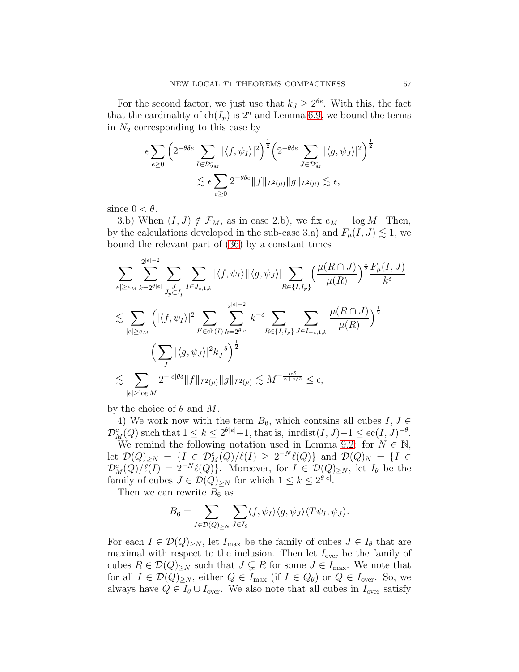For the second factor, we just use that  $k_J \geq 2^{\theta e}$ . With this, the fact that the cardinality of  $ch(I_p)$  is  $2^n$  and Lemma [6.9,](#page-20-0) we bound the terms in  $N_2$  corresponding to this case by

$$
\epsilon \sum_{e \ge 0} \left( 2^{-\theta \delta e} \sum_{I \in \mathcal{D}_{2M}^c} |\langle f, \psi_I \rangle|^2 \right)^{\frac{1}{2}} \left( 2^{-\theta \delta e} \sum_{J \in \mathcal{D}_M^c} |\langle g, \psi_J \rangle|^2 \right)^{\frac{1}{2}}
$$
  

$$
\lesssim \epsilon \sum_{e \ge 0} 2^{-\theta \delta e} \|f\|_{L^2(\mu)} \|g\|_{L^2(\mu)} \lesssim \epsilon,
$$

since  $0 < \theta$ .

3.b) When  $(I, J) \notin \mathcal{F}_M$ , as in case 2.b), we fix  $e_M = \log M$ . Then, by the calculations developed in the sub-case 3.a) and  $F_{\mu}(I, J) \lesssim 1$ , we bound the relevant part of [\(36\)](#page-47-0) by a constant times

$$
\sum_{|e|\geq e_M} \sum_{k=2^{\theta|e|}}^{2^{|e|-2}} \sum_{J_p \subset I_p} \sum_{I \in J_{e,1,k}} |\langle f, \psi_I \rangle| |\langle g, \psi_J \rangle| \sum_{R \in \{I, I_p\}} \left(\frac{\mu(R \cap J)}{\mu(R)}\right)^{\frac{1}{2}} \frac{F_\mu(I, J)}{k^{\delta}}
$$
  

$$
\lesssim \sum_{|e|\geq e_M} \left( |\langle f, \psi_I \rangle|^2 \sum_{I' \in \text{ch}(I)} \sum_{k=2^{\theta|e|}}^{2^{|e|-2}} k^{-\delta} \sum_{R \in \{I, I_p\}} \sum_{J \in I_{-e,1,k}} \frac{\mu(R \cap J)}{\mu(R)} \right)^{\frac{1}{2}}
$$
  

$$
\lesssim \sum_{|e|\geq \log M} 2^{-|e|\theta\delta} \|f\|_{L^2(\mu)} \|g\|_{L^2(\mu)} \lesssim M^{-\frac{\alpha\delta}{\alpha+\delta/2}} \leq \epsilon,
$$

by the choice of  $\theta$  and  $M$ .

4) We work now with the term  $B_6$ , which contains all cubes  $I, J \in$  $\mathcal{D}_M^c(Q)$  such that  $1 \leq k \leq 2^{\theta|e|}+1$ , that is, inrdist $(I, J)-1 \leq \mathrm{ec}(I, J)^{-\theta}$ .

We remind the following notation used in Lemma [9.2:](#page-43-0) for  $N \in \mathbb{N}$ , let  $\mathcal{D}(Q)_{\geq N} = \{I \in \mathcal{D}_M^c(Q)/\ell(I) \geq 2^{-N}\ell(Q)\}\$ and  $\mathcal{D}(Q)_N = \{I \in$  $\mathcal{D}_M^c(Q)/\ell(I) = 2^{-N}\ell(Q)$ . Moreover, for  $I \in \mathcal{D}(Q)_{\geq N}$ , let  $I_{\theta}$  be the family of cubes  $J \in \mathcal{D}(Q)_{\geq N}$  for which  $1 \leq k \leq 2^{\theta|e|}$ .

Then we can rewrite  $B_6$  as

$$
B_6 = \sum_{I \in \mathcal{D}(Q)_{\geq N}} \sum_{J \in I_\theta} \langle f, \psi_I \rangle \langle g, \psi_J \rangle \langle T \psi_I, \psi_J \rangle.
$$

For each  $I \in \mathcal{D}(Q)_{\geq N}$ , let  $I_{\text{max}}$  be the family of cubes  $J \in I_{\theta}$  that are maximal with respect to the inclusion. Then let  $I_{\text{over}}$  be the family of cubes  $R \in \mathcal{D}(Q)_{\geq N}$  such that  $J \subsetneq R$  for some  $J \in I_{\text{max}}$ . We note that for all  $I \in \mathcal{D}(Q)_{\geq N}$ , either  $Q \in I_{\text{max}}$  (if  $I \in Q_{\theta}$ ) or  $Q \in I_{\text{over}}$ . So, we always have  $Q \in I_{\theta} \cup I_{over}$ . We also note that all cubes in  $I_{over}$  satisfy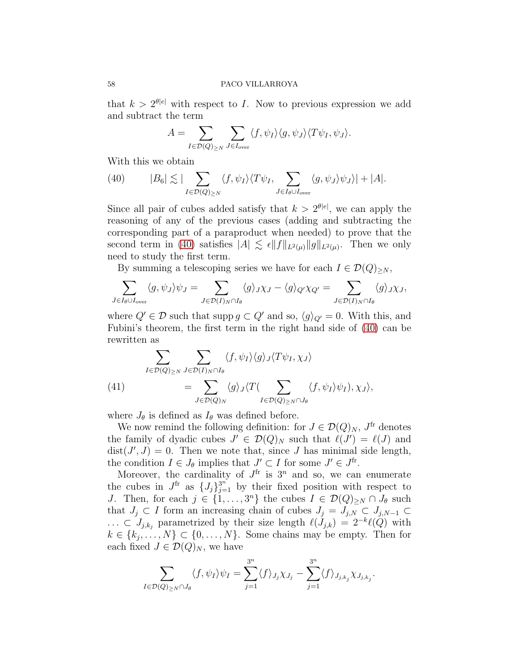that  $k > 2^{\theta|e|}$  with respect to I. Now to previous expression we add and subtract the term

$$
A = \sum_{I \in \mathcal{D}(Q)_{\geq N}} \sum_{J \in I_{\text{over}}} \langle f, \psi_I \rangle \langle g, \psi_J \rangle \langle T \psi_I, \psi_J \rangle.
$$

With this we obtain

<span id="page-57-0"></span>(40) 
$$
|B_6| \lesssim |\sum_{I \in \mathcal{D}(Q)_{\geq N}} \langle f, \psi_I \rangle \langle T \psi_I, \sum_{J \in I_{\theta} \cup I_{\text{over}}} \langle g, \psi_J \rangle \psi_J \rangle| + |A|.
$$

Since all pair of cubes added satisfy that  $k > 2^{\theta|e|}$ , we can apply the reasoning of any of the previous cases (adding and subtracting the corresponding part of a paraproduct when needed) to prove that the second term in [\(40\)](#page-57-0) satisfies  $|A| \lesssim \epsilon ||f||_{L^2(\mu)} ||g||_{L^2(\mu)}$ . Then we only need to study the first term.

By summing a telescoping series we have for each  $I \in \mathcal{D}(Q)_{\geq N}$ ,

$$
\sum_{J \in I_{\theta} \cup I_{\text{over}}} \langle g, \psi_J \rangle \psi_J = \sum_{J \in \mathcal{D}(I)_N \cap I_{\theta}} \langle g \rangle_J \chi_J - \langle g \rangle_{Q'} \chi_{Q'} = \sum_{J \in \mathcal{D}(I)_N \cap I_{\theta}} \langle g \rangle_J \chi_J,
$$

where  $Q' \in \mathcal{D}$  such that supp  $g \subset Q'$  and so,  $\langle g \rangle_{Q'} = 0$ . With this, and Fubini's theorem, the first term in the right hand side of [\(40\)](#page-57-0) can be rewritten as

<span id="page-57-1"></span>(41) 
$$
\sum_{I \in \mathcal{D}(Q)_{\geq N}} \sum_{J \in \mathcal{D}(I)_N \cap I_\theta} \langle f, \psi_I \rangle \langle g \rangle_J \langle T \psi_I, \chi_J \rangle \n= \sum_{J \in \mathcal{D}(Q)_N} \langle g \rangle_J \langle T(\sum_{I \in \mathcal{D}(Q)_{\geq N} \cap J_\theta} \langle f, \psi_I \rangle \psi_I), \chi_J \rangle,
$$

where  $J_{\theta}$  is defined as  $I_{\theta}$  was defined before.

We now remind the following definition: for  $J \in \mathcal{D}(Q)_N$ ,  $J^{\text{fr}}$  denotes the family of dyadic cubes  $J' \in \mathcal{D}(Q)_N$  such that  $\ell(J') = \ell(J)$  and  $dist(J', J) = 0$ . Then we note that, since J has minimal side length, the condition  $I \in J_\theta$  implies that  $J' \subset I$  for some  $J' \in J^{\text{fr}}$ .

Moreover, the cardinality of  $J^{\text{fr}}$  is  $3^n$  and so, we can enumerate the cubes in  $J^{\text{fr}}$  as  $\{J_j\}_{j=1}^{3^n}$  by their fixed position with respect to J. Then, for each  $j \in \{1, \ldots, 3^n\}$  the cubes  $I \in \mathcal{D}(Q)_{\geq N} \cap J_\theta$  such that  $J_j \subset I$  form an increasing chain of cubes  $J_j = J_{j,N} \subset J_{j,N-1} \subset$ ... ⊂  $J_{j,k_j}$  parametrized by their size length  $\ell(J_{j,k}) = 2^{-k}\ell(Q)$  with  $k \in \{k_j, \ldots, N\} \subset \{0, \ldots, N\}$ . Some chains may be empty. Then for each fixed  $J \in \mathcal{D}(Q)_N$ , we have

$$
\sum_{I \in \mathcal{D}(Q)_{\geq N} \cap J_{\theta}} \langle f, \psi_I \rangle \psi_I = \sum_{j=1}^{3^n} \langle f \rangle_{J_j} \chi_{J_j} - \sum_{j=1}^{3^n} \langle f \rangle_{J_{j,k_j}} \chi_{J_{j,k_j}}.
$$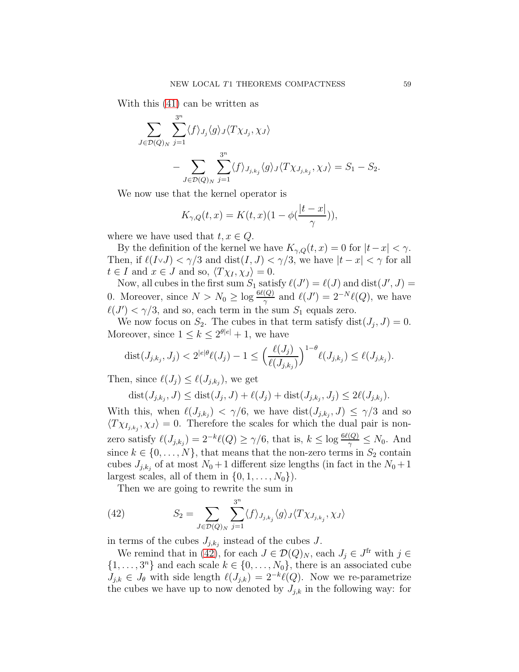With this [\(41\)](#page-57-1) can be written as

$$
\sum_{J \in \mathcal{D}(Q)_N} \sum_{j=1}^{3^n} \langle f \rangle_{J_j} \langle g \rangle_J \langle T \chi_{J_j}, \chi_J \rangle
$$
  
- 
$$
\sum_{J \in \mathcal{D}(Q)_N} \sum_{j=1}^{3^n} \langle f \rangle_{J_{j,k_j}} \langle g \rangle_J \langle T \chi_{J_{j,k_j}}, \chi_J \rangle = S_1 - S_2.
$$

We now use that the kernel operator is

$$
K_{\gamma,Q}(t,x) = K(t,x)(1-\phi(\frac{|t-x|}{\gamma})),
$$

where we have used that  $t, x \in Q$ .

By the definition of the kernel we have  $K_{\gamma,Q}(t,x) = 0$  for  $|t-x| < \gamma$ . Then, if  $\ell(I \vee J) < \gamma/3$  and  $dist(I, J) < \gamma/3$ , we have  $|t - x| < \gamma$  for all  $t \in I$  and  $x \in J$  and so,  $\langle T \chi_I, \chi_J \rangle = 0$ .

Now, all cubes in the first sum  $S_1$  satisfy  $\ell(J') = \ell(J)$  and  $dist(J', J) =$ 0. Moreover, since  $N > N_0 \ge \log \frac{6\ell(Q)}{\gamma}$  and  $\ell(J') = 2^{-N} \ell(Q)$ , we have  $\ell(J') < \gamma/3$ , and so, each term in the sum  $S_1$  equals zero.

We now focus on  $S_2$ . The cubes in that term satisfy  $dist(J_j, J) = 0$ . Moreover, since  $1 \leq k \leq 2^{\theta|e|} + 1$ , we have

$$
\text{dist}(J_{j,k_j},J_j) < 2^{|e|\theta}\ell(J_j) - 1 \le \Big(\frac{\ell(J_j)}{\ell(J_{j,k_j})}\Big)^{1-\theta}\ell(J_{j,k_j}) \le \ell(J_{j,k_j}).
$$

Then, since  $\ell(J_j) \leq \ell(J_{j,k_j})$ , we get

$$
dist(J_{j,k_j}, J) \leq dist(J_j, J) + \ell(J_j) + dist(J_{j,k_j}, J_j) \leq 2\ell(J_{j,k_j}).
$$

With this, when  $\ell(J_{j,k_j}) < \gamma/6$ , we have  $dist(J_{j,k_j}, J) \leq \gamma/3$  and so  $\langle T \chi_{I_{j,k_j}}, \chi_J \rangle = 0$ . Therefore the scales for which the dual pair is nonzero satisfy  $\ell(J_{j,k_j}) = 2^{-k}\ell(Q) \ge \gamma/6$ , that is,  $k \le \log \frac{6\ell(Q)}{\gamma} \le N_0$ . And since  $k \in \{0, \ldots, N\}$ , that means that the non-zero terms in  $S_2$  contain cubes  $J_{j,k_j}$  of at most  $N_0+1$  different size lengths (in fact in the  $N_0+1$ largest scales, all of them in  $\{0, 1, \ldots, N_0\}$ .

Then we are going to rewrite the sum in

<span id="page-58-0"></span>(42) 
$$
S_2 = \sum_{J \in \mathcal{D}(Q)_N} \sum_{j=1}^{3^n} \langle f \rangle_{J_{j,k_j}} \langle g \rangle_J \langle T \chi_{J_{j,k_j}}, \chi_J \rangle
$$

in terms of the cubes  $J_{j,k_j}$  instead of the cubes J.

We remind that in [\(42\)](#page-58-0), for each  $J \in \mathcal{D}(Q)_N$ , each  $J_j \in J^{\text{fr}}$  with  $j \in$  $\{1, \ldots, 3^n\}$  and each scale  $k \in \{0, \ldots, N_0\}$ , there is an associated cube  $J_{j,k} \in J_{\theta}$  with side length  $\ell(J_{j,k}) = 2^{-k}\ell(Q)$ . Now we re-parametrize the cubes we have up to now denoted by  $J_{j,k}$  in the following way: for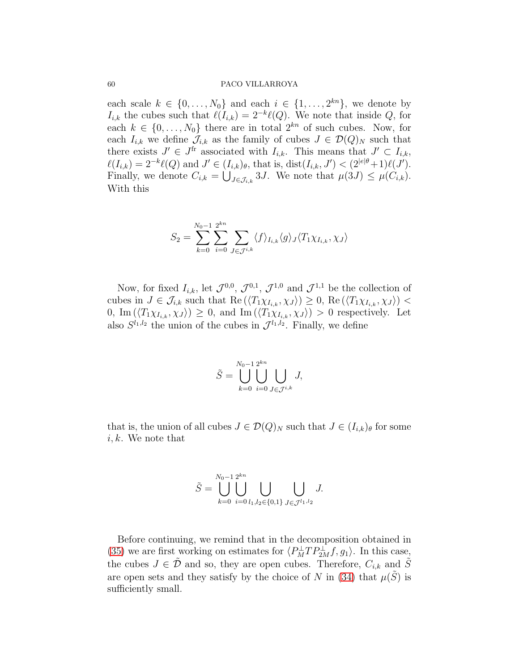each scale  $k \in \{0, \ldots, N_0\}$  and each  $i \in \{1, \ldots, 2^{kn}\}\$ , we denote by  $I_{i,k}$  the cubes such that  $\ell(I_{i,k}) = 2^{-k}\ell(Q)$ . We note that inside Q, for each  $k \in \{0, \ldots, N_0\}$  there are in total  $2^{kn}$  of such cubes. Now, for each  $I_{i,k}$  we define  $\mathcal{J}_{i,k}$  as the family of cubes  $J \in \mathcal{D}(Q)_N$  such that there exists  $J' \in J^{\text{fr}}$  associated with  $I_{i,k}$ . This means that  $J' \subset I_{i,k}$ ,  $\ell(I_{i,k}) = 2^{-k}\ell(Q)$  and  $J' \in (I_{i,k})_{\theta}$ , that is,  $dist(I_{i,k}, J') < (2^{|e|\theta}+1)\ell(J')$ . Finally, we denote  $C_{i,k} = \bigcup_{J \in \mathcal{J}_{i,k}} 3J$ . We note that  $\mu(3J) \leq \mu(C_{i,k})$ . With this

$$
S_2 = \sum_{k=0}^{N_0-1} \sum_{i=0}^{2^{kn}} \sum_{J \in \mathcal{J}^{i,k}} \langle f \rangle_{I_{i,k}} \langle g \rangle_J \langle T_1 \chi_{I_{i,k}}, \chi_J \rangle
$$

Now, for fixed  $I_{i,k}$ , let  $\mathcal{J}^{0,0}$ ,  $\mathcal{J}^{0,1}$ ,  $\mathcal{J}^{1,0}$  and  $\mathcal{J}^{1,1}$  be the collection of cubes in  $J \in \mathcal{J}_{i,k}$  such that  $\text{Re}(\langle T_1 \chi_{I_{i,k}}, \chi_J \rangle) \geq 0$ ,  $\text{Re}(\langle T_1 \chi_{I_{i,k}}, \chi_J \rangle)$ 0, Im  $(\langle T_1 \chi_{I_{i,k}}, \chi_J \rangle) \geq 0$ , and Im  $(\langle T_1 \chi_{I_{i,k}}, \chi_J \rangle) > 0$  respectively. Let also  $S^{l_1, l_2}$  the union of the cubes in  $\mathcal{J}^{l_1, l_2}$ . Finally, we define

$$
\tilde{S} = \bigcup_{k=0}^{N_0 - 1} \bigcup_{i=0}^{2^{kn}} \bigcup_{J \in \mathcal{J}^{i,k}} J,
$$

that is, the union of all cubes  $J \in \mathcal{D}(Q)_N$  such that  $J \in (I_{i,k})_\theta$  for some  $i, k$ . We note that

$$
\tilde{S} = \bigcup_{k=0}^{N_0-1} \bigcup_{i=0}^{2^{kn}} \bigcup_{l_1,l_2 \in \{0,1\}} \bigcup_{J \in \mathcal{J}^{l_1,l_2}} J.
$$

Before continuing, we remind that in the decomposition obtained in [\(35\)](#page-46-0) we are first working on estimates for  $\langle P_M^{\perp}TP_{2M}^{\perp}f, g_1\rangle$ . In this case, the cubes  $J \in \tilde{\mathcal{D}}$  and so, they are open cubes. Therefore,  $C_{i,k}$  and  $\tilde{S}$ are open sets and they satisfy by the choice of N in [\(34\)](#page-45-2) that  $\mu(\tilde{S})$  is sufficiently small.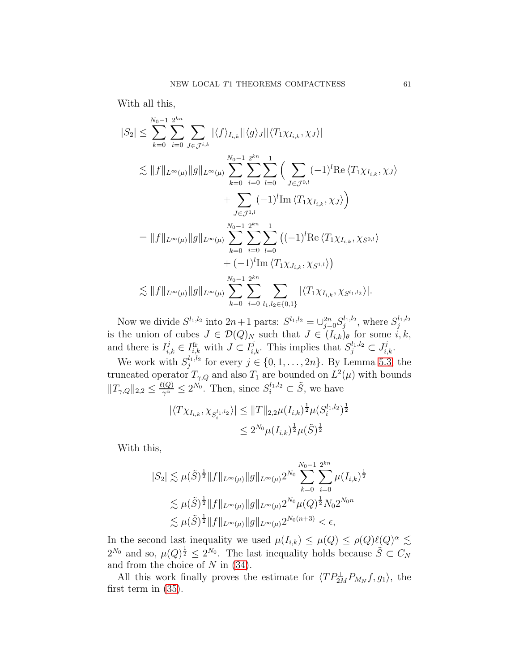With all this,

$$
|S_{2}| \leq \sum_{k=0}^{N_{0}-1} \sum_{i=0}^{2^{kn}} \sum_{J \in \mathcal{J}^{i,k}} |\langle f \rangle_{I_{i,k}}| |\langle g \rangle_{J}| |\langle T_{1} \chi_{I_{i,k}}, \chi_{J} \rangle|
$$
  
\n
$$
\lesssim ||f||_{L^{\infty}(\mu)} ||g||_{L^{\infty}(\mu)} \sum_{k=0}^{N_{0}-1} \sum_{i=0}^{2^{kn}} \sum_{l=0}^{1} \Big( \sum_{J \in \mathcal{J}^{0,l}} (-1)^{l} \text{Re} \langle T_{1} \chi_{I_{i,k}}, \chi_{J} \rangle
$$
  
\n
$$
+ \sum_{J \in \mathcal{J}^{1,l}} (-1)^{l} \text{Im} \langle T_{1} \chi_{I_{i,k}}, \chi_{J} \rangle \Big)
$$
  
\n
$$
= ||f||_{L^{\infty}(\mu)} ||g||_{L^{\infty}(\mu)} \sum_{k=0}^{N_{0}-1} \sum_{i=0}^{2^{kn}} \sum_{l=0}^{1} \Big( (-1)^{l} \text{Re} \langle T_{1} \chi_{I_{i,k}}, \chi_{S^{0,l}} \rangle
$$
  
\n
$$
+ (-1)^{l} \text{Im} \langle T_{1} \chi_{J_{i,k}}, \chi_{S^{1,l}} \rangle \Big)
$$
  
\n
$$
\lesssim ||f||_{L^{\infty}(\mu)} ||g||_{L^{\infty}(\mu)} \sum_{k=0}^{N_{0}-1} \sum_{i=0}^{2^{kn}} \sum_{l_{1},l_{2} \in \{0,1\}} |\langle T_{1} \chi_{I_{i,k}}, \chi_{S^{l_{1},l_{2}} \rangle|.
$$

Now we divide  $S^{l_1, l_2}$  into  $2n+1$  parts:  $S^{l_1, l_2} = \bigcup_{j=0}^{2n} S_j^{l_1, l_2}$  $j^{l_1, l_2}$ , where  $S_j^{l_1, l_2}$ j is the union of cubes  $J \in \mathcal{D}(Q)_N$  such that  $J \in (I_{i,k})_\theta$  for some  $i, k$ , and there is  $I_{i,k}^j \in I_{i,k}^{\text{fr}}$  with  $J \subset I_{i,k}^j$ . This implies that  $S_j^{l_1,l_2} \subset J_{i,k}^j$ .

We work with  $S_i^{l_1,l_2}$  $j_j^{t_1,t_2}$  for every  $j \in \{0, 1, ..., 2n\}$ . By Lemma [5.3,](#page-9-1) the truncated operator  $T_{\gamma,Q}$  and also  $T_1$  are bounded on  $L^2(\mu)$  with bounds  $||T_{\gamma,Q}||_{2,2} \leq \frac{\ell(Q)}{\gamma^{\alpha}} \leq 2^{N_0}$ . Then, since  $S_i^{l_1,l_2} \subset \tilde{S}$ , we have

$$
|\langle T\chi_{I_{i,k}}, \chi_{S_i^{l_1,l_2}}\rangle| \leq ||T||_{2,2}\mu(I_{i,k})^{\frac{1}{2}}\mu(S_i^{l_1,l_2})^{\frac{1}{2}}
$$
  

$$
\leq 2^{N_0}\mu(I_{i,k})^{\frac{1}{2}}\mu(\tilde{S})^{\frac{1}{2}}
$$

With this,

$$
|S_2| \lesssim \mu(\tilde{S})^{\frac{1}{2}} \|f\|_{L^{\infty}(\mu)} \|g\|_{L^{\infty}(\mu)} 2^{N_0} \sum_{k=0}^{N_0-1} \sum_{i=0}^{2^{kn}} \mu(I_{i,k})^{\frac{1}{2}}
$$
  

$$
\lesssim \mu(\tilde{S})^{\frac{1}{2}} \|f\|_{L^{\infty}(\mu)} \|g\|_{L^{\infty}(\mu)} 2^{N_0} \mu(Q)^{\frac{1}{2}} N_0 2^{N_0 n}
$$
  

$$
\lesssim \mu(\tilde{S})^{\frac{1}{2}} \|f\|_{L^{\infty}(\mu)} \|g\|_{L^{\infty}(\mu)} 2^{N_0(n+3)} < \epsilon,
$$

In the second last inequality we used  $\mu(I_{i,k}) \leq \mu(Q) \leq \rho(Q)\ell(Q)^{\alpha} \lesssim$  $2^{N_0}$  and so,  $\mu(Q)^{\frac{1}{2}} \leq 2^{N_0}$ . The last inequality holds because  $\tilde{S} \subset C_N$ and from the choice of  $N$  in [\(34\)](#page-45-2).

All this work finally proves the estimate for  $\langle TP_{2M}^{\perp}P_{M_N}f, g_1 \rangle$ , the first term in [\(35\)](#page-46-0).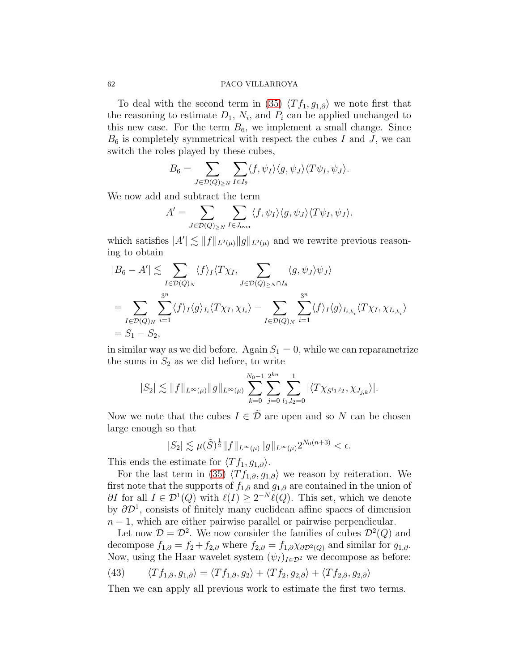To deal with the second term in [\(35\)](#page-46-0)  $\langle Tf_1, g_{1,\partial} \rangle$  we note first that the reasoning to estimate  $D_1$ ,  $N_i$ , and  $P_i$  can be applied unchanged to this new case. For the term  $B_6$ , we implement a small change. Since  $B_6$  is completely symmetrical with respect the cubes I and J, we can switch the roles played by these cubes,

$$
B_6 = \sum_{J \in \mathcal{D}(Q)_{\geq N}} \sum_{I \in I_\theta} \langle f, \psi_I \rangle \langle g, \psi_J \rangle \langle T \psi_I, \psi_J \rangle.
$$

We now add and subtract the term

$$
A' = \sum_{J \in \mathcal{D}(Q)_{\geq N}} \sum_{I \in J_{\text{over}}} \langle f, \psi_I \rangle \langle g, \psi_J \rangle \langle T \psi_I, \psi_J \rangle.
$$

which satisfies  $|A'| \lesssim ||f||_{L^2(\mu)} ||g||_{L^2(\mu)}$  and we rewrite previous reasoning to obtain

$$
|B_6 - A'| \lesssim \sum_{I \in \mathcal{D}(Q)_N} \langle f \rangle_I \langle T \chi_I, \sum_{J \in \mathcal{D}(Q)_{\geq N} \cap I_\theta} \langle g, \psi_J \rangle \psi_J \rangle
$$
  
= 
$$
\sum_{I \in \mathcal{D}(Q)_N} \sum_{i=1}^{3^n} \langle f \rangle_I \langle g \rangle_{I_i} \langle T \chi_I, \chi_{I_i} \rangle - \sum_{I \in \mathcal{D}(Q)_N} \sum_{i=1}^{3^n} \langle f \rangle_I \langle g \rangle_{I_{i,k_i}} \langle T \chi_I, \chi_{I_{i,k_i}} \rangle
$$
  
= 
$$
S_1 - S_2,
$$

in similar way as we did before. Again  $S_1 = 0$ , while we can reparametrize the sums in  $S_2$  as we did before, to write

$$
|S_2| \lesssim ||f||_{L^{\infty}(\mu)} ||g||_{L^{\infty}(\mu)} \sum_{k=0}^{N_0-1} \sum_{j=0}^{2^{kn}} \sum_{l_1,l_2=0}^1 |\langle T\chi_{S^{l_1,l_2}}, \chi_{J_{j,k}} \rangle|.
$$

Now we note that the cubes  $I \in \tilde{\mathcal{D}}$  are open and so N can be chosen large enough so that

$$
|S_2| \lesssim \mu(\tilde{S})^{\frac{1}{2}} \|f\|_{L^{\infty}(\mu)} \|g\|_{L^{\infty}(\mu)} 2^{N_0(n+3)} < \epsilon.
$$

This ends the estimate for  $\langle Tf_1, g_{1,\partial} \rangle$ .

For the last term in [\(35\)](#page-46-0)  $\langle Tf_{1,\partial}, g_{1,\partial} \rangle$  we reason by reiteration. We first note that the supports of  $f_{1,\partial}$  and  $g_{1,\partial}$  are contained in the union of  $\partial I$  for all  $I \in \mathcal{D}^1(Q)$  with  $\ell(I) \geq 2^{-N} \ell(Q)$ . This set, which we denote by  $\partial \mathcal{D}^1$ , consists of finitely many euclidean affine spaces of dimension  $n-1$ , which are either pairwise parallel or pairwise perpendicular.

Let now  $\mathcal{D} = \mathcal{D}^2$ . We now consider the families of cubes  $\mathcal{D}^2(Q)$  and decompose  $f_{1,\partial} = f_2 + f_{2,\partial}$  where  $f_{2,\partial} = f_{1,\partial} \chi_{\partial \mathcal{D}^2(Q)}$  and similar for  $g_{1,\partial}$ . Now, using the Haar wavelet system  $(\psi_I)_{I \in \mathcal{D}^2}$  we decompose as before:

<span id="page-61-0"></span>(43) 
$$
\langle Tf_{1,\partial}, g_{1,\partial} \rangle = \langle Tf_{1,\partial}, g_2 \rangle + \langle Tf_{2}, g_{2,\partial} \rangle + \langle Tf_{2,\partial}, g_{2,\partial} \rangle
$$

Then we can apply all previous work to estimate the first two terms.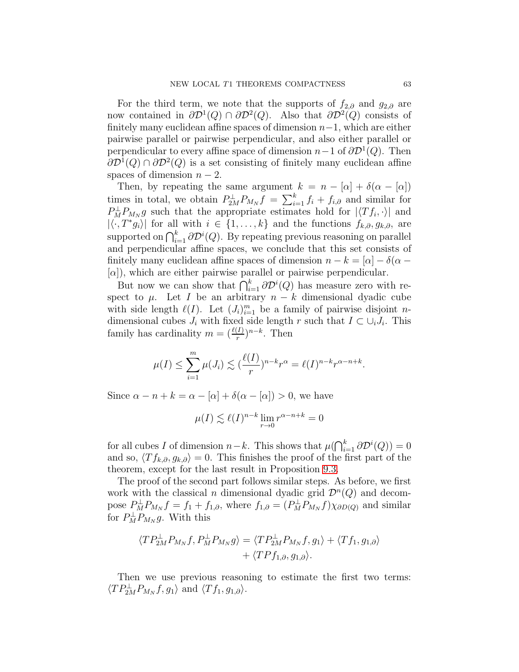For the third term, we note that the supports of  $f_{2,\partial}$  and  $g_{2,\partial}$  are now contained in  $\partial \mathcal{D}^1(Q) \cap \partial \mathcal{D}^2(Q)$ . Also that  $\partial \mathcal{D}^2(Q)$  consists of finitely many euclidean affine spaces of dimension  $n-1$ , which are either pairwise parallel or pairwise perpendicular, and also either parallel or perpendicular to every affine space of dimension  $n-1$  of  $\partial \mathcal{D}^1(Q)$ . Then  $\partial \mathcal{D}^1(Q) \cap \partial \mathcal{D}^2(Q)$  is a set consisting of finitely many euclidean affine spaces of dimension  $n-2$ .

Then, by repeating the same argument  $k = n - [\alpha] + \delta(\alpha - [\alpha])$ times in total, we obtain  $P_{2M}^{\perp}P_{M_N}f = \sum_{i=1}^{k} f_i + f_{i,\partial}$  and similar for  $P_M^{\perp}P_{M_N}g$  such that the appropriate estimates hold for  $|\langle Tf_i, \cdot \rangle|$  and  $|\langle \cdot, T^* g_i \rangle|$  for all with  $i \in \{1, ..., k\}$  and the functions  $f_{k,\partial}, g_{k,\partial}$ , are supported on  $\bigcap_{i=1}^k \partial \mathcal{D}^i(Q)$ . By repeating previous reasoning on parallel and perpendicular affine spaces, we conclude that this set consists of finitely many euclidean affine spaces of dimension  $n - k = |\alpha| - \delta(\alpha - \alpha)$  $[\alpha]$ , which are either pairwise parallel or pairwise perpendicular.

But now we can show that  $\bigcap_{i=1}^k \partial \mathcal{D}^i(Q)$  has measure zero with respect to  $\mu$ . Let I be an arbitrary  $n - k$  dimensional dyadic cube with side length  $\ell(I)$ . Let  $(J_i)_{i=1}^m$  be a family of pairwise disjoint *n*dimensional cubes  $J_i$  with fixed side length r such that  $I \subset \bigcup_i J_i$ . This family has cardinality  $m = (\frac{\ell(I)}{r})^{n-k}$ . Then

$$
\mu(I) \le \sum_{i=1}^m \mu(J_i) \lesssim \left(\frac{\ell(I)}{r}\right)^{n-k} r^{\alpha} = \ell(I)^{n-k} r^{\alpha-n+k}.
$$

Since  $\alpha - n + k = \alpha - [\alpha] + \delta(\alpha - [\alpha]) > 0$ , we have

$$
\mu(I) \lesssim \ell(I)^{n-k} \lim_{r \to 0} r^{\alpha - n + k} = 0
$$

for all cubes I of dimension  $n-k$ . This shows that  $\mu(\bigcap_{i=1}^k \partial \mathcal{D}^i(Q)) = 0$ and so,  $\langle Tf_{k,\partial}, g_{k,\partial} \rangle = 0$ . This finishes the proof of the first part of the theorem, except for the last result in Proposition [9.3.](#page-63-0)

The proof of the second part follows similar steps. As before, we first work with the classical *n* dimensional dyadic grid  $\mathcal{D}^n(Q)$  and decompose  $P_M^{\perp}P_{M_N}f = f_1 + f_{1,\partial}$ , where  $f_{1,\partial} = (P_M^{\perp}P_{M_N}f)\chi_{\partial D(Q)}$  and similar for  $P_M^{\perp}P_{M_N}g$ . With this

$$
\langle TP_{2M}^{\perp}P_{M_N}f, P_M^{\perp}P_{M_N}g \rangle = \langle TP_{2M}^{\perp}P_{M_N}f, g_1 \rangle + \langle Tf_1, g_{1,\partial} \rangle + \langle TPf_{1,\partial}, g_{1,\partial} \rangle.
$$

Then we use previous reasoning to estimate the first two terms:  $\langle TP_{2M}^{\perp}P_{M_N}f, g_1 \rangle$  and  $\langle Tf_1, g_{1,\partial} \rangle$ .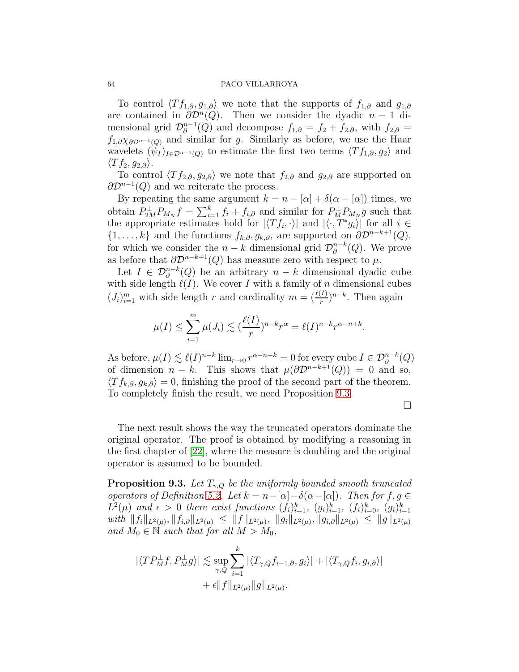To control  $\langle Tf_{1,\partial}, g_{1,\partial} \rangle$  we note that the supports of  $f_{1,\partial}$  and  $g_{1,\partial}$ are contained in  $\partial \mathcal{D}^n(Q)$ . Then we consider the dyadic  $n-1$  dimensional grid  $\mathcal{D}_{\partial}^{n-1}$  $j_{\partial}^{n-1}(Q)$  and decompose  $f_{1,\partial} = f_2 + f_{2,\partial}$ , with  $f_{2,\partial} =$  $f_{1,\partial} \chi_{\partial \mathcal{D}^{n-1}(Q)}$  and similar for g. Similarly as before, we use the Haar wavelets  $(\psi_I)_{I \in \mathcal{D}^{n-1}(Q)}$  to estimate the first two terms  $\langle Tf_{1,\partial}, g_2 \rangle$  and  $\langle Tf_2, g_{2,\partial} \rangle.$ 

To control  $\langle Tf_{2,\partial}, g_{2,\partial} \rangle$  we note that  $f_{2,\partial}$  and  $g_{2,\partial}$  are supported on  $\partial \mathcal{D}^{n-1}(Q)$  and we reiterate the process.

By repeating the same argument  $k = n - |\alpha| + \delta(\alpha - |\alpha|)$  times, we obtain  $P_{2M}^{\perp}P_{M_N}f = \sum_{i=1}^{k} f_i + f_{i,\partial}$  and similar for  $P_{M}^{\perp}P_{M_N}g$  such that the appropriate estimates hold for  $|\langle Tf_i, \cdot \rangle|$  and  $|\langle \cdot, T^*g_i \rangle|$  for all  $i \in$  $\{1, \ldots, k\}$  and the functions  $f_{k,\partial}, g_{k,\partial}$ , are supported on  $\partial \mathcal{D}^{n-k+1}(Q)$ , for which we consider the  $n - k$  dimensional grid  $\mathcal{D}_{\partial}^{n-k}$  $_{\partial}^{n-k}(Q)$ . We prove as before that  $\partial \mathcal{D}^{n-k+1}(Q)$  has measure zero with respect to  $\mu$ .

Let  $I \in \mathcal{D}_{\partial}^{n-k}(Q)$  be an arbitrary  $n-k$  dimensional dyadic cube with side length  $\ell(I)$ . We cover I with a family of n dimensional cubes  $(J_i)_{i=1}^m$  with side length r and cardinality  $m = (\frac{\ell(I)}{r})^{n-k}$ . Then again

$$
\mu(I) \le \sum_{i=1}^m \mu(J_i) \lesssim \left(\frac{\ell(I)}{r}\right)^{n-k} r^{\alpha} = \ell(I)^{n-k} r^{\alpha-n+k}.
$$

As before,  $\mu(I) \lesssim \ell(I)^{n-k} \lim_{r \to 0} r^{\alpha - n + k} = 0$  for every cube  $I \in \mathcal{D}_{\partial}^{n-k}(Q)$ of dimension  $n - k$ . This shows that  $\mu(\partial \mathcal{D}^{n-k+1}(Q)) = 0$  and so,  $\langle Tf_{k,\partial}, g_{k,\partial} \rangle = 0$ , finishing the proof of the second part of the theorem. To completely finish the result, we need Proposition [9.3.](#page-63-0)

 $\Box$ 

The next result shows the way the truncated operators dominate the original operator. The proof is obtained by modifying a reasoning in the first chapter of [\[22\]](#page-69-11), where the measure is doubling and the original operator is assumed to be bounded.

<span id="page-63-0"></span>**Proposition 9.3.** Let  $T_{\gamma,Q}$  be the uniformly bounded smooth truncated operators of Definition [5.2.](#page-9-0) Let  $k = n - [\alpha] - \delta(\alpha - [\alpha])$ . Then for  $f, g \in$  $L^2(\mu)$  and  $\epsilon > 0$  there exist functions  $(f_i)_{i=1}^k$ ,  $(g_i)_{i=1}^k$ ,  $(f_i)_{i=0}^k$ ,  $(g_i)_{i=1}^k$  $with \|f_i\|_{L^2(\mu)}, \|f_{i,\partial}\|_{L^2(\mu)} \leq \|f\|_{L^2(\mu)}, \|g_i\|_{L^2(\mu)}, \|g_{i,\partial}\|_{L^2(\mu)} \leq \|g\|_{L^2(\mu)}$ and  $M_0 \in \mathbb{N}$  such that for all  $M > M_0$ ,

$$
\begin{aligned} |\langle TP^{\perp}_M f, P^{\perp}_M g \rangle| &\lesssim \sup_{\gamma,Q} \sum_{i=1}^k |\langle T_{\gamma,Q} f_{i-1,\partial}, g_i \rangle| + |\langle T_{\gamma,Q} f_i, g_{i,\partial} \rangle| \\ &+ \epsilon \|f\|_{L^2(\mu)} \|g\|_{L^2(\mu)}. \end{aligned}
$$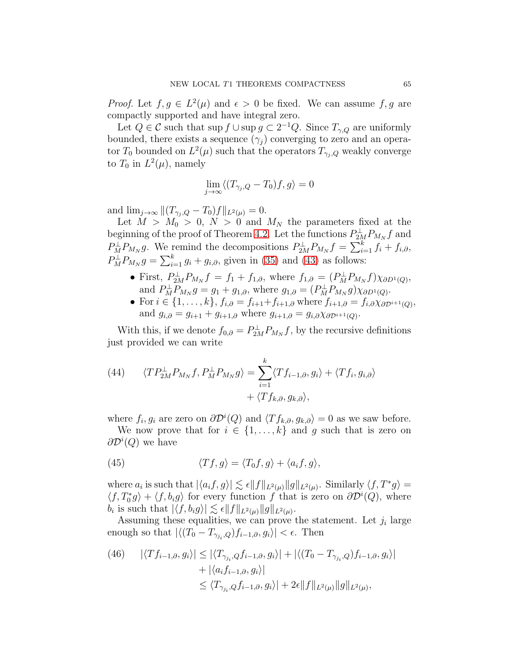*Proof.* Let  $f, g \in L^2(\mu)$  and  $\epsilon > 0$  be fixed. We can assume  $f, g$  are compactly supported and have integral zero.

Let  $Q \in \mathcal{C}$  such that sup  $f \cup \sup g \subset 2^{-1}Q$ . Since  $T_{\gamma,Q}$  are uniformly bounded, there exists a sequence  $(\gamma_i)$  converging to zero and an operator  $T_0$  bounded on  $L^2(\mu)$  such that the operators  $T_{\gamma_j,Q}$  weakly converge to  $T_0$  in  $L^2(\mu)$ , namely

$$
\lim_{j \to \infty} \langle (T_{\gamma_j, Q} - T_0) f, g \rangle = 0
$$

and  $\lim_{j\to\infty} ||(T_{\gamma_i,Q} - T_0)f||_{L^2(\mu)} = 0.$ 

Let  $M > M_0 > 0$ ,  $N > 0$  and  $M_N$  the parameters fixed at the beginning of the proof of Theorem [4.2.](#page-6-1) Let the functions  $P_{2M}^{\perp}P_{M_N}f$  and  $P_M^{\perp}P_{M_N}g$ . We remind the decompositions  $P_{2M}^{\perp}P_{M_N}f = \sum_{i=1}^k f_i + f_{i,\partial}$ ,  $P_M^{\perp}P_{M_N}g = \sum_{i=1}^k g_i + g_{i,\partial}$ , given in [\(35\)](#page-46-0) and [\(43\)](#page-61-0) as follows:

- First,  $P_{2M}^{\perp}P_{M_N}f = f_1 + f_{1,\partial}$ , where  $f_{1,\partial} = (P_M^{\perp}P_{M_N}f)\chi_{\partial D^1(Q)}$ , and  $P_M^{\perp}P_{M_N}g = g_1 + g_{1,\partial}$ , where  $g_{1,\partial} = (P_M^{\perp}P_{M_N}g)\chi_{\partial D^1(Q)}$ .
- For  $i \in \{1, \ldots, k\}$ ,  $f_{i, \partial} = f_{i+1} + f_{i+1, \partial}$  where  $f_{i+1, \partial} = f_{i, \partial} \chi_{\partial \mathcal{D}^{i+1}(Q)}$ , and  $g_{i,\partial} = g_{i+1} + g_{i+1,\partial}$  where  $g_{i+1,\partial} = g_{i,\partial} \chi_{\partial \mathcal{D}^{i+1}(Q)}$ .

With this, if we denote  $f_{0,\partial} = P_{2M}^{\perp} P_{M_N} f$ , by the recursive definitions just provided we can write

<span id="page-64-0"></span>(44) 
$$
\langle TP_{2M}^{\perp}P_{M_N}f, P_M^{\perp}P_{M_N}g \rangle = \sum_{i=1}^k \langle Tf_{i-1,\partial}, g_i \rangle + \langle Tf_i, g_{i,\partial} \rangle + \langle Tf_{k,\partial}, g_{k,\partial} \rangle,
$$

where  $f_i, g_i$  are zero on  $\partial \mathcal{D}^i(Q)$  and  $\langle Tf_{k,\partial}, g_{k,\partial} \rangle = 0$  as we saw before.

We now prove that for  $i \in \{1, ..., k\}$  and g such that is zero on  $\partial \mathcal{D}^i(Q)$  we have

<span id="page-64-2"></span>(45) 
$$
\langle Tf, g \rangle = \langle T_0 f, g \rangle + \langle a_i f, g \rangle,
$$

where  $a_i$  is such that  $|\langle a_i f, g \rangle| \lesssim \epsilon ||f||_{L^2(\mu)} ||g||_{L^2(\mu)}$ . Similarly  $\langle f, T^* g \rangle =$  $\langle f, T_0^* g \rangle + \langle f, b_i g \rangle$  for every function f that is zero on  $\partial \mathcal{D}^i(Q)$ , where  $b_i$  is such that  $|\langle f, b_i g \rangle| \lesssim \epsilon ||f||_{L^2(\mu)} ||g||_{L^2(\mu)}$ .

Assuming these equalities, we can prove the statement. Let  $j_i$  large enough so that  $|\langle (T_0 - T_{\gamma_{j_i},Q}) f_{i-1,\partial}, g_i \rangle| < \epsilon$ . Then

<span id="page-64-1"></span>(46) 
$$
|\langle Tf_{i-1,\partial}, g_i \rangle| \leq |\langle T_{\gamma_{j_i},Q} f_{i-1,\partial}, g_i \rangle| + |\langle (T_0 - T_{\gamma_{j_i},Q}) f_{i-1,\partial}, g_i \rangle|
$$

$$
+ |\langle a_i f_{i-1,\partial}, g_i \rangle|
$$

$$
\leq \langle T_{\gamma_{j_i},Q} f_{i-1,\partial}, g_i \rangle| + 2\epsilon \|f\|_{L^2(\mu)} \|g\|_{L^2(\mu)},
$$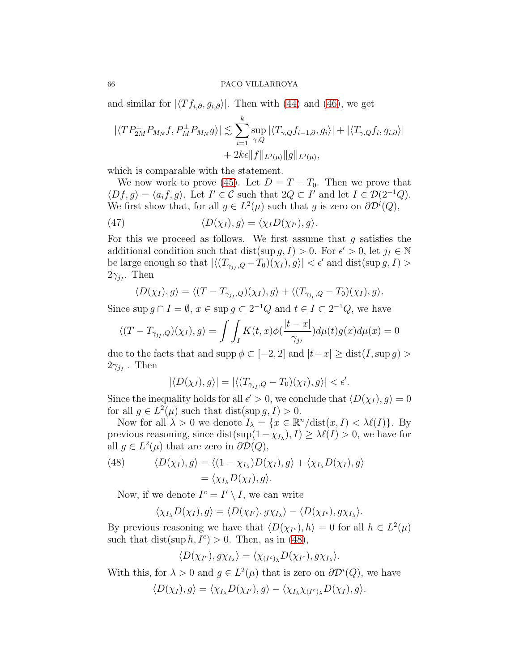and similar for  $|\langle Tf_{i,\partial}, g_{i,\partial}\rangle|$ . Then with [\(44\)](#page-64-0) and [\(46\)](#page-64-1), we get

$$
|\langle TP_{2M}^{\perp}P_{M_N}f, P_M^{\perp}P_{M_N}g \rangle| \lesssim \sum_{i=1}^k \sup_{\gamma, Q} |\langle T_{\gamma, Q}f_{i-1, \partial}, g_i \rangle| + |\langle T_{\gamma, Q}f_i, g_{i, \partial} \rangle|
$$
  
+ 2k\epsilon ||f||\_{L^2(\mu)} ||g||\_{L^2(\mu)},

which is comparable with the statement.

We now work to prove [\(45\)](#page-64-2). Let  $D = T - T_0$ . Then we prove that  $\langle Df, g \rangle = \langle a_i f, g \rangle$ . Let  $I' \in \mathcal{C}$  such that  $2Q \subset I'$  and let  $I \in \mathcal{D}(2^{-1}Q)$ . We first show that, for all  $g \in L^2(\mu)$  such that g is zero on  $\partial \mathcal{D}^i(Q)$ ,

<span id="page-65-1"></span>(47) 
$$
\langle D(\chi_I), g \rangle = \langle \chi_I D(\chi_{I'}), g \rangle.
$$

For this we proceed as follows. We first assume that  $g$  satisfies the additional condition such that dist(sup  $g, I$ ) > 0. For  $\epsilon' > 0$ , let  $j_I \in \mathbb{N}$ be large enough so that  $|\langle (T_{\gamma_{jI},Q} - T_0)(\chi_I), g \rangle| < \epsilon'$  and dist(sup  $g, I)$ )  $2\gamma_{jI}$ . Then

$$
\langle D(\chi_I), g \rangle = \langle (T - T_{\gamma_{j_I}, Q})(\chi_I), g \rangle + \langle (T_{\gamma_{j_I}, Q} - T_0)(\chi_I), g \rangle.
$$

Since sup  $g \cap I = \emptyset$ ,  $x \in \text{sup } g \subset 2^{-1}Q$  and  $t \in I \subset 2^{-1}Q$ , we have

$$
\langle (T - T_{\gamma_{j_I}, Q})(\chi_I), g \rangle = \int \int_I K(t, x) \phi(\frac{|t - x|}{\gamma_{j_I}}) d\mu(t) g(x) d\mu(x) = 0
$$

due to the facts that and supp  $\phi \subset [-2,2]$  and  $|t-x| \geq \text{dist}(I, \sup g)$  $2\gamma_{jI}$ . Then

$$
|\langle D(\chi_I), g \rangle| = |\langle (T_{\gamma_{j_I}, Q} - T_0)(\chi_I), g \rangle| < \epsilon'.
$$

Since the inequality holds for all  $\epsilon' > 0$ , we conclude that  $\langle D(\chi_I), g \rangle = 0$ for all  $g \in L^2(\mu)$  such that dist(sup  $g, I) > 0$ .

Now for all  $\lambda > 0$  we denote  $I_{\lambda} = \{x \in \mathbb{R}^n / \text{dist}(x, I) < \lambda \ell(I)\}.$  By previous reasoning, since  $dist(sup(1 - \chi_{I_\lambda}), I) \geq \lambda \ell(I) > 0$ , we have for all  $g \in L^2(\mu)$  that are zero in  $\partial \mathcal{D}(Q)$ ,

<span id="page-65-0"></span>(48) 
$$
\langle D(\chi_I), g \rangle = \langle (1 - \chi_{I_\lambda}) D(\chi_I), g \rangle + \langle \chi_{I_\lambda} D(\chi_I), g \rangle = \langle \chi_{I_\lambda} D(\chi_I), g \rangle.
$$

Now, if we denote  $I^c = I' \setminus I$ , we can write

$$
\langle \chi_{I_{\lambda}} D(\chi_I), g \rangle = \langle D(\chi_{I'}), g \chi_{I_{\lambda}} \rangle - \langle D(\chi_{I^c}), g \chi_{I_{\lambda}} \rangle.
$$

By previous reasoning we have that  $\langle D(\chi_{I^c}), h \rangle = 0$  for all  $h \in L^2(\mu)$ such that dist(sup  $h, I^c$ ) > 0. Then, as in [\(48\)](#page-65-0),

$$
\langle D(\chi_{I^c}), g\chi_{I_\lambda}\rangle = \langle \chi_{(I^c)_\lambda} D(\chi_{I^c}), g\chi_{I_\lambda}\rangle.
$$

With this, for  $\lambda > 0$  and  $g \in L^2(\mu)$  that is zero on  $\partial \mathcal{D}^i(Q)$ , we have

$$
\langle D(\chi_I), g \rangle = \langle \chi_{I_\lambda} D(\chi_{I'}, g \rangle - \langle \chi_{I_\lambda} \chi_{(I^c)_\lambda} D(\chi_I), g \rangle.
$$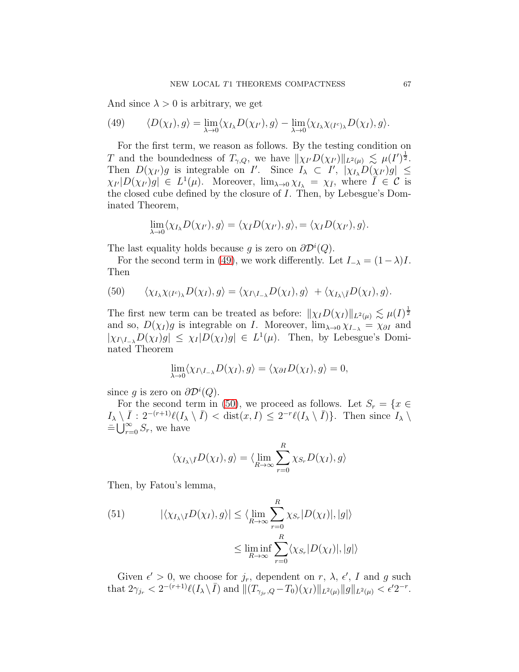And since  $\lambda > 0$  is arbitrary, we get

<span id="page-66-0"></span>(49) 
$$
\langle D(\chi_I), g \rangle = \lim_{\lambda \to 0} \langle \chi_{I_{\lambda}} D(\chi_{I'}, g \rangle - \lim_{\lambda \to 0} \langle \chi_{I_{\lambda}} \chi_{(I^c)_{\lambda}} D(\chi_I), g \rangle.
$$

For the first term, we reason as follows. By the testing condition on T and the boundedness of  $T_{\gamma,Q}$ , we have  $\|\chi_{I'}D(\chi_{I'})\|_{L^2(\mu)} \lesssim \mu(I')^{\frac{1}{2}}$ . Then  $D(\chi_{I'})g$  is integrable on  $I'$ . Since  $I_{\lambda} \subset I'$ ,  $|\chi_{I_{\lambda}}D(\chi_{I'})g| \leq$  $\chi_{I'}|D(\chi_{I'})g| \in L^1(\mu)$ . Moreover,  $\lim_{\lambda\to 0}\chi_{I_\lambda} = \chi_{\bar{I}}$ , where  $\bar{I} \in \mathcal{C}$  is the closed cube defined by the closure of I. Then, by Lebesgue's Dominated Theorem,

$$
\lim_{\lambda \to 0} \langle \chi_{I_{\lambda}} D(\chi_{I'}), g \rangle = \langle \chi_{\overline{I}} D(\chi_{I'}), g \rangle, = \langle \chi_{I} D(\chi_{I'}), g \rangle.
$$

The last equality holds because g is zero on  $\partial \mathcal{D}^i(Q)$ .

For the second term in [\(49\)](#page-66-0), we work differently. Let  $I_{-\lambda} = (1-\lambda)I$ . Then

<span id="page-66-1"></span>(50) 
$$
\langle \chi_{I_{\lambda}} \chi_{(I^c)_{\lambda}} D(\chi_I), g \rangle = \langle \chi_{I \setminus I_{-\lambda}} D(\chi_I), g \rangle + \langle \chi_{I_{\lambda} \setminus I} D(\chi_I), g \rangle.
$$

The first new term can be treated as before:  $\|\chi_I D(\chi_I)\|_{L^2(\mu)} \lesssim \mu(I)^{\frac{1}{2}}$ and so,  $D(\chi_I)g$  is integrable on I. Moreover,  $\lim_{\lambda\to 0} \chi_{I_{-\lambda}} = \chi_{\partial I}$  and  $|\chi_{I\setminus I_{-\lambda}}D(\chi_I)g| \leq \chi_I |D(\chi_I)g| \in L^1(\mu)$ . Then, by Lebesgue's Dominated Theorem

$$
\lim_{\lambda \to 0} \langle \chi_{I \setminus I_{-\lambda}} D(\chi_I), g \rangle = \langle \chi_{\partial I} D(\chi_I), g \rangle = 0,
$$

since g is zero on  $\partial \mathcal{D}^i(Q)$ .

For the second term in [\(50\)](#page-66-1), we proceed as follows. Let  $S_r = \{x \in$  $I_{\lambda} \setminus \overline{I} : 2^{-(r+1)} \ell(I_{\lambda} \setminus \overline{I}) < \text{dist}(x, I) \leq 2^{-r} \ell(I_{\lambda} \setminus \overline{I}) \}$ . Then since  $I_{\lambda} \setminus I$  $\equiv \bigcup_{r=0}^{\infty} S_r$ , we have

$$
\langle \chi_{I_{\lambda}\backslash\bar{I}}D(\chi_I),g\rangle = \langle \lim_{R\to\infty}\sum_{r=0}^R \chi_{S_r}D(\chi_I),g\rangle
$$

Then, by Fatou's lemma,

<span id="page-66-2"></span>(51) 
$$
|\langle \chi_{I_{\lambda}\backslash\overline{I}}D(\chi_I),g\rangle| \leq \langle \lim_{R\to\infty}\sum_{r=0}^R \chi_{S_r}|D(\chi_I)|,|g|\rangle
$$

$$
\leq \liminf_{R\to\infty}\sum_{r=0}^R \langle \chi_{S_r}|D(\chi_I)|,|g|\rangle
$$

Given  $\epsilon' > 0$ , we choose for  $j_r$ , dependent on  $r$ ,  $\lambda$ ,  $\epsilon'$ , I and g such that  $2\gamma_{j_r} < 2^{-(r+1)}\ell(I_\lambda \setminus \overline{I})$  and  $\|(T_{\gamma_{j_r},Q} - T_0)(\chi_I)\|_{L^2(\mu)} \|g\|_{L^2(\mu)} < \epsilon' 2^{-r}$ .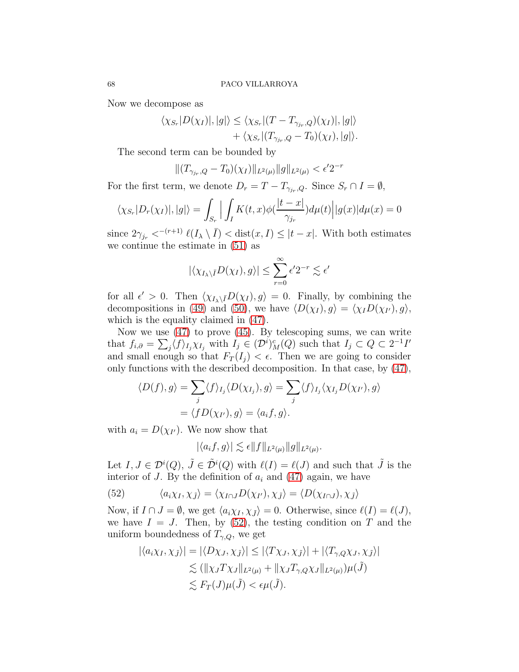Now we decompose as

$$
\langle \chi_{S_r} | D(\chi_I) |, |g| \rangle \leq \langle \chi_{S_r} | (T - T_{\gamma_{j_r}, Q})(\chi_I) |, |g| \rangle + \langle \chi_{S_r} | (T_{\gamma_{j_r}, Q} - T_0)(\chi_I) , |g| \rangle.
$$

The second term can be bounded by

$$
||(T_{\gamma_{jr},Q} - T_0)(\chi_I)||_{L^2(\mu)} ||g||_{L^2(\mu)} < \epsilon' 2^{-r}
$$

For the first term, we denote  $D_r = T - T_{\gamma_{jr},Q}$ . Since  $S_r \cap I = \emptyset$ ,

$$
\langle \chi_{S_r} | D_r(\chi_I) |, |g| \rangle = \int_{S_r} \Big| \int_I K(t, x) \phi(\frac{|t - x|}{\gamma_{j_r}}) d\mu(t) \Big| |g(x)| d\mu(x) = 0
$$

since  $2\gamma_{j_r} <^{-(r+1)} \ell(I_\lambda \setminus \overline{I}) < \text{dist}(x, I) \leq |t - x|$ . With both estimates we continue the estimate in [\(51\)](#page-66-2) as

$$
|\langle \chi_{I_{\lambda}\backslash \bar{I}}D(\chi_I),g\rangle| \leq \sum_{r=0}^{\infty} \epsilon' 2^{-r} \lesssim \epsilon'
$$

for all  $\epsilon' > 0$ . Then  $\langle \chi_{I_{\lambda}\setminus \bar{I}}D(\chi_I), g \rangle = 0$ . Finally, by combining the decompositions in [\(49\)](#page-66-0) and [\(50\)](#page-66-1), we have  $\langle D(\chi_I), g \rangle = \langle \chi_I D(\chi_{I'}) , g \rangle$ , which is the equality claimed in [\(47\)](#page-65-1).

Now we use  $(47)$  to prove  $(45)$ . By telescoping sums, we can write that  $f_{i,0} = \sum_j \langle f \rangle_{I_j} \chi_{I_j}$  with  $I_j \in (\mathcal{D}^i)_M^c(Q)$  such that  $I_j \subset Q \subset 2^{-1}I'$ and small enough so that  $F_T(I_i) < \epsilon$ . Then we are going to consider only functions with the described decomposition. In that case, by [\(47\)](#page-65-1),

$$
\langle D(f), g \rangle = \sum_{j} \langle f \rangle_{I_j} \langle D(\chi_{I_j}), g \rangle = \sum_{j} \langle f \rangle_{I_j} \langle \chi_{I_j} D(\chi_{I'}, g \rangle)
$$
  
=  $\langle f D(\chi_{I'}), g \rangle = \langle a_i f, g \rangle.$ 

with  $a_i = D(\chi_{I'})$ . We now show that

$$
|\langle a_i f, g \rangle| \lesssim \epsilon ||f||_{L^2(\mu)} ||g||_{L^2(\mu)}.
$$

Let  $I, J \in \mathcal{D}^i(Q), \tilde{J} \in \tilde{\mathcal{D}}^i(Q)$  with  $\ell(I) = \ell(J)$  and such that  $\tilde{J}$  is the interior of J. By the definition of  $a_i$  and [\(47\)](#page-65-1) again, we have

<span id="page-67-0"></span>(52) 
$$
\langle a_i \chi_I, \chi_{\tilde{J}} \rangle = \langle \chi_{I \cap J} D(\chi_{I'}, \chi_{\tilde{J}} \rangle = \langle D(\chi_{I \cap J}), \chi_{\tilde{J}} \rangle
$$

Now, if  $I \cap J = \emptyset$ , we get  $\langle a_i \chi_I, \chi_j \rangle = 0$ . Otherwise, since  $\ell(I) = \ell(J)$ , we have  $I = J$ . Then, by [\(52\)](#page-67-0), the testing condition on T and the uniform boundedness of  $T_{\gamma,Q}$ , we get

$$
|\langle a_i \chi_I, \chi_j \rangle| = |\langle D\chi_J, \chi_j \rangle| \le |\langle T\chi_J, \chi_j \rangle| + |\langle T_{\gamma, Q}\chi_J, \chi_j \rangle|
$$
  

$$
\lesssim (\|\chi_J T\chi_J\|_{L^2(\mu)} + \|\chi_J T_{\gamma, Q}\chi_J\|_{L^2(\mu)})\mu(\tilde{J})
$$
  

$$
\lesssim F_T(J)\mu(\tilde{J}) < \epsilon \mu(\tilde{J}).
$$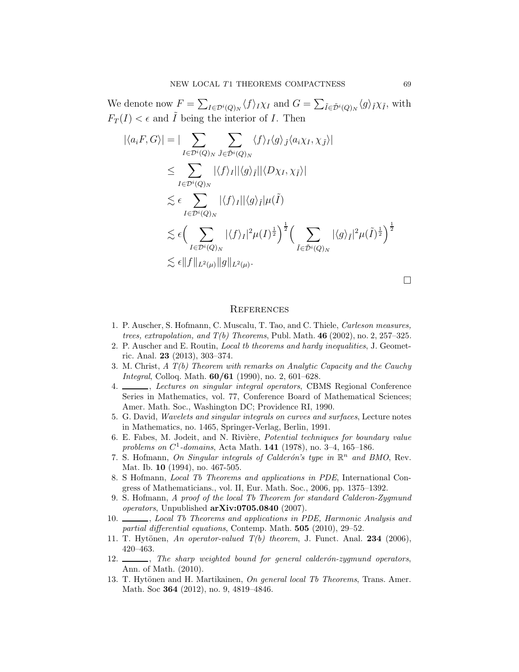We denote now  $F = \sum_{I \in \mathcal{D}^i(Q)_N} \langle f \rangle_I \chi_I$  and  $G = \sum_{\tilde{I} \in \tilde{\mathcal{D}}^i(Q)_N} \langle g \rangle_{\tilde{I}} \chi_{\tilde{I}}$ , with  $F_T(I) < \epsilon$  and  $\tilde{I}$  being the interior of I. Then

$$
\begin{split}\n|\langle a_i F, G \rangle| &= |\sum_{I \in \mathcal{D}^i(Q)_N} \sum_{\tilde{J} \in \tilde{\mathcal{D}}^i(Q)_N} \langle f \rangle_I \langle g \rangle_{\tilde{J}} \langle a_i \chi_I, \chi_{\tilde{J}} \rangle| \\
&\leq \sum_{I \in \mathcal{D}^i(Q)_N} |\langle f \rangle_I| |\langle g \rangle_{\tilde{I}}| |\langle D \chi_I, \chi_{\tilde{I}} \rangle| \\
&\lesssim \epsilon \sum_{I \in \mathcal{D}^i(Q)_N} |\langle f \rangle_I| |\langle g \rangle_{\tilde{I}}| \mu(\tilde{I}) \\
&\lesssim \epsilon \Big( \sum_{I \in \mathcal{D}^i(Q)_N} |\langle f \rangle_I|^2 \mu(I)^{\frac{1}{2}} \Big)^{\frac{1}{2}} \Big( \sum_{\tilde{I} \in \tilde{\mathcal{D}}^i(Q)_N} |\langle g \rangle_{\tilde{I}}|^2 \mu(\tilde{I})^{\frac{1}{2}} \Big)^{\frac{1}{2}} \\
&\lesssim \epsilon \|f\|_{L^2(\mu)} \|g\|_{L^2(\mu)}.\n\end{split}
$$

 $\Box$ 

## **REFERENCES**

- <span id="page-68-1"></span>1. P. Auscher, S. Hofmann, C. Muscalu, T. Tao, and C. Thiele, Carleson measures, trees, extrapolation, and  $T(b)$  Theorems, Publ. Math. 46 (2002), no. 2, 257–325.
- <span id="page-68-9"></span>2. P. Auscher and E. Routin, Local tb theorems and hardy inequalities, J. Geometric. Anal. 23 (2013), 303–374.
- <span id="page-68-0"></span>3. M. Christ, A T(b) Theorem with remarks on Analytic Capacity and the Cauchy Integral, Colloq. Math. 60/61 (1990), no. 2, 601–628.
- <span id="page-68-10"></span>4. Sectures on singular integral operators, CBMS Regional Conference Series in Mathematics, vol. 77, Conference Board of Mathematical Sciences; Amer. Math. Soc., Washington DC; Providence RI, 1990.
- <span id="page-68-11"></span>5. G. David, Wavelets and singular integrals on curves and surfaces, Lecture notes in Mathematics, no. 1465, Springer-Verlag, Berlin, 1991.
- <span id="page-68-12"></span>6. E. Fabes, M. Jodeit, and N. Rivière, Potential techniques for boundary value problems on  $C^1$ -domains, Acta Math. 141 (1978), no. 3-4, 165-186.
- <span id="page-68-7"></span>7. S. Hofmann, On Singular integrals of Calderón's type in  $\mathbb{R}^n$  and BMO, Rev. Mat. Ib. **10** (1994), no. 467-505.
- <span id="page-68-5"></span>8. S Hofmann, Local Tb Theorems and applications in PDE, International Congress of Mathematicians., vol. II, Eur. Math. Soc., 2006, pp. 1375–1392.
- <span id="page-68-8"></span>9. S. Hofmann, A proof of the local Tb Theorem for standard Calderon-Zygmund operators, Unpublished arXiv:0705.0840 (2007).
- <span id="page-68-6"></span>10. , Local Tb Theorems and applications in PDE, Harmonic Analysis and partial differential equations, Contemp. Math. 505 (2010), 29–52.
- <span id="page-68-4"></span><span id="page-68-3"></span>11. T. Hytönen, An operator-valued  $T(b)$  theorem, J. Funct. Anal. 234 (2006), 420–463.
- 12.  $\_\_\_\_\$ n. The sharp weighted bound for general calderón-zygmund operators, Ann. of Math. (2010).
- <span id="page-68-2"></span>13. T. Hytönen and H. Martikainen, On general local Tb Theorems, Trans. Amer. Math. Soc 364 (2012), no. 9, 4819–4846.